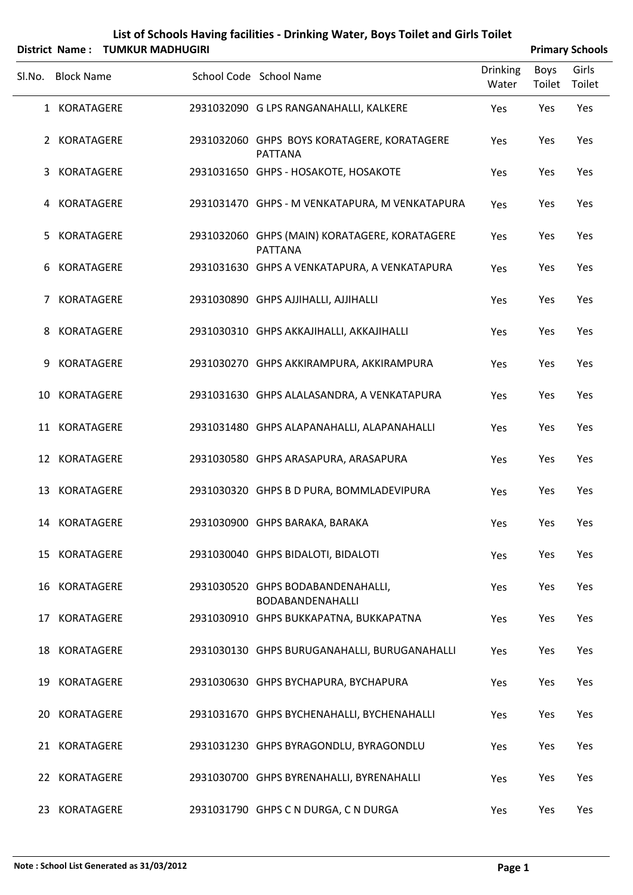| List of Schools Having facilities - Drinking Water, Boys Toilet and Girls Toilet |                        |
|----------------------------------------------------------------------------------|------------------------|
| District Name: TUMKUR MADHUGIRI                                                  | <b>Primary Schools</b> |

|    | Sl.No. Block Name | School Code School Name                                         | <b>Drinking</b><br>Water | Boys<br>Toilet | Girls<br>Toilet |
|----|-------------------|-----------------------------------------------------------------|--------------------------|----------------|-----------------|
|    | 1 KORATAGERE      | 2931032090 G LPS RANGANAHALLI, KALKERE                          | Yes                      | Yes            | Yes             |
|    | 2 KORATAGERE      | 2931032060 GHPS BOYS KORATAGERE, KORATAGERE<br><b>PATTANA</b>   | Yes                      | Yes            | Yes             |
|    | 3 KORATAGERE      | 2931031650 GHPS - HOSAKOTE, HOSAKOTE                            | Yes                      | Yes            | Yes             |
|    | 4 KORATAGERE      | 2931031470 GHPS - M VENKATAPURA, M VENKATAPURA                  | Yes                      | Yes            | Yes             |
|    | 5 KORATAGERE      | 2931032060 GHPS (MAIN) KORATAGERE, KORATAGERE<br><b>PATTANA</b> | Yes                      | Yes            | Yes             |
|    | 6 KORATAGERE      | 2931031630 GHPS A VENKATAPURA, A VENKATAPURA                    | Yes                      | Yes            | Yes             |
|    | 7 KORATAGERE      | 2931030890 GHPS AJJIHALLI, AJJIHALLI                            | Yes                      | Yes            | Yes             |
|    | 8 KORATAGERE      | 2931030310 GHPS AKKAJIHALLI, AKKAJIHALLI                        | Yes                      | Yes            | Yes             |
|    | 9 KORATAGERE      | 2931030270 GHPS AKKIRAMPURA, AKKIRAMPURA                        | Yes                      | Yes            | Yes             |
|    | 10 KORATAGERE     | 2931031630 GHPS ALALASANDRA, A VENKATAPURA                      | Yes                      | Yes            | Yes             |
|    | 11 KORATAGERE     | 2931031480 GHPS ALAPANAHALLI, ALAPANAHALLI                      | Yes                      | Yes            | Yes             |
|    | 12 KORATAGERE     | 2931030580 GHPS ARASAPURA, ARASAPURA                            | Yes                      | Yes            | Yes             |
|    | 13 KORATAGERE     | 2931030320 GHPS B D PURA, BOMMLADEVIPURA                        | Yes                      | Yes            | Yes             |
|    | 14 KORATAGERE     | 2931030900 GHPS BARAKA, BARAKA                                  | Yes                      | Yes            | Yes             |
|    | 15 KORATAGERE     | 2931030040 GHPS BIDALOTI, BIDALOTI                              | Yes                      | Yes            | Yes             |
| 16 | KORATAGERE        | 2931030520 GHPS BODABANDENAHALLI,<br>BODABANDENAHALLI           | Yes                      | Yes            | Yes             |
|    | 17 KORATAGERE     | 2931030910 GHPS BUKKAPATNA, BUKKAPATNA                          | Yes                      | Yes            | Yes             |
|    | 18 KORATAGERE     | 2931030130 GHPS BURUGANAHALLI, BURUGANAHALLI                    | Yes                      | Yes            | Yes             |
|    | 19 KORATAGERE     | 2931030630 GHPS BYCHAPURA, BYCHAPURA                            | Yes                      | Yes            | Yes             |
| 20 | KORATAGERE        | 2931031670 GHPS BYCHENAHALLI, BYCHENAHALLI                      | Yes                      | Yes            | Yes             |
|    | 21 KORATAGERE     | 2931031230 GHPS BYRAGONDLU, BYRAGONDLU                          | Yes                      | Yes            | Yes             |
|    | 22 KORATAGERE     | 2931030700 GHPS BYRENAHALLI, BYRENAHALLI                        | Yes                      | Yes            | Yes             |
|    | 23 KORATAGERE     | 2931031790 GHPS C N DURGA, C N DURGA                            | Yes                      | Yes            | Yes             |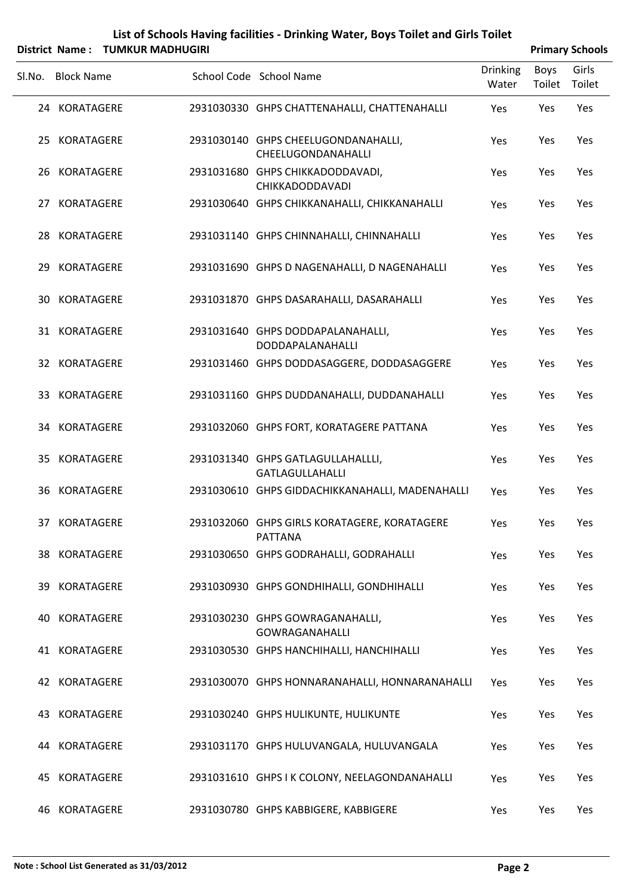|        |                       |                         |            | List of Schools Having facilities - Drinking Water, Boys Toilet and Girls Toilet |                          |                |                        |
|--------|-----------------------|-------------------------|------------|----------------------------------------------------------------------------------|--------------------------|----------------|------------------------|
|        | <b>District Name:</b> | <b>TUMKUR MADHUGIRI</b> |            |                                                                                  |                          |                | <b>Primary Schools</b> |
| Sl.No. | <b>Block Name</b>     |                         |            | School Code School Name                                                          | <b>Drinking</b><br>Water | Boys<br>Toilet | Girls<br>Toilet        |
|        | 24 KORATAGERE         |                         |            | 2931030330 GHPS CHATTENAHALLI, CHATTENAHALLI                                     | Yes                      | Yes            | Yes                    |
| 25     | KORATAGERE            |                         | 2931030140 | GHPS CHEELUGONDANAHALLI,<br>CHEELUGONDANAHALLI                                   | <b>Yes</b>               | Yes            | Yes                    |
| 26     | KORATAGERE            |                         |            | 2931031680 GHPS CHIKKADODDAVADI,<br><b>CHIKKADODDAVADI</b>                       | <b>Yes</b>               | Yes            | Yes                    |
| 27     | KORATAGERE            |                         | 2931030640 | GHPS CHIKKANAHALLI, CHIKKANAHALLI                                                | <b>Yes</b>               | Yes            | Yes                    |
| 28     | KORATAGERE            |                         |            | 2931031140 GHPS CHINNAHALLI, CHINNAHALLI                                         | <b>Yes</b>               | Yes            | Yes                    |
| 29     | KORATAGERE            |                         |            | 2931031690 GHPS D NAGENAHALLI, D NAGENAHALLI                                     | <b>Yes</b>               | <b>Yes</b>     | Yes                    |
| 30     | KORATAGERE            |                         |            | 2931031870 GHPS DASARAHALLI, DASARAHALLI                                         | <b>Yes</b>               | Yes            | Yes                    |
| 31     | KORATAGERE            |                         | 2931031640 | GHPS DODDAPALANAHALLI,<br>DODDAPALANAHALLI                                       | Yes                      | Yes            | Yes                    |

32 KORATAGERE 2931031460 GHPS DODDASAGGERE, DODDASAGGERE Yes Yes Yes

|    | 33 KORATAGERE | 2931031160 GHPS DUDDANAHALLI, DUDDANAHALLI                     | Yes | Yes        | Yes        |
|----|---------------|----------------------------------------------------------------|-----|------------|------------|
|    | 34 KORATAGERE | 2931032060 GHPS FORT, KORATAGERE PATTANA                       | Yes | Yes        | Yes        |
|    | 35 KORATAGERE | 2931031340 GHPS GATLAGULLAHALLLI,<br><b>GATLAGULLAHALLI</b>    | Yes | Yes        | Yes        |
|    | 36 KORATAGERE | 2931030610 GHPS GIDDACHIKKANAHALLI, MADENAHALLI                | Yes | Yes        | Yes        |
|    | 37 KORATAGERE | 2931032060 GHPS GIRLS KORATAGERE, KORATAGERE<br><b>PATTANA</b> | Yes | Yes        | Yes        |
|    | 38 KORATAGERE | 2931030650 GHPS GODRAHALLI, GODRAHALLI                         | Yes | Yes        | Yes        |
| 39 | KORATAGERE    | 2931030930 GHPS GONDHIHALLI, GONDHIHALLI                       | Yes | Yes        | Yes        |
| 40 | KORATAGERE    | 2931030230 GHPS GOWRAGANAHALLI,<br><b>GOWRAGANAHALLI</b>       | Yes | Yes        | Yes        |
|    | 41 KORATAGERE | 2931030530 GHPS HANCHIHALLI, HANCHIHALLI                       | Yes | Yes        | Yes        |
|    | 42 KORATAGERE | 2931030070 GHPS HONNARANAHALLI, HONNARANAHALLI                 | Yes | <b>Yes</b> | Yes        |
|    | 43 KORATAGERE | 2931030240 GHPS HULIKUNTE, HULIKUNTE                           | Yes | Yes        | Yes        |
|    | 44 KORATAGERE | 2931031170 GHPS HULUVANGALA, HULUVANGALA                       | Yes | Yes        | Yes        |
|    | 45 KORATAGERE | 2931031610 GHPS I K COLONY, NEELAGONDANAHALLI                  | Yes | Yes        | Yes        |
|    | 46 KORATAGERE | 2931030780 GHPS KABBIGERE, KABBIGERE                           | Yes | Yes        | <b>Yes</b> |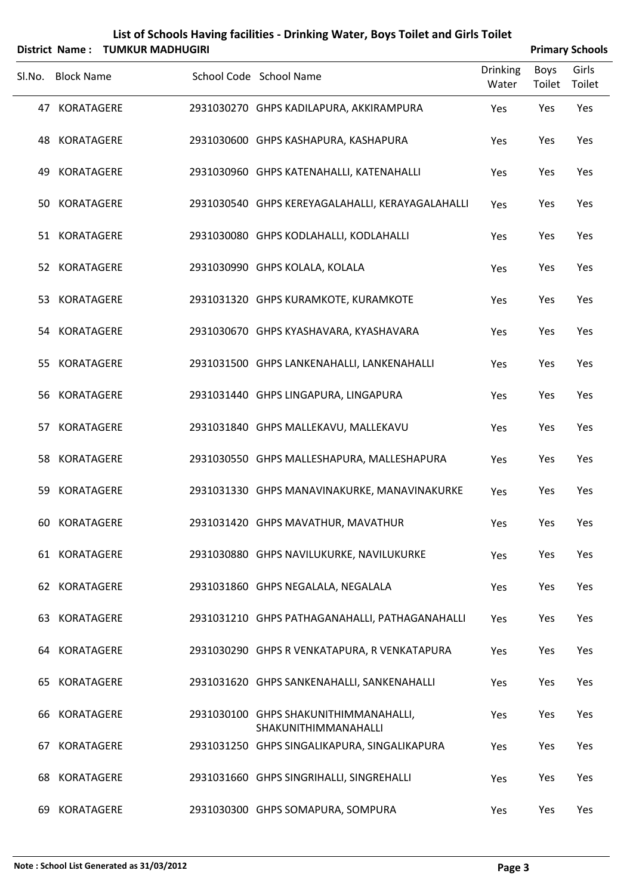|        | <b>District Name:</b> | <b>TUMKUR MADHUGIRI</b> | List of Schools Having facilities - Drinking Water, Boys Toilet and Girls Toilet |                          |                | <b>Primary Schools</b> |
|--------|-----------------------|-------------------------|----------------------------------------------------------------------------------|--------------------------|----------------|------------------------|
| SI.No. | <b>Block Name</b>     |                         | School Code School Name                                                          | <b>Drinking</b><br>Water | Boys<br>Toilet | Girls<br>Toilet        |
|        | 47 KORATAGERE         |                         | 2931030270 GHPS KADILAPURA, AKKIRAMPURA                                          | Yes                      | Yes            | Yes                    |
| 48     | KORATAGERE            |                         | 2931030600 GHPS KASHAPURA, KASHAPURA                                             | Yes                      | Yes            | Yes                    |
| 49     | <b>KORATAGERE</b>     |                         | 2931030960 GHPS KATENAHALLI, KATENAHALLI                                         | Yes                      | Yes            | Yes                    |
|        | 50 KORATAGERE         |                         | 2931030540 GHPS KEREYAGALAHALLI, KERAYAGALAHALLI                                 | Yes                      | Yes            | Yes                    |
|        | 51 KORATAGERE         |                         | 2931030080 GHPS KODLAHALLI, KODLAHALLI                                           | Yes                      | Yes            | Yes                    |
|        | 52 KORATAGERE         |                         | 2931030990 GHPS KOLALA, KOLALA                                                   | Yes                      | Yes            | Yes                    |
|        | 53 KORATAGERE         |                         | 2931031320 GHPS KURAMKOTE, KURAMKOTE                                             | Yes                      | Yes            | Yes                    |
|        | 54 KORATAGERE         |                         | 2931030670 GHPS KYASHAVARA, KYASHAVARA                                           | Yes                      | Yes            | Yes                    |
|        | 55 KORATAGERE         |                         | 2931031500 GHPS LANKENAHALLI, LANKENAHALLI                                       | Yes                      | Yes            | Yes                    |
|        | 56 KORATAGERE         |                         | 2931031440 GHPS LINGAPURA, LINGAPURA                                             | Yes                      | Yes            | Yes                    |
| 57     | KORATAGERE            |                         | 2931031840 GHPS MALLEKAVU, MALLEKAVU                                             | Yes                      | Yes            | Yes                    |
| 58     | KORATAGERE            |                         | 2931030550 GHPS MALLESHAPURA, MALLESHAPURA                                       | Yes                      | Yes            | Yes                    |
| 59     | KORATAGERE            |                         | 2931031330 GHPS MANAVINAKURKE, MANAVINAKURKE                                     | Yes                      | Yes            | Yes                    |
|        | 60 KORATAGERE         |                         | 2931031420 GHPS MAVATHUR, MAVATHUR                                               | Yes                      | Yes            | Yes                    |
|        | 61 KORATAGERE         |                         | 2931030880 GHPS NAVILUKURKE, NAVILUKURKE                                         | Yes                      | Yes            | Yes                    |
|        | 62 KORATAGERE         |                         | 2931031860 GHPS NEGALALA, NEGALALA                                               | Yes                      | Yes            | Yes                    |
|        | 63 KORATAGERE         |                         | 2931031210 GHPS PATHAGANAHALLI, PATHAGANAHALLI                                   | Yes                      | Yes            | Yes                    |
| 64     | KORATAGERE            |                         | 2931030290 GHPS R VENKATAPURA, R VENKATAPURA                                     | Yes                      | Yes            | Yes                    |
| 65     | KORATAGERE            |                         | 2931031620 GHPS SANKENAHALLI, SANKENAHALLI                                       | Yes                      | Yes            | Yes                    |
| 66     | KORATAGERE            |                         | 2931030100 GHPS SHAKUNITHIMMANAHALLI,<br>SHAKUNITHIMMANAHALLI                    | Yes                      | Yes            | Yes                    |
| 67     | KORATAGERE            |                         | 2931031250 GHPS SINGALIKAPURA, SINGALIKAPURA                                     | Yes                      | Yes            | Yes                    |
| 68     | KORATAGERE            |                         | 2931031660 GHPS SINGRIHALLI, SINGREHALLI                                         | Yes                      | Yes            | Yes                    |
| 69     | KORATAGERE            |                         | 2931030300 GHPS SOMAPURA, SOMPURA                                                | Yes                      | Yes            | Yes                    |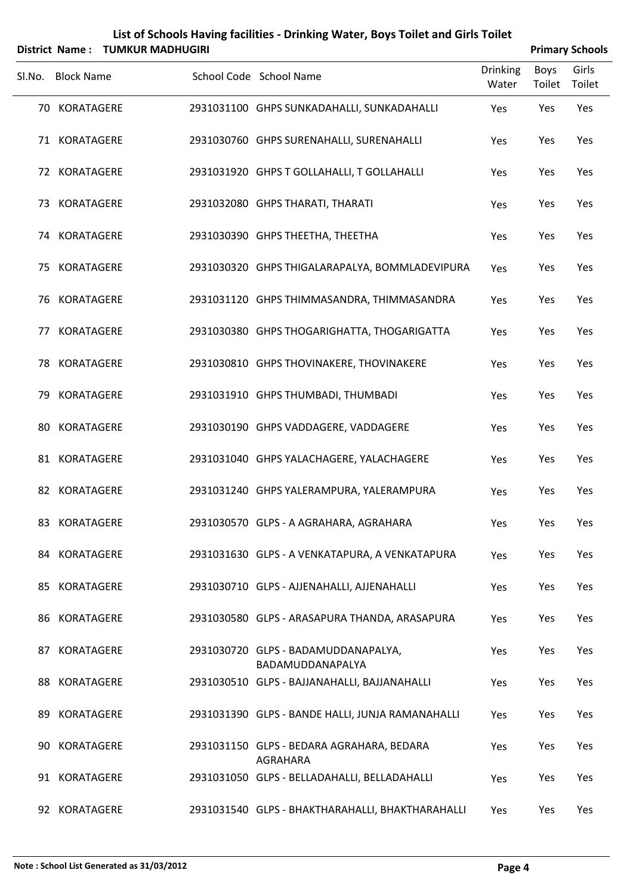|     |                   | District Name: TUMKUR MADHUGIRI |                                                         |                          |                | <b>Primary Schools</b> |
|-----|-------------------|---------------------------------|---------------------------------------------------------|--------------------------|----------------|------------------------|
|     | Sl.No. Block Name |                                 | School Code School Name                                 | <b>Drinking</b><br>Water | Boys<br>Toilet | Girls<br>Toilet        |
|     | 70 KORATAGERE     |                                 | 2931031100 GHPS SUNKADAHALLI, SUNKADAHALLI              | Yes                      | Yes            | Yes                    |
|     | 71 KORATAGERE     |                                 | 2931030760 GHPS SURENAHALLI, SURENAHALLI                | Yes                      | Yes            | Yes                    |
|     | 72 KORATAGERE     |                                 | 2931031920 GHPS T GOLLAHALLI, T GOLLAHALLI              | Yes                      | Yes            | Yes                    |
|     | 73 KORATAGERE     |                                 | 2931032080 GHPS THARATI, THARATI                        | Yes                      | Yes            | Yes                    |
|     | 74 KORATAGERE     |                                 | 2931030390 GHPS THEETHA, THEETHA                        | Yes                      | Yes            | Yes                    |
| 75. | KORATAGERE        |                                 | 2931030320 GHPS THIGALARAPALYA, BOMMLADEVIPURA          | Yes                      | Yes            | Yes                    |
| 76  | KORATAGERE        |                                 | 2931031120 GHPS THIMMASANDRA, THIMMASANDRA              | Yes                      | Yes            | Yes                    |
| 77  | <b>KORATAGERE</b> |                                 | 2931030380 GHPS THOGARIGHATTA, THOGARIGATTA             | Yes                      | Yes            | Yes                    |
| 78  | KORATAGERE        |                                 | 2931030810 GHPS THOVINAKERE, THOVINAKERE                | Yes                      | Yes            | Yes                    |
| 79. | KORATAGERE        |                                 | 2931031910 GHPS THUMBADI, THUMBADI                      | Yes                      | Yes            | Yes                    |
| 80  | <b>KORATAGERE</b> |                                 | 2931030190 GHPS VADDAGERE, VADDAGERE                    | Yes                      | Yes            | Yes                    |
|     | 81 KORATAGERE     |                                 | 2931031040 GHPS YALACHAGERE, YALACHAGERE                | Yes                      | Yes            | Yes                    |
| 82  | <b>KORATAGERE</b> |                                 | 2931031240 GHPS YALERAMPURA, YALERAMPURA                | Yes                      | Yes            | Yes                    |
|     | 83 KORATAGERE     |                                 | 2931030570 GLPS - A AGRAHARA, AGRAHARA                  | Yes                      | Yes            | Yes                    |
|     | 84 KORATAGERE     |                                 | 2931031630 GLPS - A VENKATAPURA, A VENKATAPURA          | Yes                      | Yes            | Yes                    |
| 85  | KORATAGERE        |                                 | 2931030710 GLPS - AJJENAHALLI, AJJENAHALLI              | Yes                      | Yes            | Yes                    |
| 86  | <b>KORATAGERE</b> |                                 | 2931030580 GLPS - ARASAPURA THANDA, ARASAPURA           | Yes                      | Yes            | Yes                    |
| 87  | KORATAGERE        |                                 | 2931030720 GLPS - BADAMUDDANAPALYA,<br>BADAMUDDANAPALYA | Yes                      | Yes            | Yes                    |
| 88  | <b>KORATAGERE</b> |                                 | 2931030510 GLPS - BAJJANAHALLI, BAJJANAHALLI            | Yes                      | Yes            | Yes                    |
| 89  | KORATAGERE        |                                 | 2931031390 GLPS - BANDE HALLI, JUNJA RAMANAHALLI        | Yes                      | Yes            | Yes                    |
| 90  | <b>KORATAGERE</b> |                                 | 2931031150 GLPS - BEDARA AGRAHARA, BEDARA<br>AGRAHARA   | Yes                      | Yes            | Yes                    |
| 91  | KORATAGERE        |                                 | 2931031050 GLPS - BELLADAHALLI, BELLADAHALLI            | Yes                      | Yes            | Yes                    |
|     | 92 KORATAGERE     |                                 | 2931031540 GLPS - BHAKTHARAHALLI, BHAKTHARAHALLI        | Yes                      | Yes            | Yes                    |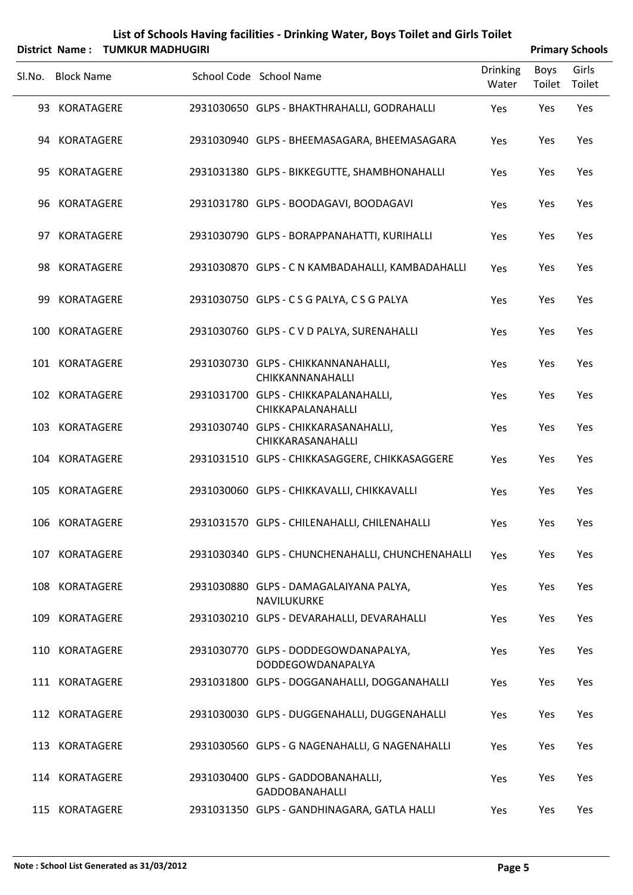|        |                   | District Name: TUMKUR MADHUGIRI |                                                           |                          |                       | <b>Primary Schools</b> |
|--------|-------------------|---------------------------------|-----------------------------------------------------------|--------------------------|-----------------------|------------------------|
| SI.No. | <b>Block Name</b> |                                 | School Code School Name                                   | <b>Drinking</b><br>Water | <b>Boys</b><br>Toilet | Girls<br>Toilet        |
|        | 93 KORATAGERE     |                                 | 2931030650 GLPS - BHAKTHRAHALLI, GODRAHALLI               | Yes                      | Yes                   | Yes                    |
|        | 94 KORATAGERE     |                                 | 2931030940 GLPS - BHEEMASAGARA, BHEEMASAGARA              | Yes                      | Yes                   | Yes                    |
| 95     | KORATAGERE        |                                 | 2931031380 GLPS - BIKKEGUTTE, SHAMBHONAHALLI              | Yes                      | Yes                   | Yes                    |
|        | 96 KORATAGERE     |                                 | 2931031780 GLPS - BOODAGAVI, BOODAGAVI                    | Yes                      | Yes                   | Yes                    |
| 97     | <b>KORATAGERE</b> |                                 | 2931030790 GLPS - BORAPPANAHATTI, KURIHALLI               | Yes                      | Yes                   | Yes                    |
|        | 98 KORATAGERE     |                                 | 2931030870 GLPS - C N KAMBADAHALLI, KAMBADAHALLI          | Yes                      | Yes                   | Yes                    |
| 99     | <b>KORATAGERE</b> |                                 | 2931030750 GLPS - CSG PALYA, CSG PALYA                    | Yes                      | Yes                   | Yes                    |
|        | 100 KORATAGERE    |                                 | 2931030760 GLPS - C V D PALYA, SURENAHALLI                | Yes                      | Yes                   | Yes                    |
|        | 101 KORATAGERE    |                                 | 2931030730 GLPS - CHIKKANNANAHALLI,<br>CHIKKANNANAHALLI   | Yes                      | Yes                   | Yes                    |
|        | 102 KORATAGERE    |                                 | 2931031700 GLPS - CHIKKAPALANAHALLI,<br>CHIKKAPALANAHALLI | Yes                      | Yes                   | Yes                    |
| 103    | <b>KORATAGERE</b> |                                 | 2931030740 GLPS - CHIKKARASANAHALLI,<br>CHIKKARASANAHALLI | Yes                      | Yes                   | Yes                    |
|        | 104 KORATAGERE    |                                 | 2931031510 GLPS - CHIKKASAGGERE, CHIKKASAGGERE            | Yes                      | Yes                   | Yes                    |
|        | 105 KORATAGERE    |                                 | 2931030060 GLPS - CHIKKAVALLI, CHIKKAVALLI                | Yes                      | Yes                   | Yes                    |
|        | 106 KORATAGERE    |                                 | 2931031570 GLPS - CHILENAHALLI, CHILENAHALLI              | Yes                      | Yes                   | Yes                    |
|        | 107 KORATAGERE    |                                 | 2931030340 GLPS - CHUNCHENAHALLI, CHUNCHENAHALLI          | Yes                      | Yes                   | Yes                    |
|        | 108 KORATAGERE    |                                 | 2931030880 GLPS - DAMAGALAIYANA PALYA,<br>NAVILUKURKE     | Yes                      | Yes                   | Yes                    |
|        | 109 KORATAGERE    |                                 | 2931030210 GLPS - DEVARAHALLI, DEVARAHALLI                | Yes                      | Yes                   | Yes                    |
|        | 110 KORATAGERE    |                                 | 2931030770 GLPS - DODDEGOWDANAPALYA,<br>DODDEGOWDANAPALYA | Yes                      | Yes                   | Yes                    |
|        | 111 KORATAGERE    |                                 | 2931031800 GLPS - DOGGANAHALLI, DOGGANAHALLI              | Yes                      | Yes                   | Yes                    |
|        | 112 KORATAGERE    |                                 | 2931030030 GLPS - DUGGENAHALLI, DUGGENAHALLI              | Yes                      | Yes                   | Yes                    |
|        | 113 KORATAGERE    |                                 | 2931030560 GLPS - G NAGENAHALLI, G NAGENAHALLI            | Yes                      | Yes                   | Yes                    |
|        | 114 KORATAGERE    |                                 | 2931030400 GLPS - GADDOBANAHALLI,<br>GADDOBANAHALLI       | Yes                      | Yes                   | Yes                    |
|        | 115 KORATAGERE    |                                 | 2931031350 GLPS - GANDHINAGARA, GATLA HALLI               | Yes                      | Yes                   | Yes                    |

#### **Note : School List Generated as 31/03/2012 Page 5**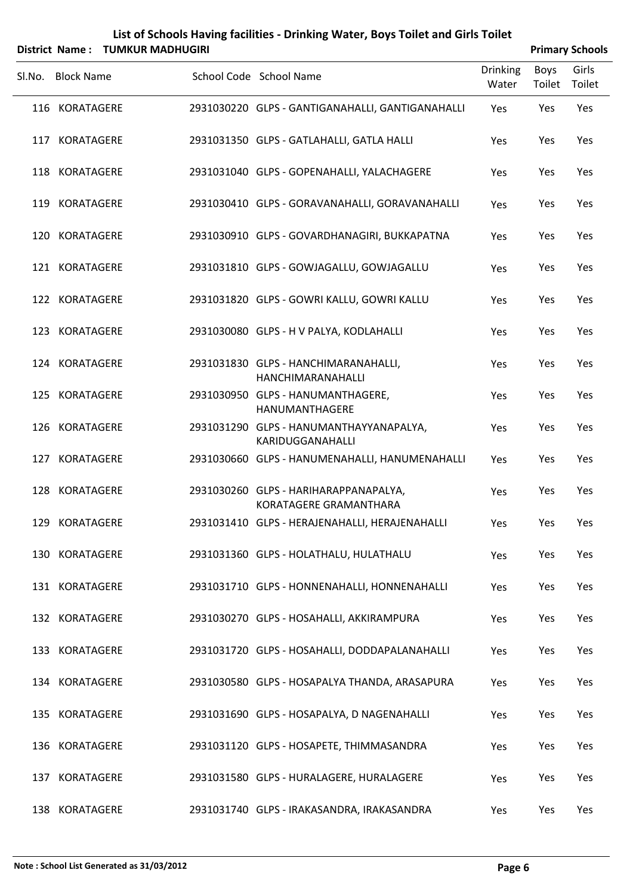| List of Schools Having facilities - Drinking Water, Boys Toilet and Girls Toilet                   |
|----------------------------------------------------------------------------------------------------|
| $\mathbf{F}$ . The set of $\mathbf{F}$ is a set of a set of $\mathbf{F}$ . The set of $\mathbf{F}$ |

|        | District Name: TUMKUR MADHUGIRI |                                                                 |                          |                | <b>Primary Schools</b> |
|--------|---------------------------------|-----------------------------------------------------------------|--------------------------|----------------|------------------------|
| Sl.No. | <b>Block Name</b>               | School Code School Name                                         | <b>Drinking</b><br>Water | Boys<br>Toilet | Girls<br>Toilet        |
|        | 116 KORATAGERE                  | 2931030220 GLPS - GANTIGANAHALLI, GANTIGANAHALLI                | Yes                      | Yes            | Yes                    |
|        | 117 KORATAGERE                  | 2931031350 GLPS - GATLAHALLI, GATLA HALLI                       | Yes                      | Yes            | Yes                    |
|        | 118 KORATAGERE                  | 2931031040 GLPS - GOPENAHALLI, YALACHAGERE                      | Yes                      | Yes            | Yes                    |
|        | 119 KORATAGERE                  | 2931030410 GLPS - GORAVANAHALLI, GORAVANAHALLI                  | Yes                      | Yes            | Yes                    |
|        | 120 KORATAGERE                  | 2931030910 GLPS - GOVARDHANAGIRI, BUKKAPATNA                    | Yes                      | Yes            | Yes                    |
|        | 121 KORATAGERE                  | 2931031810 GLPS - GOWJAGALLU, GOWJAGALLU                        | Yes                      | Yes            | Yes                    |
|        | 122 KORATAGERE                  | 2931031820 GLPS - GOWRI KALLU, GOWRI KALLU                      | Yes                      | Yes            | Yes                    |
|        | 123 KORATAGERE                  | 2931030080 GLPS - H V PALYA, KODLAHALLI                         | Yes                      | Yes            | Yes                    |
|        | 124 KORATAGERE                  | 2931031830 GLPS - HANCHIMARANAHALLI,<br>HANCHIMARANAHALLI       | Yes                      | Yes            | Yes                    |
|        | 125 KORATAGERE                  | 2931030950 GLPS - HANUMANTHAGERE,<br>HANUMANTHAGERE             | Yes                      | Yes            | Yes                    |
|        | 126 KORATAGERE                  | 2931031290 GLPS - HANUMANTHAYYANAPALYA,<br>KARIDUGGANAHALLI     | Yes                      | Yes            | Yes                    |
|        | 127 KORATAGERE                  | 2931030660 GLPS - HANUMENAHALLI, HANUMENAHALLI                  | Yes                      | Yes            | Yes                    |
|        | 128 KORATAGERE                  | 2931030260 GLPS - HARIHARAPPANAPALYA,<br>KORATAGERE GRAMANTHARA | Yes                      | Yes            | Yes                    |
|        | 129 KORATAGERE                  | 2931031410 GLPS - HERAJENAHALLI, HERAJENAHALLI                  | Yes                      | Yes            | Yes                    |
|        | 130 KORATAGERE                  | 2931031360 GLPS - HOLATHALU, HULATHALU                          | Yes                      | Yes            | Yes                    |
|        | 131 KORATAGERE                  | 2931031710 GLPS - HONNENAHALLI, HONNENAHALLI                    | Yes                      | Yes            | Yes                    |
|        | 132 KORATAGERE                  | 2931030270 GLPS - HOSAHALLI, AKKIRAMPURA                        | Yes                      | Yes            | Yes                    |
|        | 133 KORATAGERE                  | 2931031720 GLPS - HOSAHALLI, DODDAPALANAHALLI                   | Yes                      | Yes            | Yes                    |
|        | 134 KORATAGERE                  | 2931030580 GLPS - HOSAPALYA THANDA, ARASAPURA                   | Yes                      | Yes            | Yes                    |
|        | 135 KORATAGERE                  | 2931031690 GLPS - HOSAPALYA, D NAGENAHALLI                      | Yes                      | Yes            | Yes                    |
|        | 136 KORATAGERE                  | 2931031120 GLPS - HOSAPETE, THIMMASANDRA                        | Yes                      | Yes            | Yes                    |
|        | 137 KORATAGERE                  | 2931031580 GLPS - HURALAGERE, HURALAGERE                        | Yes                      | Yes            | Yes                    |
|        | 138 KORATAGERE                  | 2931031740 GLPS - IRAKASANDRA, IRAKASANDRA                      | Yes                      | Yes            | Yes                    |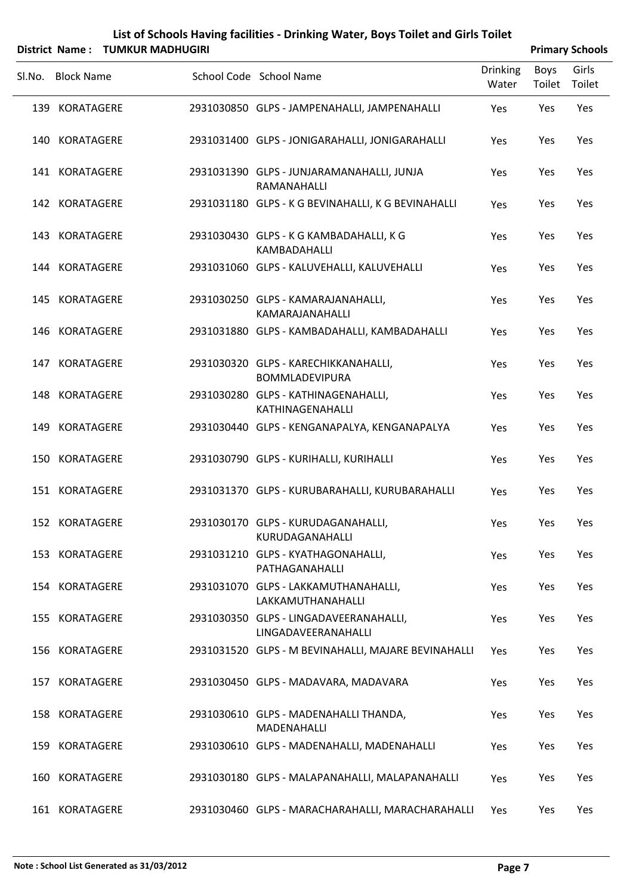| List of Schools Having facilities - Drinking Water, Boys Toilet and Girls Toilet |
|----------------------------------------------------------------------------------|
|                                                                                  |

|        | District Name: TUMKUR MADHUGIRI |                                                               |                          |                | <b>Primary Schools</b> |
|--------|---------------------------------|---------------------------------------------------------------|--------------------------|----------------|------------------------|
| Sl.No. | <b>Block Name</b>               | School Code School Name                                       | <b>Drinking</b><br>Water | Boys<br>Toilet | Girls<br>Toilet        |
|        | 139 KORATAGERE                  | 2931030850 GLPS - JAMPENAHALLI, JAMPENAHALLI                  | Yes                      | Yes            | Yes                    |
|        | 140 KORATAGERE                  | 2931031400 GLPS - JONIGARAHALLI, JONIGARAHALLI                | Yes                      | Yes            | Yes                    |
|        | 141 KORATAGERE                  | 2931031390 GLPS - JUNJARAMANAHALLI, JUNJA<br>RAMANAHALLI      | Yes                      | Yes            | Yes                    |
|        | 142 KORATAGERE                  | 2931031180 GLPS - K G BEVINAHALLI, K G BEVINAHALLI            | Yes                      | Yes            | Yes                    |
|        | 143 KORATAGERE                  | 2931030430 GLPS - K G KAMBADAHALLI, K G<br>KAMBADAHALLI       | Yes                      | Yes            | Yes                    |
|        | 144 KORATAGERE                  | 2931031060 GLPS - KALUVEHALLI, KALUVEHALLI                    | Yes                      | Yes            | Yes                    |
|        | 145 KORATAGERE                  | 2931030250 GLPS - KAMARAJANAHALLI,<br>KAMARAJANAHALLI         | Yes                      | Yes            | Yes                    |
|        | 146 KORATAGERE                  | 2931031880 GLPS - KAMBADAHALLI, KAMBADAHALLI                  | Yes                      | Yes            | Yes                    |
|        | 147 KORATAGERE                  | 2931030320 GLPS - KARECHIKKANAHALLI,<br><b>BOMMLADEVIPURA</b> | Yes                      | Yes            | Yes                    |
|        | 148 KORATAGERE                  | 2931030280 GLPS - KATHINAGENAHALLI,<br>KATHINAGENAHALLI       | Yes                      | Yes            | Yes                    |
|        | 149 KORATAGERE                  | 2931030440 GLPS - KENGANAPALYA, KENGANAPALYA                  | Yes                      | Yes            | Yes                    |
|        | 150 KORATAGERE                  | 2931030790 GLPS - KURIHALLI, KURIHALLI                        | Yes                      | Yes            | Yes                    |
|        | 151 KORATAGERE                  | 2931031370 GLPS - KURUBARAHALLI, KURUBARAHALLI                | Yes                      | Yes            | Yes                    |
|        | 152 KORATAGERE                  | 2931030170 GLPS - KURUDAGANAHALLI,<br>KURUDAGANAHALLI         | Yes                      | Yes            | Yes                    |
|        | 153 KORATAGERE                  | 2931031210 GLPS - KYATHAGONAHALLI,<br>PATHAGANAHALLI          | Yes                      | Yes            | Yes                    |
|        | 154 KORATAGERE                  | 2931031070 GLPS - LAKKAMUTHANAHALLI,<br>LAKKAMUTHANAHALLI     | Yes                      | Yes            | Yes                    |
|        | 155 KORATAGERE                  | 2931030350 GLPS - LINGADAVEERANAHALLI,<br>LINGADAVEERANAHALLI | Yes                      | Yes            | Yes                    |
|        | 156 KORATAGERE                  | 2931031520 GLPS - M BEVINAHALLI, MAJARE BEVINAHALLI           | Yes                      | Yes            | Yes                    |
|        | 157 KORATAGERE                  | 2931030450 GLPS - MADAVARA, MADAVARA                          | Yes                      | Yes            | Yes                    |
|        | 158 KORATAGERE                  | 2931030610 GLPS - MADENAHALLI THANDA,<br>MADENAHALLI          | Yes                      | Yes            | Yes                    |
|        | 159 KORATAGERE                  | 2931030610 GLPS - MADENAHALLI, MADENAHALLI                    | Yes                      | Yes            | Yes                    |
|        | 160 KORATAGERE                  | 2931030180 GLPS - MALAPANAHALLI, MALAPANAHALLI                | Yes                      | Yes            | Yes                    |
|        | 161 KORATAGERE                  | 2931030460 GLPS - MARACHARAHALLI, MARACHARAHALLI              | Yes                      | Yes            | Yes                    |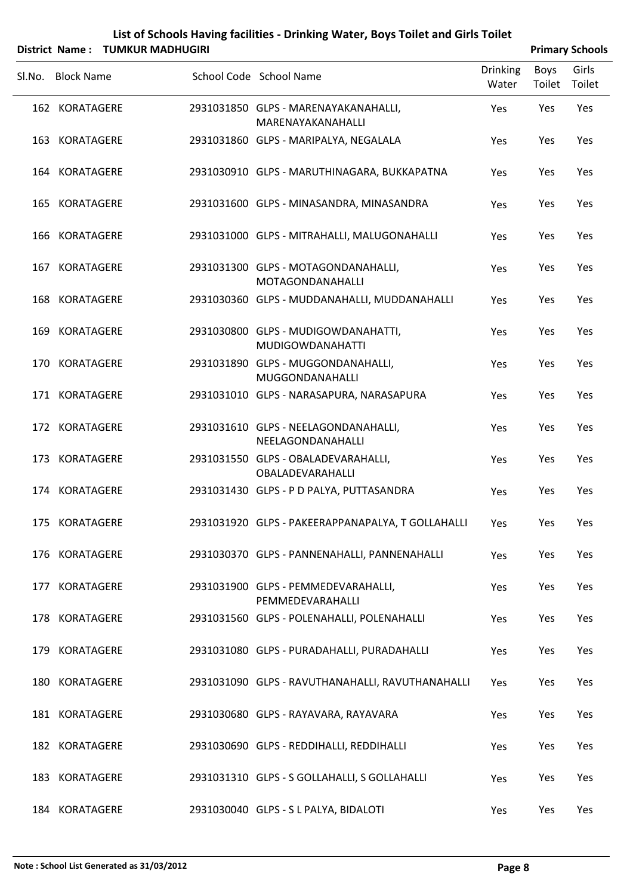|        |                   | District Name: TUMKUR MADHUGIRI |                                                                |                          |                | <b>Primary Schools</b> |
|--------|-------------------|---------------------------------|----------------------------------------------------------------|--------------------------|----------------|------------------------|
| Sl.No. | <b>Block Name</b> |                                 | School Code School Name                                        | <b>Drinking</b><br>Water | Boys<br>Toilet | Girls<br>Toilet        |
|        | 162 KORATAGERE    |                                 | 2931031850 GLPS - MARENAYAKANAHALLI,<br>MARENAYAKANAHALLI      | Yes                      | Yes            | Yes                    |
|        | 163 KORATAGERE    |                                 | 2931031860 GLPS - MARIPALYA, NEGALALA                          | Yes                      | Yes            | Yes                    |
|        | 164 KORATAGERE    |                                 | 2931030910 GLPS - MARUTHINAGARA, BUKKAPATNA                    | Yes                      | Yes            | Yes                    |
|        | 165 KORATAGERE    |                                 | 2931031600 GLPS - MINASANDRA, MINASANDRA                       | Yes                      | Yes            | Yes                    |
|        | 166 KORATAGERE    |                                 | 2931031000 GLPS - MITRAHALLI, MALUGONAHALLI                    | Yes                      | Yes            | Yes                    |
|        | 167 KORATAGERE    |                                 | 2931031300 GLPS - MOTAGONDANAHALLI,<br>MOTAGONDANAHALLI        | Yes                      | Yes            | Yes                    |
|        | 168 KORATAGERE    |                                 | 2931030360 GLPS - MUDDANAHALLI, MUDDANAHALLI                   | Yes                      | Yes            | Yes                    |
|        | 169 KORATAGERE    |                                 | 2931030800 GLPS - MUDIGOWDANAHATTI,<br><b>MUDIGOWDANAHATTI</b> | Yes                      | Yes            | Yes                    |
|        | 170 KORATAGERE    |                                 | 2931031890 GLPS - MUGGONDANAHALLI,<br>MUGGONDANAHALLI          | Yes                      | Yes            | Yes                    |
|        | 171 KORATAGERE    |                                 | 2931031010 GLPS - NARASAPURA, NARASAPURA                       | Yes                      | Yes            | Yes                    |
|        | 172 KORATAGERE    |                                 | 2931031610 GLPS - NEELAGONDANAHALLI,<br>NEELAGONDANAHALLI      | Yes                      | Yes            | Yes                    |
|        | 173 KORATAGERE    |                                 | 2931031550 GLPS - OBALADEVARAHALLI,<br>OBALADEVARAHALLI        | Yes                      | Yes            | Yes                    |
|        | 174 KORATAGERE    |                                 | 2931031430 GLPS - P D PALYA, PUTTASANDRA                       | Yes                      | Yes            | Yes                    |
|        | 175 KORATAGERE    |                                 | 2931031920 GLPS - PAKEERAPPANAPALYA, T GOLLAHALLI              | Yes                      | Yes            | Yes                    |
|        | 176 KORATAGERE    |                                 | 2931030370 GLPS - PANNENAHALLI, PANNENAHALLI                   | Yes                      | Yes            | Yes                    |
|        | 177 KORATAGERE    |                                 | 2931031900 GLPS - PEMMEDEVARAHALLI,<br>PEMMEDEVARAHALLI        | Yes                      | Yes            | Yes                    |
|        | 178 KORATAGERE    |                                 | 2931031560 GLPS - POLENAHALLI, POLENAHALLI                     | Yes                      | Yes            | Yes                    |
|        | 179 KORATAGERE    |                                 | 2931031080 GLPS - PURADAHALLI, PURADAHALLI                     | Yes                      | Yes            | Yes                    |
|        | 180 KORATAGERE    |                                 | 2931031090 GLPS - RAVUTHANAHALLI, RAVUTHANAHALLI               | Yes                      | Yes            | Yes                    |
|        | 181 KORATAGERE    |                                 | 2931030680 GLPS - RAYAVARA, RAYAVARA                           | Yes                      | Yes            | Yes                    |
|        | 182 KORATAGERE    |                                 | 2931030690 GLPS - REDDIHALLI, REDDIHALLI                       | Yes                      | Yes            | Yes                    |
|        | 183 KORATAGERE    |                                 | 2931031310 GLPS - S GOLLAHALLI, S GOLLAHALLI                   | Yes                      | Yes            | Yes                    |
|        | 184 KORATAGERE    |                                 | 2931030040 GLPS - S L PALYA, BIDALOTI                          | Yes                      | Yes            | Yes                    |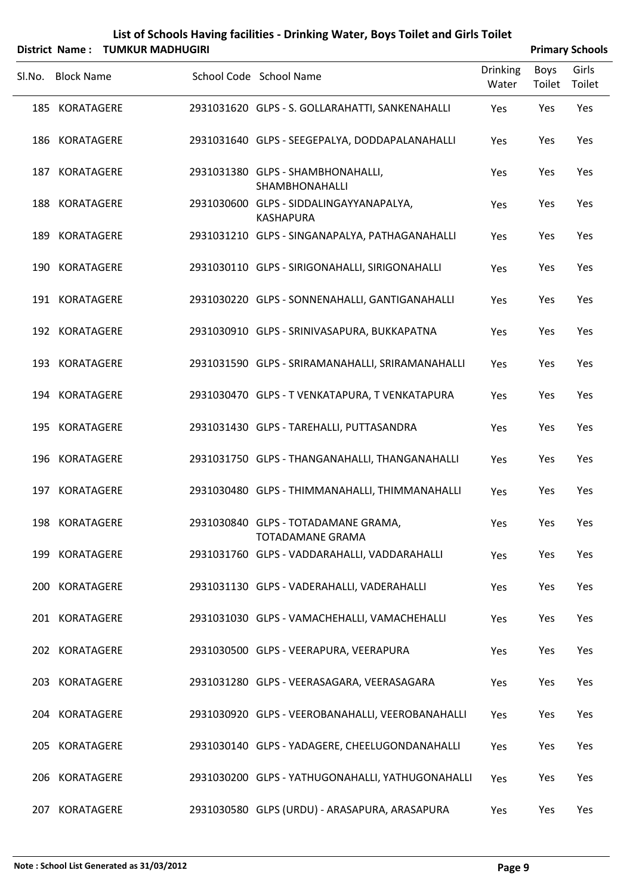| List of Schools Having facilities - Drinking Water, Boys Toilet and Girls Toilet                                                                                                                                                                                                                                                   |
|------------------------------------------------------------------------------------------------------------------------------------------------------------------------------------------------------------------------------------------------------------------------------------------------------------------------------------|
| $\mathbf{L}$ $\mathbf{L}$ $\mathbf{L}$ $\mathbf{L}$ $\mathbf{L}$ $\mathbf{L}$ $\mathbf{L}$ $\mathbf{L}$ $\mathbf{L}$ $\mathbf{L}$ $\mathbf{L}$ $\mathbf{L}$ $\mathbf{L}$ $\mathbf{L}$ $\mathbf{L}$ $\mathbf{L}$ $\mathbf{L}$ $\mathbf{L}$ $\mathbf{L}$ $\mathbf{L}$ $\mathbf{L}$ $\mathbf{L}$ $\mathbf{L}$ $\mathbf{L}$ $\mathbf{$ |

|        |                   | District Name: TUMKUR MADHUGIRI |                                                                |                          |                | <b>Primary Schools</b> |
|--------|-------------------|---------------------------------|----------------------------------------------------------------|--------------------------|----------------|------------------------|
| Sl.No. | <b>Block Name</b> |                                 | School Code School Name                                        | <b>Drinking</b><br>Water | Boys<br>Toilet | Girls<br>Toilet        |
|        | 185 KORATAGERE    |                                 | 2931031620 GLPS - S. GOLLARAHATTI, SANKENAHALLI                | Yes                      | Yes            | Yes                    |
|        | 186 KORATAGERE    |                                 | 2931031640 GLPS - SEEGEPALYA, DODDAPALANAHALLI                 | Yes                      | Yes            | Yes                    |
|        | 187 KORATAGERE    |                                 | 2931031380 GLPS - SHAMBHONAHALLI,<br><b>SHAMBHONAHALLI</b>     | Yes                      | Yes            | Yes                    |
|        | 188 KORATAGERE    |                                 | 2931030600 GLPS - SIDDALINGAYYANAPALYA,<br><b>KASHAPURA</b>    | Yes                      | Yes            | Yes                    |
|        | 189 KORATAGERE    |                                 | 2931031210 GLPS - SINGANAPALYA, PATHAGANAHALLI                 | Yes                      | Yes            | Yes                    |
|        | 190 KORATAGERE    |                                 | 2931030110 GLPS - SIRIGONAHALLI, SIRIGONAHALLI                 | Yes                      | Yes            | Yes                    |
|        | 191 KORATAGERE    |                                 | 2931030220 GLPS - SONNENAHALLI, GANTIGANAHALLI                 | Yes                      | Yes            | Yes                    |
|        | 192 KORATAGERE    |                                 | 2931030910 GLPS - SRINIVASAPURA, BUKKAPATNA                    | Yes                      | Yes            | Yes                    |
|        | 193 KORATAGERE    |                                 | 2931031590 GLPS - SRIRAMANAHALLI, SRIRAMANAHALLI               | Yes                      | Yes            | Yes                    |
|        | 194 KORATAGERE    |                                 | 2931030470 GLPS - T VENKATAPURA, T VENKATAPURA                 | Yes                      | Yes            | Yes                    |
|        | 195 KORATAGERE    |                                 | 2931031430 GLPS - TAREHALLI, PUTTASANDRA                       | Yes                      | Yes            | Yes                    |
|        | 196 KORATAGERE    |                                 | 2931031750 GLPS - THANGANAHALLI, THANGANAHALLI                 | Yes                      | Yes            | Yes                    |
|        | 197 KORATAGERE    |                                 | 2931030480 GLPS - THIMMANAHALLI, THIMMANAHALLI                 | Yes                      | Yes            | Yes                    |
|        | 198 KORATAGERE    |                                 | 2931030840 GLPS - TOTADAMANE GRAMA,<br><b>TOTADAMANE GRAMA</b> | Yes                      | Yes            | Yes                    |
|        | 199 KORATAGERE    |                                 | 2931031760 GLPS - VADDARAHALLI, VADDARAHALLI                   | Yes                      | Yes            | Yes                    |
|        | 200 KORATAGERE    |                                 | 2931031130 GLPS - VADERAHALLI, VADERAHALLI                     | Yes                      | Yes            | Yes                    |
|        | 201 KORATAGERE    |                                 | 2931031030 GLPS - VAMACHEHALLI, VAMACHEHALLI                   | Yes                      | Yes            | Yes                    |
|        | 202 KORATAGERE    |                                 | 2931030500 GLPS - VEERAPURA, VEERAPURA                         | Yes                      | Yes            | Yes                    |
|        | 203 KORATAGERE    |                                 | 2931031280 GLPS - VEERASAGARA, VEERASAGARA                     | Yes                      | Yes            | Yes                    |
|        | 204 KORATAGERE    |                                 | 2931030920 GLPS - VEEROBANAHALLI, VEEROBANAHALLI               | Yes                      | Yes            | Yes                    |
|        | 205 KORATAGERE    |                                 | 2931030140 GLPS - YADAGERE, CHEELUGONDANAHALLI                 | Yes                      | Yes            | Yes                    |
|        | 206 KORATAGERE    |                                 | 2931030200 GLPS - YATHUGONAHALLI, YATHUGONAHALLI               | Yes                      | Yes            | Yes                    |
|        | 207 KORATAGERE    |                                 | 2931030580 GLPS (URDU) - ARASAPURA, ARASAPURA                  | Yes                      | Yes            | Yes                    |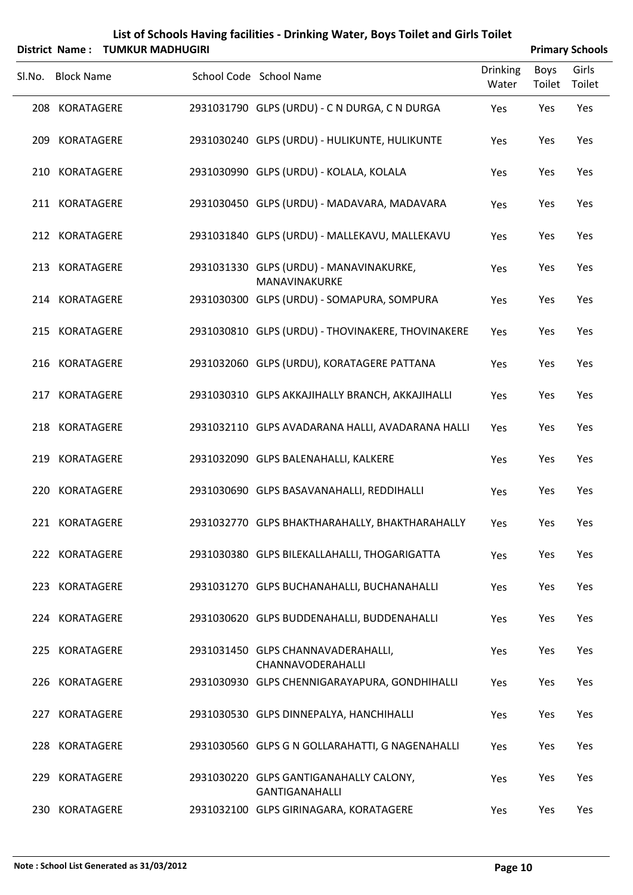| List of Schools Having facilities - Drinking Water, Boys Toilet and Girls Toilet                                                                                                                                                |
|---------------------------------------------------------------------------------------------------------------------------------------------------------------------------------------------------------------------------------|
| $\cdots$ . The set of the set of the set of the set of the set of the set of the set of the set of the set of the set of the set of the set of the set of the set of the set of the set of the set of the set of the set of the |

| District Name: TUMKUR MADHUGIRI |                   |  |                                                                 |                          |                | <b>Primary Schools</b> |
|---------------------------------|-------------------|--|-----------------------------------------------------------------|--------------------------|----------------|------------------------|
| Sl.No.                          | <b>Block Name</b> |  | School Code School Name                                         | <b>Drinking</b><br>Water | Boys<br>Toilet | Girls<br>Toilet        |
|                                 | 208 KORATAGERE    |  | 2931031790 GLPS (URDU) - C N DURGA, C N DURGA                   | Yes                      | Yes            | Yes                    |
| 209                             | KORATAGERE        |  | 2931030240 GLPS (URDU) - HULIKUNTE, HULIKUNTE                   | Yes                      | Yes            | Yes                    |
|                                 | 210 KORATAGERE    |  | 2931030990 GLPS (URDU) - KOLALA, KOLALA                         | Yes                      | Yes            | Yes                    |
|                                 | 211 KORATAGERE    |  | 2931030450 GLPS (URDU) - MADAVARA, MADAVARA                     | Yes                      | Yes            | Yes                    |
|                                 | 212 KORATAGERE    |  | 2931031840 GLPS (URDU) - MALLEKAVU, MALLEKAVU                   | Yes                      | Yes            | Yes                    |
|                                 | 213 KORATAGERE    |  | 2931031330 GLPS (URDU) - MANAVINAKURKE,<br>MANAVINAKURKE        | Yes                      | Yes            | Yes                    |
|                                 | 214 KORATAGERE    |  | 2931030300 GLPS (URDU) - SOMAPURA, SOMPURA                      | Yes                      | Yes            | Yes                    |
|                                 | 215 KORATAGERE    |  | 2931030810 GLPS (URDU) - THOVINAKERE, THOVINAKERE               | Yes                      | Yes            | Yes                    |
|                                 | 216 KORATAGERE    |  | 2931032060 GLPS (URDU), KORATAGERE PATTANA                      | Yes                      | Yes            | Yes                    |
|                                 | 217 KORATAGERE    |  | 2931030310 GLPS AKKAJIHALLY BRANCH, AKKAJIHALLI                 | Yes                      | Yes            | Yes                    |
|                                 | 218 KORATAGERE    |  | 2931032110 GLPS AVADARANA HALLI, AVADARANA HALLI                | Yes                      | Yes            | Yes                    |
|                                 | 219 KORATAGERE    |  | 2931032090 GLPS BALENAHALLI, KALKERE                            | Yes                      | Yes            | Yes                    |
|                                 | 220 KORATAGERE    |  | 2931030690 GLPS BASAVANAHALLI, REDDIHALLI                       | Yes                      | Yes            | Yes                    |
|                                 | 221 KORATAGERE    |  | 2931032770 GLPS BHAKTHARAHALLY, BHAKTHARAHALLY                  | Yes                      | Yes            | Yes                    |
|                                 | 222 KORATAGERE    |  | 2931030380 GLPS BILEKALLAHALLI, THOGARIGATTA                    | Yes                      | Yes            | Yes                    |
|                                 | 223 KORATAGERE    |  | 2931031270 GLPS BUCHANAHALLI, BUCHANAHALLI                      | Yes                      | Yes            | Yes                    |
|                                 | 224 KORATAGERE    |  | 2931030620 GLPS BUDDENAHALLI, BUDDENAHALLI                      | Yes                      | Yes            | Yes                    |
|                                 | 225 KORATAGERE    |  | 2931031450 GLPS CHANNAVADERAHALLI,<br>CHANNAVODERAHALLI         | Yes                      | Yes            | Yes                    |
|                                 | 226 KORATAGERE    |  | 2931030930 GLPS CHENNIGARAYAPURA, GONDHIHALLI                   | Yes                      | Yes            | Yes                    |
|                                 | 227 KORATAGERE    |  | 2931030530 GLPS DINNEPALYA, HANCHIHALLI                         | Yes                      | Yes            | Yes                    |
|                                 | 228 KORATAGERE    |  | 2931030560 GLPS G N GOLLARAHATTI, G NAGENAHALLI                 | Yes                      | Yes            | Yes                    |
|                                 | 229 KORATAGERE    |  | 2931030220 GLPS GANTIGANAHALLY CALONY,<br><b>GANTIGANAHALLI</b> | Yes                      | Yes            | Yes                    |
|                                 | 230 KORATAGERE    |  | 2931032100 GLPS GIRINAGARA, KORATAGERE                          | Yes                      | Yes            | Yes                    |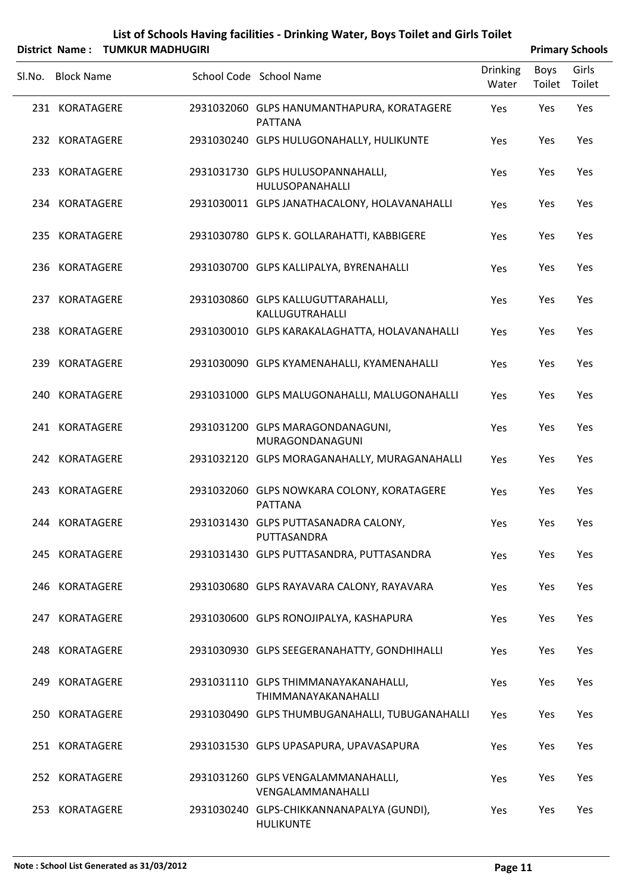| List of Schools Having facilities - Drinking Water, Boys Toilet and Girls Toilet |  |
|----------------------------------------------------------------------------------|--|
| $\mathbf{L}$ . News, TURES ALON MEDICINE                                         |  |

|        | District Name: TUMKUR MADHUGIRI |                                                               |                          |                | <b>Primary Schools</b> |
|--------|---------------------------------|---------------------------------------------------------------|--------------------------|----------------|------------------------|
| Sl.No. | <b>Block Name</b>               | School Code School Name                                       | <b>Drinking</b><br>Water | Boys<br>Toilet | Girls<br>Toilet        |
|        | 231 KORATAGERE                  | 2931032060 GLPS HANUMANTHAPURA, KORATAGERE<br><b>PATTANA</b>  | Yes                      | Yes            | Yes                    |
|        | 232 KORATAGERE                  | 2931030240 GLPS HULUGONAHALLY, HULIKUNTE                      | Yes                      | Yes            | Yes                    |
|        | 233 KORATAGERE                  | 2931031730 GLPS HULUSOPANNAHALLI,<br><b>HULUSOPANAHALLI</b>   | Yes                      | Yes            | Yes                    |
|        | 234 KORATAGERE                  | 2931030011 GLPS JANATHACALONY, HOLAVANAHALLI                  | Yes                      | Yes            | Yes                    |
|        | 235 KORATAGERE                  | 2931030780 GLPS K. GOLLARAHATTI, KABBIGERE                    | Yes                      | Yes            | Yes                    |
|        | 236 KORATAGERE                  | 2931030700 GLPS KALLIPALYA, BYRENAHALLI                       | Yes                      | Yes            | Yes                    |
|        | 237 KORATAGERE                  | 2931030860 GLPS KALLUGUTTARAHALLI,<br>KALLUGUTRAHALLI         | Yes                      | Yes            | Yes                    |
|        | 238 KORATAGERE                  | 2931030010 GLPS KARAKALAGHATTA, HOLAVANAHALLI                 | Yes                      | Yes            | Yes                    |
|        | 239 KORATAGERE                  | 2931030090 GLPS KYAMENAHALLI, KYAMENAHALLI                    | Yes                      | Yes            | Yes                    |
|        | 240 KORATAGERE                  | 2931031000 GLPS MALUGONAHALLI, MALUGONAHALLI                  | Yes                      | Yes            | Yes                    |
|        | 241 KORATAGERE                  | 2931031200 GLPS MARAGONDANAGUNI,<br>MURAGONDANAGUNI           | Yes                      | Yes            | Yes                    |
|        | 242 KORATAGERE                  | 2931032120 GLPS MORAGANAHALLY, MURAGANAHALLI                  | Yes                      | Yes            | Yes                    |
|        | 243 KORATAGERE                  | 2931032060 GLPS NOWKARA COLONY, KORATAGERE<br><b>PATTANA</b>  | Yes                      | Yes            | Yes                    |
|        | 244 KORATAGERE                  | 2931031430 GLPS PUTTASANADRA CALONY,<br>PUTTASANDRA           | Yes                      | Yes            | Yes                    |
|        | 245 KORATAGERE                  | 2931031430 GLPS PUTTASANDRA, PUTTASANDRA                      | Yes                      | Yes            | Yes                    |
|        | 246 KORATAGERE                  | 2931030680 GLPS RAYAVARA CALONY, RAYAVARA                     | Yes                      | Yes            | Yes                    |
|        | 247 KORATAGERE                  | 2931030600 GLPS RONOJIPALYA, KASHAPURA                        | Yes                      | Yes            | Yes                    |
|        | 248 KORATAGERE                  | 2931030930 GLPS SEEGERANAHATTY, GONDHIHALLI                   | Yes                      | Yes            | Yes                    |
|        | 249 KORATAGERE                  | 2931031110 GLPS THIMMANAYAKANAHALLI,<br>THIMMANAYAKANAHALLI   | Yes                      | Yes            | Yes                    |
|        | 250 KORATAGERE                  | 2931030490 GLPS THUMBUGANAHALLI, TUBUGANAHALLI                | Yes                      | Yes            | Yes                    |
|        | 251 KORATAGERE                  | 2931031530 GLPS UPASAPURA, UPAVASAPURA                        | Yes                      | Yes            | Yes                    |
|        | 252 KORATAGERE                  | 2931031260 GLPS VENGALAMMANAHALLI,<br>VENGALAMMANAHALLI       | Yes                      | Yes            | Yes                    |
|        | 253 KORATAGERE                  | 2931030240 GLPS-CHIKKANNANAPALYA (GUNDI),<br><b>HULIKUNTE</b> | Yes                      | Yes            | Yes                    |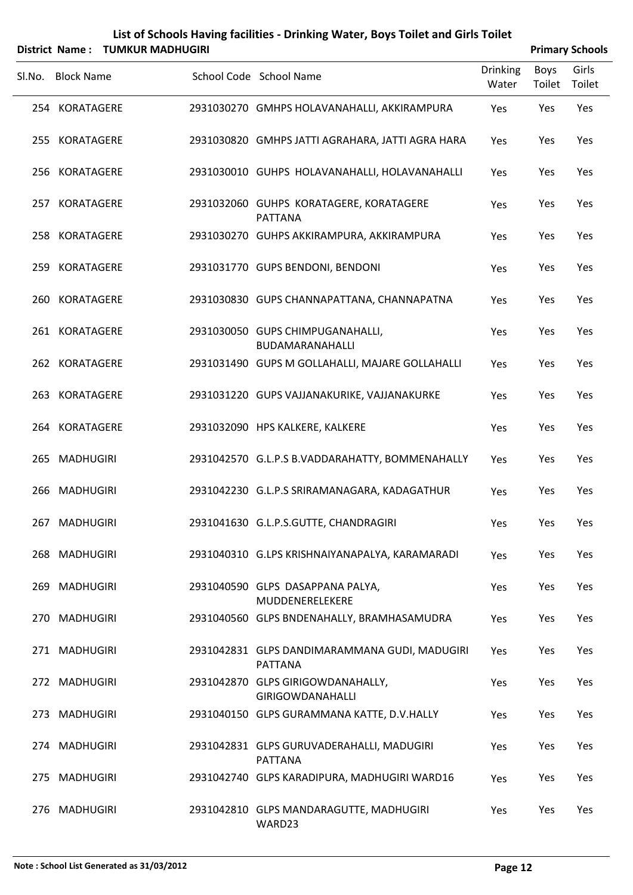|        | District Name: TUMKUR MADHUGIRI | List of Schools Having facilities - Drinking Water, Boys Toilet and Girls Toilet |                   | <b>Primary Schools</b> |                 |
|--------|---------------------------------|----------------------------------------------------------------------------------|-------------------|------------------------|-----------------|
| Sl.No. | Block Name                      | School Code School Name                                                          | Drinking<br>Water | Boys<br>Toilet         | Girls<br>Toilet |
|        | 254 KORATAGERE                  | 2931030270 GMHPS HOLAVANAHALLI AKKIRAMPLIRA                                      | Voc               | ∨ەد                    | ∨ەد             |

|  | 254 KORATAGERE | 2931030270 GMHPS HOLAVANAHALLI, AKKIRAMPURA                     | Yes | Yes | Yes |
|--|----------------|-----------------------------------------------------------------|-----|-----|-----|
|  | 255 KORATAGERE | 2931030820 GMHPS JATTI AGRAHARA, JATTI AGRA HARA                | Yes | Yes | Yes |
|  | 256 KORATAGERE | 2931030010 GUHPS HOLAVANAHALLI, HOLAVANAHALLI                   | Yes | Yes | Yes |
|  | 257 KORATAGERE | 2931032060 GUHPS KORATAGERE, KORATAGERE<br><b>PATTANA</b>       | Yes | Yes | Yes |
|  | 258 KORATAGERE | 2931030270 GUHPS AKKIRAMPURA, AKKIRAMPURA                       | Yes | Yes | Yes |
|  | 259 KORATAGERE | 2931031770 GUPS BENDONI, BENDONI                                | Yes | Yes | Yes |
|  | 260 KORATAGERE | 2931030830 GUPS CHANNAPATTANA, CHANNAPATNA                      | Yes | Yes | Yes |
|  | 261 KORATAGERE | 2931030050 GUPS CHIMPUGANAHALLI,<br>BUDAMARANAHALLI             | Yes | Yes | Yes |
|  | 262 KORATAGERE | 2931031490 GUPS M GOLLAHALLI, MAJARE GOLLAHALLI                 | Yes | Yes | Yes |
|  | 263 KORATAGERE | 2931031220 GUPS VAJJANAKURIKE, VAJJANAKURKE                     | Yes | Yes | Yes |
|  | 264 KORATAGERE | 2931032090 HPS KALKERE, KALKERE                                 | Yes | Yes | Yes |
|  | 265 MADHUGIRI  | 2931042570 G.L.P.S B.VADDARAHATTY, BOMMENAHALLY                 | Yes | Yes | Yes |
|  | 266 MADHUGIRI  | 2931042230 G.L.P.S SRIRAMANAGARA, KADAGATHUR                    | Yes | Yes | Yes |
|  | 267 MADHUGIRI  | 2931041630 G.L.P.S.GUTTE, CHANDRAGIRI                           | Yes | Yes | Yes |
|  | 268 MADHUGIRI  | 2931040310 G.LPS KRISHNAIYANAPALYA, KARAMARADI                  | Yes | Yes | Yes |
|  | 269 MADHUGIRI  | 2931040590 GLPS DASAPPANA PALYA,<br>MUDDENERELEKERE             | Yes | Yes | Yes |
|  | 270 MADHUGIRI  | 2931040560 GLPS BNDENAHALLY, BRAMHASAMUDRA                      | Yes | Yes | Yes |
|  | 271 MADHUGIRI  | 2931042831 GLPS DANDIMARAMMANA GUDI, MADUGIRI<br><b>PATTANA</b> | Yes | Yes | Yes |
|  | 272 MADHUGIRI  | 2931042870 GLPS GIRIGOWDANAHALLY,<br><b>GIRIGOWDANAHALLI</b>    | Yes | Yes | Yes |
|  | 273 MADHUGIRI  | 2931040150 GLPS GURAMMANA KATTE, D.V.HALLY                      | Yes | Yes | Yes |
|  | 274 MADHUGIRI  | 2931042831 GLPS GURUVADERAHALLI, MADUGIRI<br><b>PATTANA</b>     | Yes | Yes | Yes |
|  | 275 MADHUGIRI  | 2931042740 GLPS KARADIPURA, MADHUGIRI WARD16                    | Yes | Yes | Yes |
|  | 276 MADHUGIRI  | 2931042810 GLPS MANDARAGUTTE, MADHUGIRI<br>WARD23               | Yes | Yes | Yes |
|  |                |                                                                 |     |     |     |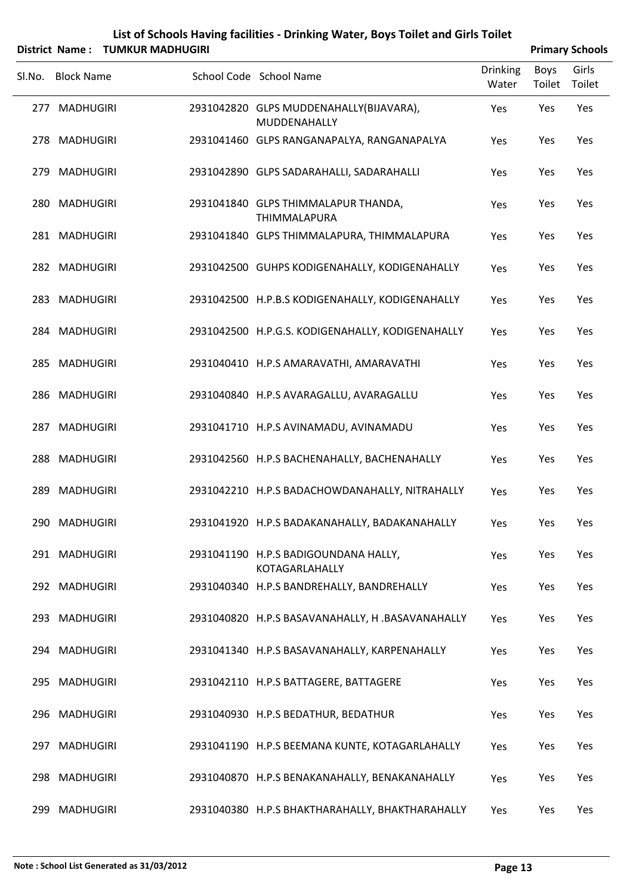| List of Schools Having facilities - Drinking Water, Boys Toilet and Girls Toilet |
|----------------------------------------------------------------------------------|
| $\mathbf{a}$ . News, TURAVID MARDULOURL                                          |

|        | District Name: TUMKUR MADHUGIRI |                                                         |                   |                | <b>Primary Schools</b> |
|--------|---------------------------------|---------------------------------------------------------|-------------------|----------------|------------------------|
| Sl.No. | <b>Block Name</b>               | School Code School Name                                 | Drinking<br>Water | Boys<br>Toilet | Girls<br>Toilet        |
|        | 277 MADHUGIRI                   | 2931042820 GLPS MUDDENAHALLY(BIJAVARA),<br>MUDDENAHALLY | Yes               | Yes            | Yes                    |
|        | 278 MADHUGIRI                   | 2931041460 GLPS RANGANAPALYA, RANGANAPALYA              | Yes               | Yes            | Yes                    |
|        | 279 MADHUGIRI                   | 2931042890 GLPS SADARAHALLI, SADARAHALLI                | Yes               | Yes            | Yes                    |
|        | 280 MADHUGIRI                   | 2931041840 GLPS THIMMALAPUR THANDA,<br>THIMMALAPURA     | Yes               | Yes            | Yes                    |
|        | 281 MADHUGIRI                   | 2931041840 GLPS THIMMALAPURA, THIMMALAPURA              | Yes               | Yes            | Yes                    |
|        | 282 MADHUGIRI                   | 2931042500 GUHPS KODIGENAHALLY, KODIGENAHALLY           | Yes               | Yes            | Yes                    |
|        | 283 MADHUGIRI                   | 2931042500 H.P.B.S KODIGENAHALLY, KODIGENAHALLY         | Yes               | Yes            | Yes                    |
|        | 284 MADHUGIRI                   | 2931042500 H.P.G.S. KODIGENAHALLY, KODIGENAHALLY        | Yes               | Yes            | Yes                    |
|        | 285 MADHUGIRI                   | 2931040410 H.P.S AMARAVATHI, AMARAVATHI                 | Yes               | Yes            | Yes                    |
|        | 286 MADHUGIRI                   | 2931040840 H.P.S AVARAGALLU, AVARAGALLU                 | Yes               | Yes            | Yes                    |
|        | 287 MADHUGIRI                   | 2931041710 H.P.S AVINAMADU, AVINAMADU                   | Yes               | Yes            | Yes                    |
|        | 288 MADHUGIRI                   | 2931042560 H.P.S BACHENAHALLY, BACHENAHALLY             | Yes               | Yes            | Yes                    |
|        | 289 MADHUGIRI                   | 2931042210 H.P.S BADACHOWDANAHALLY, NITRAHALLY          | Yes               | Yes            | Yes                    |
|        | 290 MADHUGIRI                   | 2931041920 H.P.S BADAKANAHALLY, BADAKANAHALLY           | Yes               | Yes            | Yes                    |
|        | 291 MADHUGIRI                   | 2931041190 H.P.S BADIGOUNDANA HALLY,<br>KOTAGARLAHALLY  | Yes               | Yes            | Yes                    |
|        | 292 MADHUGIRI                   | 2931040340 H.P.S BANDREHALLY, BANDREHALLY               | Yes               | Yes            | Yes                    |
|        | 293 MADHUGIRI                   | 2931040820 H.P.S BASAVANAHALLY, H.BASAVANAHALLY         | Yes               | Yes            | Yes                    |
|        | 294 MADHUGIRI                   | 2931041340 H.P.S BASAVANAHALLY, KARPENAHALLY            | Yes               | Yes            | Yes                    |
|        | 295 MADHUGIRI                   | 2931042110 H.P.S BATTAGERE, BATTAGERE                   | Yes               | Yes            | Yes                    |
|        | 296 MADHUGIRI                   | 2931040930 H.P.S BEDATHUR, BEDATHUR                     | Yes               | Yes            | Yes                    |
|        | 297 MADHUGIRI                   | 2931041190 H.P.S BEEMANA KUNTE, KOTAGARLAHALLY          | Yes               | Yes            | Yes                    |
|        | 298 MADHUGIRI                   | 2931040870 H.P.S BENAKANAHALLY, BENAKANAHALLY           | Yes               | Yes            | Yes                    |
|        | 299 MADHUGIRI                   | 2931040380 H.P.S BHAKTHARAHALLY, BHAKTHARAHALLY         | Yes               | Yes            | Yes                    |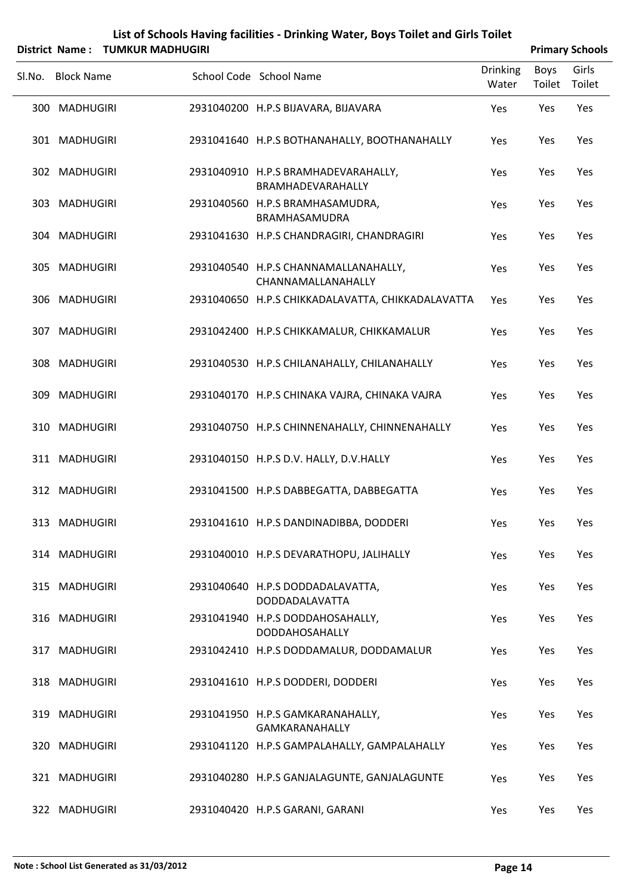| List of Schools Having facilities - Drinking Water, Boys Toilet and Girls Toilet |
|----------------------------------------------------------------------------------|
| $\mathbf{u}$ at blasses . THRAINED BARDINICIDE                                   |

|        | District Name: TUMKUR MADHUGIRI |  |                                                            |                          | <b>Primary Schools</b> |                 |
|--------|---------------------------------|--|------------------------------------------------------------|--------------------------|------------------------|-----------------|
| Sl.No. | <b>Block Name</b>               |  | School Code School Name                                    | <b>Drinking</b><br>Water | Boys<br>Toilet         | Girls<br>Toilet |
|        | 300 MADHUGIRI                   |  | 2931040200 H.P.S BIJAVARA, BIJAVARA                        | Yes                      | Yes                    | Yes             |
|        | 301 MADHUGIRI                   |  | 2931041640 H.P.S BOTHANAHALLY, BOOTHANAHALLY               | Yes                      | Yes                    | Yes             |
|        | 302 MADHUGIRI                   |  | 2931040910 H.P.S BRAMHADEVARAHALLY,<br>BRAMHADEVARAHALLY   | Yes                      | Yes                    | Yes             |
|        | 303 MADHUGIRI                   |  | 2931040560 H.P.S BRAMHASAMUDRA,<br>BRAMHASAMUDRA           | Yes                      | Yes                    | Yes             |
|        | 304 MADHUGIRI                   |  | 2931041630 H.P.S CHANDRAGIRI, CHANDRAGIRI                  | Yes                      | Yes                    | Yes             |
|        | 305 MADHUGIRI                   |  | 2931040540 H.P.S CHANNAMALLANAHALLY,<br>CHANNAMALLANAHALLY | Yes                      | Yes                    | Yes             |
|        | 306 MADHUGIRI                   |  | 2931040650 H.P.S CHIKKADALAVATTA, CHIKKADALAVATTA          | Yes                      | Yes                    | Yes             |
|        | 307 MADHUGIRI                   |  | 2931042400 H.P.S CHIKKAMALUR, CHIKKAMALUR                  | Yes                      | Yes                    | Yes             |
|        | 308 MADHUGIRI                   |  | 2931040530 H.P.S CHILANAHALLY, CHILANAHALLY                | Yes                      | Yes                    | Yes             |
|        | 309 MADHUGIRI                   |  | 2931040170 H.P.S CHINAKA VAJRA, CHINAKA VAJRA              | Yes                      | Yes                    | Yes             |
|        | 310 MADHUGIRI                   |  | 2931040750 H.P.S CHINNENAHALLY, CHINNENAHALLY              | Yes                      | Yes                    | Yes             |
|        | 311 MADHUGIRI                   |  | 2931040150 H.P.S D.V. HALLY, D.V.HALLY                     | Yes                      | Yes                    | Yes             |
|        | 312 MADHUGIRI                   |  | 2931041500 H.P.S DABBEGATTA, DABBEGATTA                    | Yes                      | Yes                    | Yes             |
|        | 313 MADHUGIRI                   |  | 2931041610 H.P.S DANDINADIBBA, DODDERI                     | Yes                      | Yes                    | Yes             |
|        | 314 MADHUGIRI                   |  | 2931040010 H.P.S DEVARATHOPU, JALIHALLY                    | Yes                      | Yes                    | Yes             |
|        | 315 MADHUGIRI                   |  | 2931040640 H.P.S DODDADALAVATTA,<br>DODDADALAVATTA         | Yes                      | Yes                    | Yes             |
|        | 316 MADHUGIRI                   |  | 2931041940 H.P.S DODDAHOSAHALLY,<br>DODDAHOSAHALLY         | Yes                      | Yes                    | Yes             |
|        | 317 MADHUGIRI                   |  | 2931042410 H.P.S DODDAMALUR, DODDAMALUR                    | Yes                      | Yes                    | Yes             |
|        | 318 MADHUGIRI                   |  | 2931041610 H.P.S DODDERI, DODDERI                          | Yes                      | Yes                    | Yes             |
|        | 319 MADHUGIRI                   |  | 2931041950 H.P.S GAMKARANAHALLY,<br><b>GAMKARANAHALLY</b>  | Yes                      | Yes                    | Yes             |
|        | 320 MADHUGIRI                   |  | 2931041120 H.P.S GAMPALAHALLY, GAMPALAHALLY                | Yes                      | Yes                    | Yes             |
|        | 321 MADHUGIRI                   |  | 2931040280 H.P.S GANJALAGUNTE, GANJALAGUNTE                | Yes                      | Yes                    | Yes             |
|        | 322 MADHUGIRI                   |  | 2931040420 H.P.S GARANI, GARANI                            | Yes                      | Yes                    | Yes             |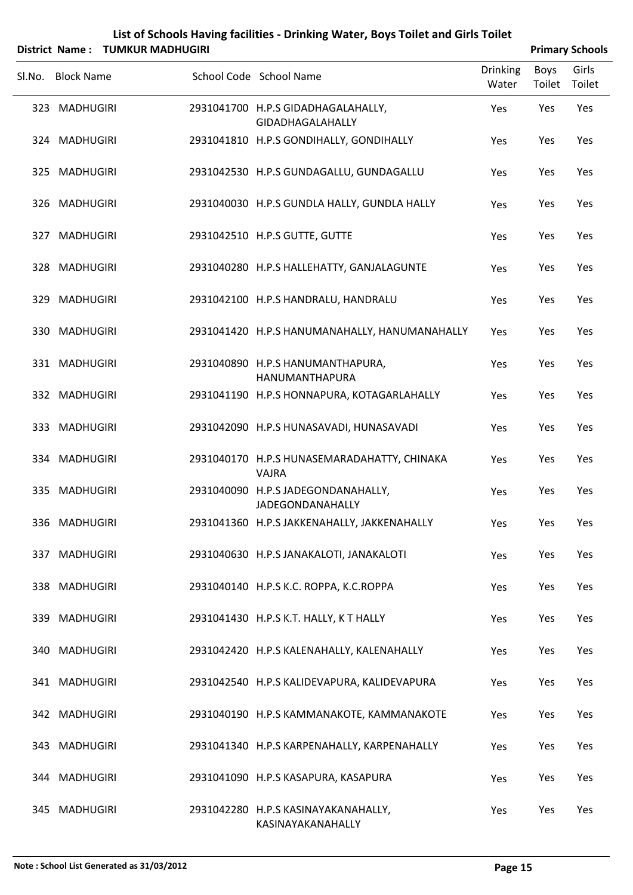| List of Schools Having facilities - Drinking Water, Boys Toilet and Girls Toilet |
|----------------------------------------------------------------------------------|
| $\mathbf{L}$ . News, $\mathbf{L}$ that in a same internal                        |

|        |                   | District Name: TUMKUR MADHUGIRI |                                                               |                          |                | <b>Primary Schools</b> |
|--------|-------------------|---------------------------------|---------------------------------------------------------------|--------------------------|----------------|------------------------|
| SI.No. | <b>Block Name</b> |                                 | School Code School Name                                       | <b>Drinking</b><br>Water | Boys<br>Toilet | Girls<br>Toilet        |
|        | 323 MADHUGIRI     |                                 | 2931041700 H.P.S GIDADHAGALAHALLY,<br>GIDADHAGALAHALLY        | Yes                      | Yes            | Yes                    |
|        | 324 MADHUGIRI     |                                 | 2931041810 H.P.S GONDIHALLY, GONDIHALLY                       | Yes                      | Yes            | Yes                    |
|        | 325 MADHUGIRI     |                                 | 2931042530 H.P.S GUNDAGALLU, GUNDAGALLU                       | Yes                      | Yes            | Yes                    |
|        | 326 MADHUGIRI     |                                 | 2931040030 H.P.S GUNDLA HALLY, GUNDLA HALLY                   | Yes                      | Yes            | Yes                    |
|        | 327 MADHUGIRI     |                                 | 2931042510 H.P.S GUTTE, GUTTE                                 | Yes                      | Yes            | Yes                    |
|        | 328 MADHUGIRI     |                                 | 2931040280 H.P.S HALLEHATTY, GANJALAGUNTE                     | Yes                      | Yes            | Yes                    |
|        | 329 MADHUGIRI     |                                 | 2931042100 H.P.S HANDRALU, HANDRALU                           | Yes                      | Yes            | Yes                    |
|        | 330 MADHUGIRI     |                                 | 2931041420 H.P.S HANUMANAHALLY, HANUMANAHALLY                 | Yes                      | Yes            | Yes                    |
|        | 331 MADHUGIRI     |                                 | 2931040890 H.P.S HANUMANTHAPURA,<br>HANUMANTHAPURA            | Yes                      | Yes            | Yes                    |
|        | 332 MADHUGIRI     |                                 | 2931041190 H.P.S HONNAPURA, KOTAGARLAHALLY                    | Yes                      | Yes            | Yes                    |
|        | 333 MADHUGIRI     |                                 | 2931042090 H.P.S HUNASAVADI, HUNASAVADI                       | Yes                      | Yes            | Yes                    |
|        | 334 MADHUGIRI     |                                 | 2931040170 H.P.S HUNASEMARADAHATTY, CHINAKA<br><b>VAJRA</b>   | Yes                      | Yes            | Yes                    |
|        | 335 MADHUGIRI     |                                 | 2931040090 H.P.S JADEGONDANAHALLY,<br><b>JADEGONDANAHALLY</b> | Yes                      | Yes            | Yes                    |
|        | 336 MADHUGIRI     |                                 | 2931041360 H.P.S JAKKENAHALLY, JAKKENAHALLY                   | Yes                      | Yes            | Yes                    |
|        | 337 MADHUGIRI     |                                 | 2931040630 H.P.S JANAKALOTI, JANAKALOTI                       | Yes                      | Yes            | Yes                    |
|        | 338 MADHUGIRI     |                                 | 2931040140 H.P.S K.C. ROPPA, K.C.ROPPA                        | Yes                      | Yes            | Yes                    |
|        | 339 MADHUGIRI     |                                 | 2931041430 H.P.S K.T. HALLY, K T HALLY                        | Yes                      | Yes            | Yes                    |
|        | 340 MADHUGIRI     |                                 | 2931042420 H.P.S KALENAHALLY, KALENAHALLY                     | Yes                      | Yes            | Yes                    |
|        | 341 MADHUGIRI     |                                 | 2931042540 H.P.S KALIDEVAPURA, KALIDEVAPURA                   | Yes                      | Yes            | Yes                    |
|        | 342 MADHUGIRI     |                                 | 2931040190 H.P.S KAMMANAKOTE, KAMMANAKOTE                     | Yes                      | Yes            | Yes                    |
|        | 343 MADHUGIRI     |                                 | 2931041340 H.P.S KARPENAHALLY, KARPENAHALLY                   | Yes                      | Yes            | Yes                    |
|        | 344 MADHUGIRI     |                                 | 2931041090 H.P.S KASAPURA, KASAPURA                           | Yes                      | Yes            | Yes                    |
|        | 345 MADHUGIRI     |                                 | 2931042280 H.P.S KASINAYAKANAHALLY,<br>KASINAYAKANAHALLY      | Yes                      | Yes            | Yes                    |

 $\overline{a}$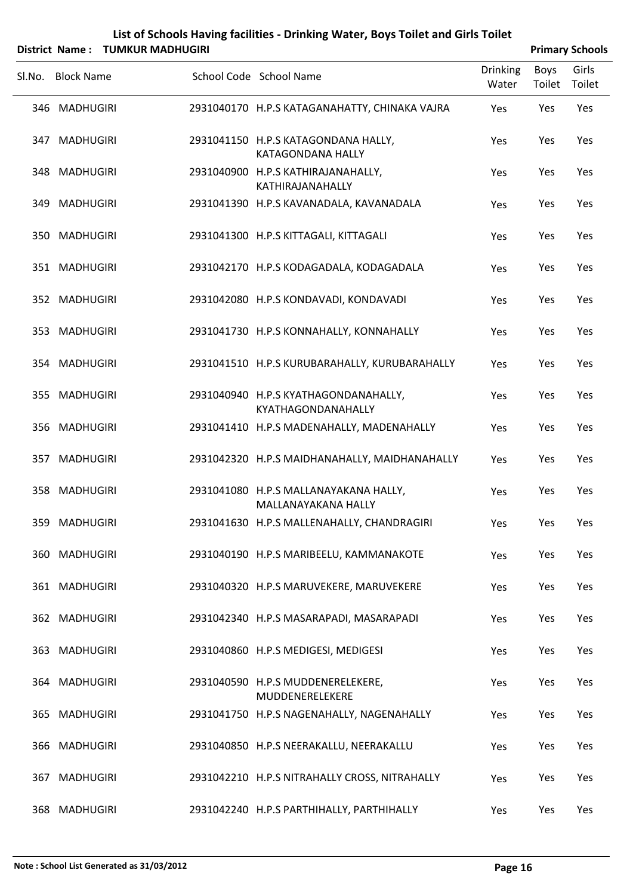| List of Schools Having facilities - Drinking Water, Boys Toilet and Girls Toilet |
|----------------------------------------------------------------------------------|
| $\mathbf{r}$ . The second property of $\mathbf{r}$                               |

|        | District Name: TUMKUR MADHUGIRI |                                                              |                          |                       | <b>Primary Schools</b> |
|--------|---------------------------------|--------------------------------------------------------------|--------------------------|-----------------------|------------------------|
| Sl.No. | <b>Block Name</b>               | School Code School Name                                      | <b>Drinking</b><br>Water | Boys<br>Toilet Toilet | Girls                  |
|        | 346 MADHUGIRI                   | 2931040170 H.P.S KATAGANAHATTY, CHINAKA VAJRA                | Yes                      | Yes                   | Yes                    |
|        | 347 MADHUGIRI                   | 2931041150 H.P.S KATAGONDANA HALLY,<br>KATAGONDANA HALLY     | Yes                      | Yes                   | Yes                    |
|        | 348 MADHUGIRI                   | 2931040900 H.P.S KATHIRAJANAHALLY,<br>KATHIRAJANAHALLY       | Yes                      | Yes                   | Yes                    |
| 349    | MADHUGIRI                       | 2931041390 H.P.S KAVANADALA, KAVANADALA                      | Yes                      | Yes                   | Yes                    |
|        | 350 MADHUGIRI                   | 2931041300 H.P.S KITTAGALI, KITTAGALI                        | Yes                      | Yes                   | Yes                    |
|        | 351 MADHUGIRI                   | 2931042170 H.P.S KODAGADALA, KODAGADALA                      | Yes                      | Yes                   | Yes                    |
|        | 352 MADHUGIRI                   | 2931042080 H.P.S KONDAVADI, KONDAVADI                        | Yes                      | Yes                   | Yes                    |
|        | 353 MADHUGIRI                   | 2931041730 H.P.S KONNAHALLY, KONNAHALLY                      | Yes                      | Yes                   | Yes                    |
|        | 354 MADHUGIRI                   | 2931041510 H.P.S KURUBARAHALLY, KURUBARAHALLY                | Yes                      | Yes                   | Yes                    |
|        | 355 MADHUGIRI                   | 2931040940 H.P.S KYATHAGONDANAHALLY,<br>KYATHAGONDANAHALLY   | Yes                      | Yes                   | Yes                    |
|        | 356 MADHUGIRI                   | 2931041410 H.P.S MADENAHALLY, MADENAHALLY                    | Yes                      | Yes                   | Yes                    |
|        | 357 MADHUGIRI                   | 2931042320 H.P.S MAIDHANAHALLY, MAIDHANAHALLY                | Yes                      | Yes                   | Yes                    |
|        | 358 MADHUGIRI                   | 2931041080 H.P.S MALLANAYAKANA HALLY,<br>MALLANAYAKANA HALLY | Yes                      | Yes                   | Yes                    |
|        | 359 MADHUGIRI                   | 2931041630 H.P.S MALLENAHALLY, CHANDRAGIRI                   | Yes                      | Yes                   | Yes                    |
|        | 360 MADHUGIRI                   | 2931040190 H.P.S MARIBEELU, KAMMANAKOTE                      | Yes                      | Yes                   | Yes                    |
|        | 361 MADHUGIRI                   | 2931040320 H.P.S MARUVEKERE, MARUVEKERE                      | Yes                      | Yes                   | Yes                    |
|        | 362 MADHUGIRI                   | 2931042340 H.P.S MASARAPADI, MASARAPADI                      | Yes                      | Yes                   | Yes                    |
|        | 363 MADHUGIRI                   | 2931040860 H.P.S MEDIGESI, MEDIGESI                          | Yes                      | Yes                   | Yes                    |
|        | 364 MADHUGIRI                   | 2931040590 H.P.S MUDDENERELEKERE,<br>MUDDENERELEKERE         | Yes                      | Yes                   | Yes                    |
|        | 365 MADHUGIRI                   | 2931041750 H.P.S NAGENAHALLY, NAGENAHALLY                    | Yes                      | Yes                   | Yes                    |
|        | 366 MADHUGIRI                   | 2931040850 H.P.S NEERAKALLU, NEERAKALLU                      | Yes                      | Yes                   | Yes                    |
|        | 367 MADHUGIRI                   | 2931042210 H.P.S NITRAHALLY CROSS, NITRAHALLY                | Yes                      | Yes                   | Yes                    |
| 368    | MADHUGIRI                       | 2931042240 H.P.S PARTHIHALLY, PARTHIHALLY                    | Yes                      | Yes                   | Yes                    |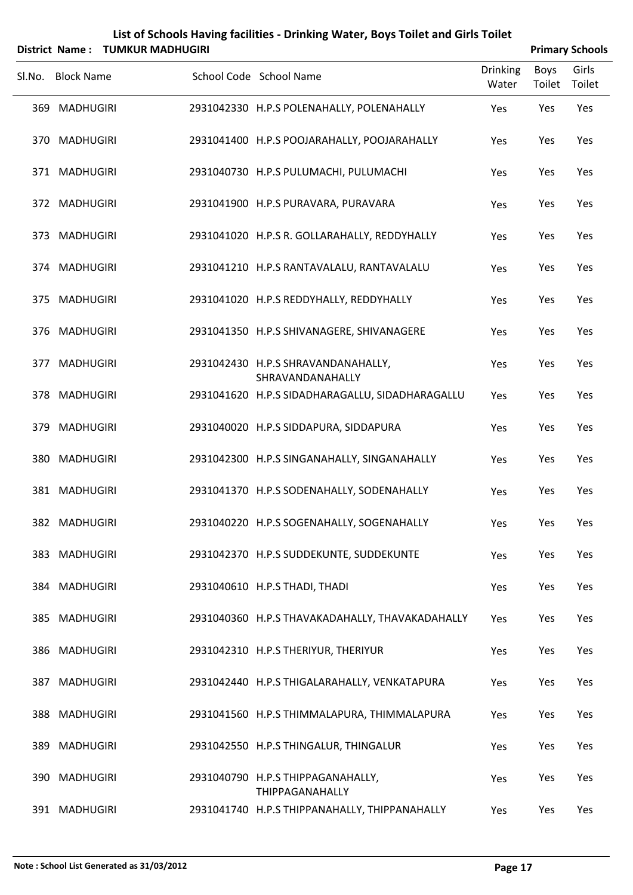|        |                   | District Name: TUMKUR MADHUGIRI |                                                                  |                          |                       | <b>Primary Schools</b> |
|--------|-------------------|---------------------------------|------------------------------------------------------------------|--------------------------|-----------------------|------------------------|
| SI.No. | <b>Block Name</b> |                                 | School Code School Name                                          | <b>Drinking</b><br>Water | <b>Boys</b><br>Toilet | Girls<br>Toilet        |
|        | 369 MADHUGIRI     |                                 | 2931042330 H.P.S POLENAHALLY, POLENAHALLY                        | Yes                      | Yes                   | Yes                    |
|        | 370 MADHUGIRI     |                                 | 2931041400 H.P.S POOJARAHALLY, POOJARAHALLY                      | Yes                      | Yes                   | Yes                    |
|        | 371 MADHUGIRI     |                                 | 2931040730 H.P.S PULUMACHI, PULUMACHI                            | Yes                      | Yes                   | Yes                    |
|        | 372 MADHUGIRI     |                                 | 2931041900 H.P.S PURAVARA, PURAVARA                              | Yes                      | Yes                   | Yes                    |
|        | 373 MADHUGIRI     |                                 | 2931041020 H.P.S R. GOLLARAHALLY, REDDYHALLY                     | Yes                      | Yes                   | Yes                    |
|        | 374 MADHUGIRI     |                                 | 2931041210 H.P.S RANTAVALALU, RANTAVALALU                        | Yes                      | Yes                   | Yes                    |
|        | 375 MADHUGIRI     |                                 | 2931041020 H.P.S REDDYHALLY, REDDYHALLY                          | Yes                      | Yes                   | Yes                    |
|        | 376 MADHUGIRI     |                                 | 2931041350 H.P.S SHIVANAGERE, SHIVANAGERE                        | Yes                      | Yes                   | Yes                    |
|        | 377 MADHUGIRI     |                                 | 2931042430 H.P.S SHRAVANDANAHALLY,<br>SHRAVANDANAHALLY           | Yes                      | Yes                   | Yes                    |
|        | 378 MADHUGIRI     |                                 | 2931041620 H.P.S SIDADHARAGALLU, SIDADHARAGALLU                  | Yes                      | Yes                   | Yes                    |
|        | 379 MADHUGIRI     |                                 | 2931040020 H.P.S SIDDAPURA, SIDDAPURA                            | Yes                      | Yes                   | Yes                    |
|        | 380 MADHUGIRI     |                                 | 2931042300 H.P.S SINGANAHALLY, SINGANAHALLY                      | Yes                      | Yes                   | Yes                    |
|        | 381 MADHUGIRI     |                                 | 2931041370 H.P.S SODENAHALLY, SODENAHALLY                        | Yes                      | Yes                   | Yes                    |
|        | 382 MADHUGIRI     |                                 | 2931040220 H.P.S SOGENAHALLY, SOGENAHALLY                        | Yes                      | Yes                   | Yes                    |
|        | 383 MADHUGIRI     |                                 | 2931042370 H.P.S SUDDEKUNTE, SUDDEKUNTE                          | Yes                      | Yes                   | Yes                    |
|        | 384 MADHUGIRI     |                                 | 2931040610 H.P.S THADI, THADI                                    | Yes                      | Yes                   | Yes                    |
|        | 385 MADHUGIRI     |                                 | 2931040360 H.P.S THAVAKADAHALLY, THAVAKADAHALLY                  | Yes                      | Yes                   | Yes                    |
|        | 386 MADHUGIRI     |                                 | 2931042310 H.P.S THERIYUR, THERIYUR                              | Yes                      | Yes                   | Yes                    |
|        | 387 MADHUGIRI     |                                 | 2931042440 H.P.S THIGALARAHALLY, VENKATAPURA                     | Yes                      | Yes                   | Yes                    |
|        | 388 MADHUGIRI     |                                 | 2931041560 H.P.S THIMMALAPURA, THIMMALAPURA                      | Yes                      | Yes                   | Yes                    |
|        | 389 MADHUGIRI     |                                 | 2931042550 H.P.S THINGALUR, THINGALUR                            | Yes                      | Yes                   | Yes                    |
|        | 390 MADHUGIRI     |                                 | 2931040790 H.P.S THIPPAGANAHALLY,                                | Yes                      | Yes                   | Yes                    |
|        | 391 MADHUGIRI     |                                 | THIPPAGANAHALLY<br>2931041740 H.P.S THIPPANAHALLY, THIPPANAHALLY | Yes                      | Yes                   | Yes                    |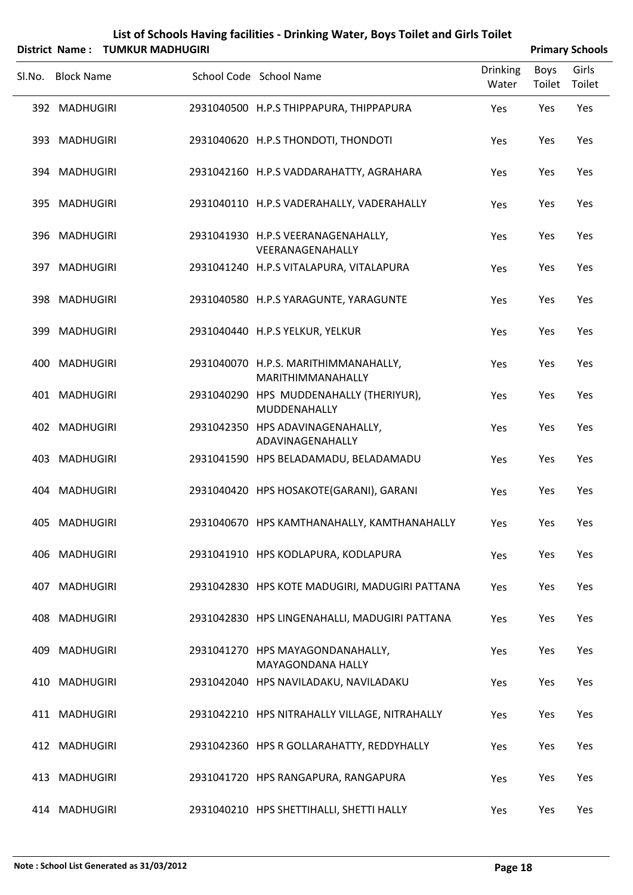| List of Schools Having facilities - Drinking Water, Boys Toilet and Girls Toilet |
|----------------------------------------------------------------------------------|
|                                                                                  |

|        | District Name: TUMKUR MADHUGIRI |                                                           |                          |                | <b>Primary Schools</b> |
|--------|---------------------------------|-----------------------------------------------------------|--------------------------|----------------|------------------------|
| Sl.No. | <b>Block Name</b>               | School Code School Name                                   | <b>Drinking</b><br>Water | Boys<br>Toilet | Girls<br>Toilet        |
|        | 392 MADHUGIRI                   | 2931040500 H.P.S THIPPAPURA, THIPPAPURA                   | Yes                      | Yes            | Yes                    |
|        | 393 MADHUGIRI                   | 2931040620 H.P.S THONDOTI, THONDOTI                       | Yes                      | Yes            | Yes                    |
|        | 394 MADHUGIRI                   | 2931042160 H.P.S VADDARAHATTY, AGRAHARA                   | Yes                      | Yes            | Yes                    |
|        | 395 MADHUGIRI                   | 2931040110 H.P.S VADERAHALLY, VADERAHALLY                 | Yes                      | Yes            | Yes                    |
|        | 396 MADHUGIRI                   | 2931041930 H.P.S VEERANAGENAHALLY,<br>VEERANAGENAHALLY    | Yes                      | Yes            | Yes                    |
|        | 397 MADHUGIRI                   | 2931041240 H.P.S VITALAPURA, VITALAPURA                   | Yes                      | Yes            | Yes                    |
|        | 398 MADHUGIRI                   | 2931040580 H.P.S YARAGUNTE, YARAGUNTE                     | Yes                      | Yes            | Yes                    |
|        | 399 MADHUGIRI                   | 2931040440 H.P.S YELKUR, YELKUR                           | Yes                      | Yes            | Yes                    |
|        | 400 MADHUGIRI                   | 2931040070 H.P.S. MARITHIMMANAHALLY,<br>MARITHIMMANAHALLY | Yes                      | Yes            | Yes                    |
|        | 401 MADHUGIRI                   | 2931040290 HPS MUDDENAHALLY (THERIYUR),<br>MUDDENAHALLY   | Yes                      | Yes            | Yes                    |
|        | 402 MADHUGIRI                   | 2931042350 HPS ADAVINAGENAHALLY,<br>ADAVINAGENAHALLY      | Yes                      | Yes            | Yes                    |
|        | 403 MADHUGIRI                   | 2931041590 HPS BELADAMADU, BELADAMADU                     | Yes                      | Yes            | Yes                    |
|        | 404 MADHUGIRI                   | 2931040420 HPS HOSAKOTE(GARANI), GARANI                   | Yes                      | Yes            | Yes                    |
|        | 405 MADHUGIRI                   | 2931040670 HPS KAMTHANAHALLY, KAMTHANAHALLY               | Yes                      | Yes            | Yes                    |
|        | 406 MADHUGIRI                   | 2931041910 HPS KODLAPURA, KODLAPURA                       | Yes                      | Yes            | Yes                    |
|        | 407 MADHUGIRI                   | 2931042830 HPS KOTE MADUGIRI, MADUGIRI PATTANA            | Yes                      | Yes            | Yes                    |
|        | 408 MADHUGIRI                   | 2931042830 HPS LINGENAHALLI, MADUGIRI PATTANA             | Yes                      | Yes            | Yes                    |
|        | 409 MADHUGIRI                   | 2931041270 HPS MAYAGONDANAHALLY,<br>MAYAGONDANA HALLY     | Yes                      | Yes            | Yes                    |
|        | 410 MADHUGIRI                   | 2931042040 HPS NAVILADAKU, NAVILADAKU                     | Yes                      | Yes            | Yes                    |
|        | 411 MADHUGIRI                   | 2931042210 HPS NITRAHALLY VILLAGE, NITRAHALLY             | Yes                      | Yes            | Yes                    |
|        | 412 MADHUGIRI                   | 2931042360 HPS R GOLLARAHATTY, REDDYHALLY                 | Yes                      | Yes            | Yes                    |
|        | 413 MADHUGIRI                   | 2931041720 HPS RANGAPURA, RANGAPURA                       | Yes                      | Yes            | Yes                    |
|        | 414 MADHUGIRI                   | 2931040210 HPS SHETTIHALLI, SHETTI HALLY                  | Yes                      | Yes            | Yes                    |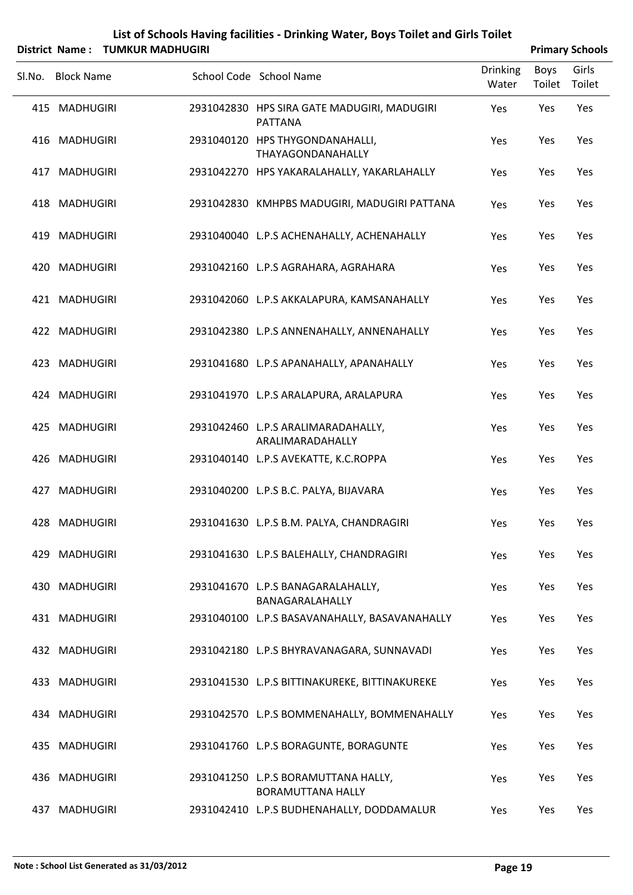|        |                   | District Name: TUMKUR MADHUGIRI |                                                                 |                          |                | <b>Primary Schools</b> |
|--------|-------------------|---------------------------------|-----------------------------------------------------------------|--------------------------|----------------|------------------------|
| SI.No. | <b>Block Name</b> |                                 | School Code School Name                                         | <b>Drinking</b><br>Water | Boys<br>Toilet | Girls<br>Toilet        |
|        | 415 MADHUGIRI     |                                 | 2931042830 HPS SIRA GATE MADUGIRI, MADUGIRI<br><b>PATTANA</b>   | Yes                      | Yes            | Yes                    |
|        | 416 MADHUGIRI     |                                 | 2931040120 HPS THYGONDANAHALLI,<br>THAYAGONDANAHALLY            | Yes                      | Yes            | Yes                    |
|        | 417 MADHUGIRI     |                                 | 2931042270 HPS YAKARALAHALLY, YAKARLAHALLY                      | Yes                      | Yes            | Yes                    |
|        | 418 MADHUGIRI     |                                 | 2931042830 KMHPBS MADUGIRI, MADUGIRI PATTANA                    | Yes                      | Yes            | Yes                    |
|        | 419 MADHUGIRI     |                                 | 2931040040 L.P.S ACHENAHALLY, ACHENAHALLY                       | Yes                      | Yes            | Yes                    |
|        | 420 MADHUGIRI     |                                 | 2931042160 L.P.S AGRAHARA, AGRAHARA                             | Yes                      | Yes            | Yes                    |
|        | 421 MADHUGIRI     |                                 | 2931042060 L.P.S AKKALAPURA, KAMSANAHALLY                       | Yes                      | Yes            | Yes                    |
|        | 422 MADHUGIRI     |                                 | 2931042380 L.P.S ANNENAHALLY, ANNENAHALLY                       | Yes                      | Yes            | Yes                    |
|        | 423 MADHUGIRI     |                                 | 2931041680 L.P.S APANAHALLY, APANAHALLY                         | Yes                      | Yes            | Yes                    |
|        | 424 MADHUGIRI     |                                 | 2931041970 L.P.S ARALAPURA, ARALAPURA                           | Yes                      | Yes            | Yes                    |
|        | 425 MADHUGIRI     |                                 | 2931042460 L.P.S ARALIMARADAHALLY,<br>ARALIMARADAHALLY          | Yes                      | Yes            | Yes                    |
|        | 426 MADHUGIRI     |                                 | 2931040140 L.P.S AVEKATTE, K.C.ROPPA                            | Yes                      | Yes            | Yes                    |
|        | 427 MADHUGIRI     |                                 | 2931040200 L.P.S B.C. PALYA, BIJAVARA                           | Yes                      | Yes            | Yes                    |
|        | 428 MADHUGIRI     |                                 | 2931041630 L.P.S B.M. PALYA, CHANDRAGIRI                        | Yes                      | Yes            | Yes                    |
|        | 429 MADHUGIRI     |                                 | 2931041630 L.P.S BALEHALLY, CHANDRAGIRI                         | Yes                      | Yes            | Yes                    |
|        | 430 MADHUGIRI     |                                 | 2931041670 L.P.S BANAGARALAHALLY,<br>BANAGARALAHALLY            | Yes                      | Yes            | Yes                    |
|        | 431 MADHUGIRI     |                                 | 2931040100 L.P.S BASAVANAHALLY, BASAVANAHALLY                   | Yes                      | Yes            | Yes                    |
|        | 432 MADHUGIRI     |                                 | 2931042180 L.P.S BHYRAVANAGARA, SUNNAVADI                       | Yes                      | Yes            | Yes                    |
|        | 433 MADHUGIRI     |                                 | 2931041530 L.P.S BITTINAKUREKE, BITTINAKUREKE                   | Yes                      | Yes            | Yes                    |
|        | 434 MADHUGIRI     |                                 | 2931042570 L.P.S BOMMENAHALLY, BOMMENAHALLY                     | Yes                      | Yes            | Yes                    |
|        | 435 MADHUGIRI     |                                 | 2931041760 L.P.S BORAGUNTE, BORAGUNTE                           | Yes                      | Yes            | Yes                    |
|        | 436 MADHUGIRI     |                                 | 2931041250 L.P.S BORAMUTTANA HALLY,<br><b>BORAMUTTANA HALLY</b> | Yes                      | Yes            | Yes                    |
|        | 437 MADHUGIRI     |                                 | 2931042410 L.P.S BUDHENAHALLY, DODDAMALUR                       | Yes                      | Yes            | Yes                    |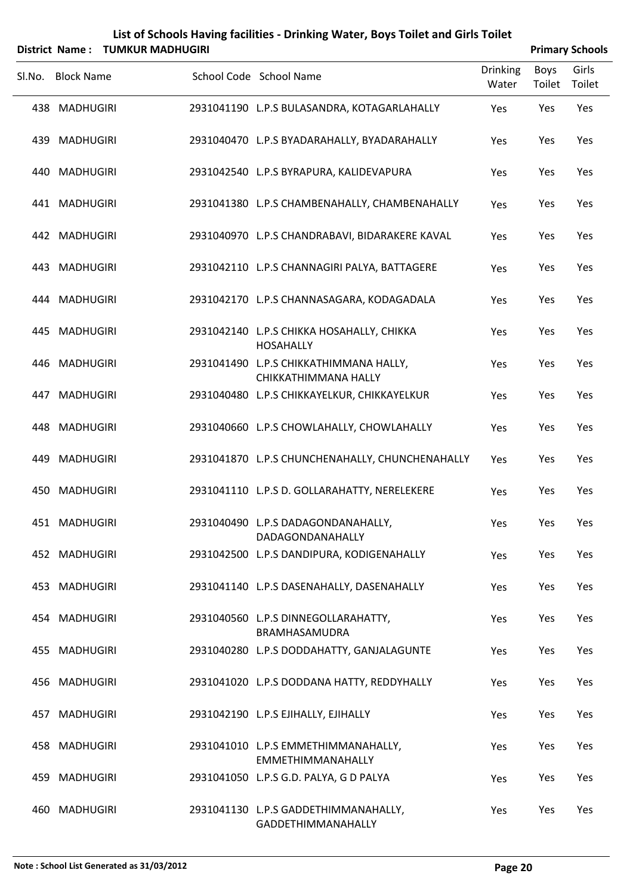| List of Schools Having facilities - Drinking Water, Boys Toilet and Girls Toilet |
|----------------------------------------------------------------------------------|
|                                                                                  |

|        | District Name: TUMKUR MADHUGIRI |                                                                 |                          |                | <b>Primary Schools</b> |
|--------|---------------------------------|-----------------------------------------------------------------|--------------------------|----------------|------------------------|
| Sl.No. | <b>Block Name</b>               | School Code School Name                                         | <b>Drinking</b><br>Water | Boys<br>Toilet | Girls<br>Toilet        |
|        | 438 MADHUGIRI                   | 2931041190 L.P.S BULASANDRA, KOTAGARLAHALLY                     | Yes                      | Yes            | Yes                    |
|        | 439 MADHUGIRI                   | 2931040470 L.P.S BYADARAHALLY, BYADARAHALLY                     | Yes                      | Yes            | Yes                    |
|        | 440 MADHUGIRI                   | 2931042540 L.P.S BYRAPURA, KALIDEVAPURA                         | Yes                      | Yes            | Yes                    |
|        | 441 MADHUGIRI                   | 2931041380 L.P.S CHAMBENAHALLY, CHAMBENAHALLY                   | Yes                      | Yes            | Yes                    |
|        | 442 MADHUGIRI                   | 2931040970 L.P.S CHANDRABAVI, BIDARAKERE KAVAL                  | Yes                      | Yes            | Yes                    |
|        | 443 MADHUGIRI                   | 2931042110 L.P.S CHANNAGIRI PALYA, BATTAGERE                    | Yes                      | Yes            | Yes                    |
|        | 444 MADHUGIRI                   | 2931042170 L.P.S CHANNASAGARA, KODAGADALA                       | Yes                      | Yes            | Yes                    |
|        | 445 MADHUGIRI                   | 2931042140 L.P.S CHIKKA HOSAHALLY, CHIKKA<br>HOSAHALLY          | Yes                      | Yes            | Yes                    |
|        | 446 MADHUGIRI                   | 2931041490 L.P.S CHIKKATHIMMANA HALLY,<br>CHIKKATHIMMANA HALLY  | Yes                      | Yes            | Yes                    |
|        | 447 MADHUGIRI                   | 2931040480 L.P.S CHIKKAYELKUR, CHIKKAYELKUR                     | Yes                      | Yes            | Yes                    |
|        | 448 MADHUGIRI                   | 2931040660 L.P.S CHOWLAHALLY, CHOWLAHALLY                       | Yes                      | Yes            | Yes                    |
|        | 449 MADHUGIRI                   | 2931041870 L.P.S CHUNCHENAHALLY, CHUNCHENAHALLY                 | Yes                      | Yes            | Yes                    |
|        | 450 MADHUGIRI                   | 2931041110 L.P.S D. GOLLARAHATTY, NERELEKERE                    | Yes                      | Yes            | Yes                    |
|        | 451 MADHUGIRI                   | 2931040490 L.P.S DADAGONDANAHALLY,<br>DADAGONDANAHALLY          | Yes                      | Yes            | Yes                    |
|        | 452 MADHUGIRI                   | 2931042500 L.P.S DANDIPURA, KODIGENAHALLY                       | Yes                      | Yes            | Yes                    |
|        | 453 MADHUGIRI                   | 2931041140 L.P.S DASENAHALLY, DASENAHALLY                       | Yes                      | Yes            | Yes                    |
|        | 454 MADHUGIRI                   | 2931040560 L.P.S DINNEGOLLARAHATTY,<br>BRAMHASAMUDRA            | Yes                      | Yes            | Yes                    |
|        | 455 MADHUGIRI                   | 2931040280 L.P.S DODDAHATTY, GANJALAGUNTE                       | Yes                      | Yes            | Yes                    |
|        | 456 MADHUGIRI                   | 2931041020 L.P.S DODDANA HATTY, REDDYHALLY                      | Yes                      | Yes            | Yes                    |
|        | 457 MADHUGIRI                   | 2931042190 L.P.S EJIHALLY, EJIHALLY                             | Yes                      | Yes            | Yes                    |
|        | 458 MADHUGIRI                   | 2931041010 L.P.S EMMETHIMMANAHALLY,<br><b>EMMETHIMMANAHALLY</b> | Yes                      | Yes            | Yes                    |
|        | 459 MADHUGIRI                   | 2931041050 L.P.S G.D. PALYA, G D PALYA                          | Yes                      | Yes            | Yes                    |
|        | 460 MADHUGIRI                   | 2931041130 L.P.S GADDETHIMMANAHALLY,<br>GADDETHIMMANAHALLY      | Yes                      | Yes            | Yes                    |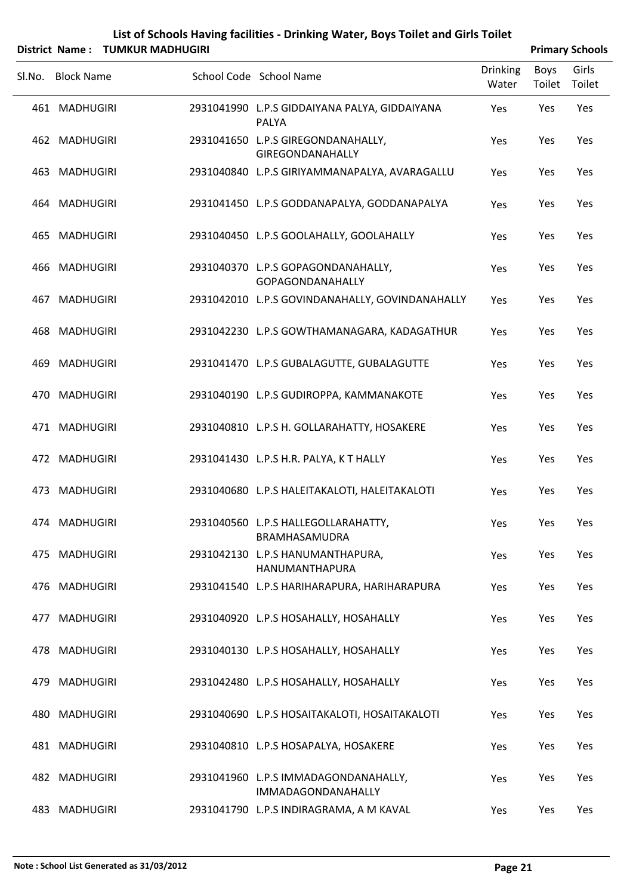|        |                   | District Name: TUMKUR MADHUGIRI |                                                               |                          |                | <b>Primary Schools</b> |
|--------|-------------------|---------------------------------|---------------------------------------------------------------|--------------------------|----------------|------------------------|
| Sl.No. | <b>Block Name</b> |                                 | School Code School Name                                       | <b>Drinking</b><br>Water | Boys<br>Toilet | Girls<br>Toilet        |
|        | 461 MADHUGIRI     |                                 | 2931041990 L.P.S GIDDAIYANA PALYA, GIDDAIYANA<br><b>PALYA</b> | Yes                      | Yes            | Yes                    |
|        | 462 MADHUGIRI     |                                 | 2931041650 L.P.S GIREGONDANAHALLY,<br>GIREGONDANAHALLY        | Yes                      | Yes            | Yes                    |
|        | 463 MADHUGIRI     |                                 | 2931040840 L.P.S GIRIYAMMANAPALYA, AVARAGALLU                 | Yes                      | Yes            | Yes                    |
|        | 464 MADHUGIRI     |                                 | 2931041450 L.P.S GODDANAPALYA, GODDANAPALYA                   | Yes                      | Yes            | Yes                    |
|        | 465 MADHUGIRI     |                                 | 2931040450 L.P.S GOOLAHALLY, GOOLAHALLY                       | Yes                      | Yes            | Yes                    |
|        | 466 MADHUGIRI     |                                 | 2931040370 L.P.S GOPAGONDANAHALLY,<br><b>GOPAGONDANAHALLY</b> | Yes                      | Yes            | Yes                    |
|        | 467 MADHUGIRI     |                                 | 2931042010 L.P.S GOVINDANAHALLY, GOVINDANAHALLY               | Yes                      | Yes            | Yes                    |
|        | 468 MADHUGIRI     |                                 | 2931042230 L.P.S GOWTHAMANAGARA, KADAGATHUR                   | Yes                      | Yes            | Yes                    |
|        | 469 MADHUGIRI     |                                 | 2931041470 L.P.S GUBALAGUTTE, GUBALAGUTTE                     | Yes                      | Yes            | Yes                    |
|        | 470 MADHUGIRI     |                                 | 2931040190 L.P.S GUDIROPPA, KAMMANAKOTE                       | Yes                      | Yes            | Yes                    |
|        | 471 MADHUGIRI     |                                 | 2931040810 L.P.S H. GOLLARAHATTY, HOSAKERE                    | Yes                      | Yes            | Yes                    |
|        | 472 MADHUGIRI     |                                 | 2931041430 L.P.S H.R. PALYA, KT HALLY                         | Yes                      | Yes            | Yes                    |
|        | 473 MADHUGIRI     |                                 | 2931040680 L.P.S HALEITAKALOTI, HALEITAKALOTI                 | Yes                      | Yes            | Yes                    |
|        | 474 MADHUGIRI     |                                 | 2931040560 L.P.S HALLEGOLLARAHATTY,<br>BRAMHASAMUDRA          | Yes                      | Yes            | Yes                    |
|        | 475 MADHUGIRI     |                                 | 2931042130 L.P.S HANUMANTHAPURA,<br>HANUMANTHAPURA            | Yes                      | Yes            | Yes                    |
|        | 476 MADHUGIRI     |                                 | 2931041540 L.P.S HARIHARAPURA, HARIHARAPURA                   | Yes                      | Yes            | Yes                    |
|        | 477 MADHUGIRI     |                                 | 2931040920 L.P.S HOSAHALLY, HOSAHALLY                         | Yes                      | Yes            | Yes                    |
|        | 478 MADHUGIRI     |                                 | 2931040130 L.P.S HOSAHALLY, HOSAHALLY                         | Yes                      | Yes            | Yes                    |
|        | 479 MADHUGIRI     |                                 | 2931042480 L.P.S HOSAHALLY, HOSAHALLY                         | Yes                      | Yes            | Yes                    |
|        | 480 MADHUGIRI     |                                 | 2931040690 L.P.S HOSAITAKALOTI, HOSAITAKALOTI                 | Yes                      | Yes            | Yes                    |
|        | 481 MADHUGIRI     |                                 | 2931040810 L.P.S HOSAPALYA, HOSAKERE                          | Yes                      | Yes            | Yes                    |
|        | 482 MADHUGIRI     |                                 | 2931041960 L.P.S IMMADAGONDANAHALLY,<br>IMMADAGONDANAHALLY    | Yes                      | Yes            | Yes                    |
|        | 483 MADHUGIRI     |                                 | 2931041790 L.P.S INDIRAGRAMA, A M KAVAL                       | Yes                      | Yes            | Yes                    |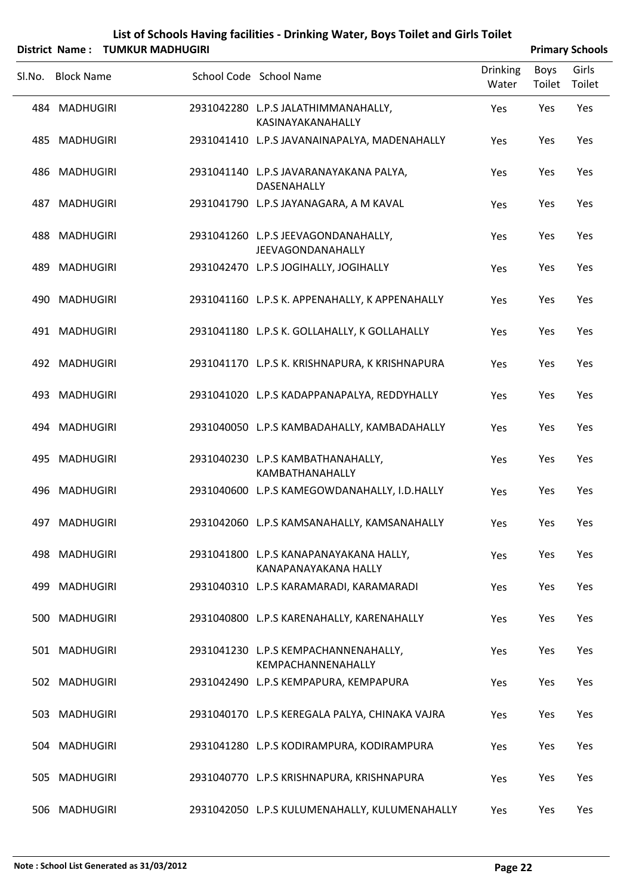| List of Schools Having facilities - Drinking Water, Boys Toilet and Girls Toilet |
|----------------------------------------------------------------------------------|
| News . THARRID MARDHICIDI                                                        |

|        | District Name: TUMKUR MADHUGIRI |                                                                 |                          |                | <b>Primary Schools</b> |
|--------|---------------------------------|-----------------------------------------------------------------|--------------------------|----------------|------------------------|
| Sl.No. | <b>Block Name</b>               | School Code School Name                                         | <b>Drinking</b><br>Water | Boys<br>Toilet | Girls<br>Toilet        |
|        | 484 MADHUGIRI                   | 2931042280 L.P.S JALATHIMMANAHALLY,<br>KASINAYAKANAHALLY        | Yes                      | Yes            | Yes                    |
|        | 485 MADHUGIRI                   | 2931041410 L.P.S JAVANAINAPALYA, MADENAHALLY                    | Yes                      | Yes            | Yes                    |
|        | 486 MADHUGIRI                   | 2931041140 L.P.S JAVARANAYAKANA PALYA,<br>DASENAHALLY           | Yes                      | Yes            | Yes                    |
|        | 487 MADHUGIRI                   | 2931041790 L.P.S JAYANAGARA, A M KAVAL                          | Yes                      | Yes            | Yes                    |
|        | 488 MADHUGIRI                   | 2931041260 L.P.S JEEVAGONDANAHALLY,<br><b>JEEVAGONDANAHALLY</b> | Yes                      | Yes            | Yes                    |
| 489    | MADHUGIRI                       | 2931042470 L.P.S JOGIHALLY, JOGIHALLY                           | Yes                      | Yes            | Yes                    |
|        | 490 MADHUGIRI                   | 2931041160 L.P.S K. APPENAHALLY, K APPENAHALLY                  | Yes                      | Yes            | Yes                    |
|        | 491 MADHUGIRI                   | 2931041180 L.P.S K. GOLLAHALLY, K GOLLAHALLY                    | Yes                      | Yes            | Yes                    |
|        | 492 MADHUGIRI                   | 2931041170 L.P.S K. KRISHNAPURA, K KRISHNAPURA                  | Yes                      | Yes            | Yes                    |
|        | 493 MADHUGIRI                   | 2931041020 L.P.S KADAPPANAPALYA, REDDYHALLY                     | Yes                      | Yes            | Yes                    |
|        | 494 MADHUGIRI                   | 2931040050 L.P.S KAMBADAHALLY, KAMBADAHALLY                     | Yes                      | Yes            | Yes                    |
|        | 495 MADHUGIRI                   | 2931040230 L.P.S KAMBATHANAHALLY,<br>KAMBATHANAHALLY            | Yes                      | Yes            | Yes                    |
|        | 496 MADHUGIRI                   | 2931040600 L.P.S KAMEGOWDANAHALLY, I.D.HALLY                    | Yes                      | Yes            | Yes                    |
|        | 497 MADHUGIRI                   | 2931042060 L.P.S KAMSANAHALLY, KAMSANAHALLY                     | Yes                      | Yes            | Yes                    |
|        | 498 MADHUGIRI                   | 2931041800 L.P.S KANAPANAYAKANA HALLY,<br>KANAPANAYAKANA HALLY  | Yes                      | Yes            | Yes                    |
|        | 499 MADHUGIRI                   | 2931040310 L.P.S KARAMARADI, KARAMARADI                         | Yes                      | Yes            | Yes                    |
|        | 500 MADHUGIRI                   | 2931040800 L.P.S KARENAHALLY, KARENAHALLY                       | Yes                      | Yes            | Yes                    |
|        | 501 MADHUGIRI                   | 2931041230 L.P.S KEMPACHANNENAHALLY,<br>KEMPACHANNENAHALLY      | Yes                      | Yes            | Yes                    |
|        | 502 MADHUGIRI                   | 2931042490 L.P.S KEMPAPURA, KEMPAPURA                           | Yes                      | Yes            | Yes                    |
|        | 503 MADHUGIRI                   | 2931040170 L.P.S KEREGALA PALYA, CHINAKA VAJRA                  | Yes                      | Yes            | Yes                    |
|        | 504 MADHUGIRI                   | 2931041280 L.P.S KODIRAMPURA, KODIRAMPURA                       | Yes                      | Yes            | Yes                    |
|        | 505 MADHUGIRI                   | 2931040770 L.P.S KRISHNAPURA, KRISHNAPURA                       | Yes                      | Yes            | Yes                    |
|        | 506 MADHUGIRI                   | 2931042050 L.P.S KULUMENAHALLY, KULUMENAHALLY                   | Yes                      | Yes            | Yes                    |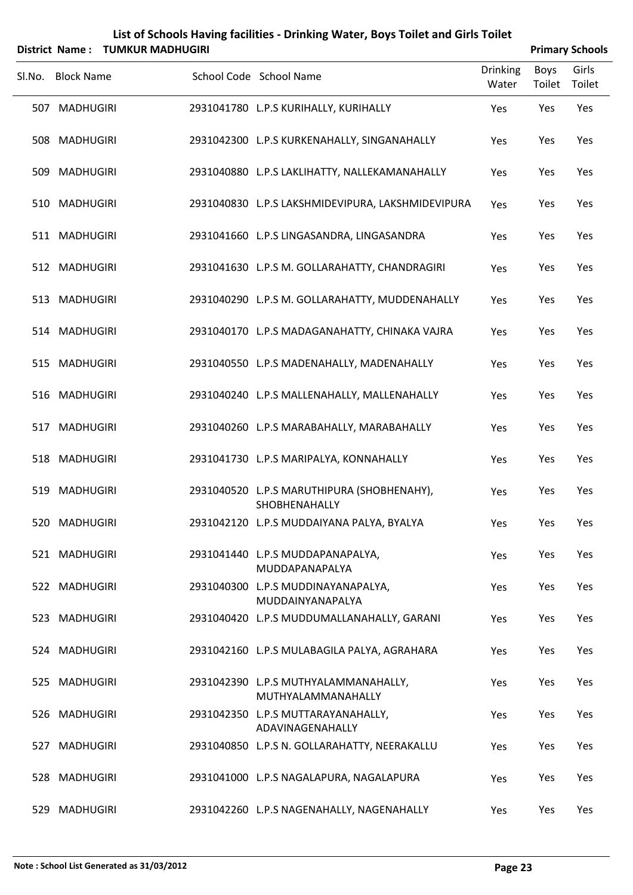|        |                   | District Name: TUMKUR MADHUGIRI |                                                             |                          | <b>Primary Schools</b> |                 |
|--------|-------------------|---------------------------------|-------------------------------------------------------------|--------------------------|------------------------|-----------------|
| SI.No. | <b>Block Name</b> |                                 | School Code School Name                                     | <b>Drinking</b><br>Water | Boys<br>Toilet         | Girls<br>Toilet |
|        | 507 MADHUGIRI     |                                 | 2931041780 L.P.S KURIHALLY, KURIHALLY                       | Yes                      | Yes                    | Yes             |
|        | 508 MADHUGIRI     |                                 | 2931042300 L.P.S KURKENAHALLY, SINGANAHALLY                 | Yes                      | Yes                    | Yes             |
|        | 509 MADHUGIRI     |                                 | 2931040880 L.P.S LAKLIHATTY, NALLEKAMANAHALLY               | Yes                      | Yes                    | Yes             |
|        | 510 MADHUGIRI     |                                 | 2931040830 L.P.S LAKSHMIDEVIPURA, LAKSHMIDEVIPURA           | Yes                      | Yes                    | Yes             |
|        | 511 MADHUGIRI     |                                 | 2931041660 L.P.S LINGASANDRA, LINGASANDRA                   | Yes                      | Yes                    | Yes             |
|        | 512 MADHUGIRI     |                                 | 2931041630 L.P.S M. GOLLARAHATTY, CHANDRAGIRI               | Yes                      | Yes                    | Yes             |
|        | 513 MADHUGIRI     |                                 | 2931040290 L.P.S M. GOLLARAHATTY, MUDDENAHALLY              | Yes                      | Yes                    | Yes             |
|        | 514 MADHUGIRI     |                                 | 2931040170 L.P.S MADAGANAHATTY, CHINAKA VAJRA               | Yes                      | Yes                    | Yes             |
|        | 515 MADHUGIRI     |                                 | 2931040550 L.P.S MADENAHALLY, MADENAHALLY                   | Yes                      | Yes                    | Yes             |
|        | 516 MADHUGIRI     |                                 | 2931040240 L.P.S MALLENAHALLY, MALLENAHALLY                 | Yes                      | Yes                    | Yes             |
|        | 517 MADHUGIRI     |                                 | 2931040260 L.P.S MARABAHALLY, MARABAHALLY                   | Yes                      | Yes                    | Yes             |
|        | 518 MADHUGIRI     |                                 | 2931041730 L.P.S MARIPALYA, KONNAHALLY                      | Yes                      | Yes                    | Yes             |
|        | 519 MADHUGIRI     |                                 | 2931040520 L.P.S MARUTHIPURA (SHOBHENAHY),<br>SHOBHENAHALLY | Yes                      | Yes                    | Yes             |
|        | 520 MADHUGIRI     |                                 | 2931042120 L.P.S MUDDAIYANA PALYA, BYALYA                   | Yes                      | Yes                    | Yes             |
|        | 521 MADHUGIRI     |                                 | 2931041440 L.P.S MUDDAPANAPALYA,<br>MUDDAPANAPALYA          | Yes                      | Yes                    | Yes             |
|        | 522 MADHUGIRI     |                                 | 2931040300 L.P.S MUDDINAYANAPALYA,<br>MUDDAINYANAPALYA      | Yes                      | Yes                    | Yes             |
|        | 523 MADHUGIRI     |                                 | 2931040420 L.P.S MUDDUMALLANAHALLY, GARANI                  | Yes                      | Yes                    | Yes             |
|        | 524 MADHUGIRI     |                                 | 2931042160 L.P.S MULABAGILA PALYA, AGRAHARA                 | Yes                      | Yes                    | Yes             |
|        | 525 MADHUGIRI     |                                 | 2931042390 L.P.S MUTHYALAMMANAHALLY,<br>MUTHYALAMMANAHALLY  | Yes                      | Yes                    | Yes             |
|        | 526 MADHUGIRI     |                                 | 2931042350 L.P.S MUTTARAYANAHALLY,<br>ADAVINAGENAHALLY      | Yes                      | Yes                    | Yes             |
| 527    | <b>MADHUGIRI</b>  |                                 | 2931040850 L.P.S N. GOLLARAHATTY, NEERAKALLU                | Yes                      | Yes                    | Yes             |
|        | 528 MADHUGIRI     |                                 | 2931041000 L.P.S NAGALAPURA, NAGALAPURA                     | Yes                      | Yes                    | Yes             |

529 MADHUGIRI 2931042260 L.P.S NAGENAHALLY, NAGENAHALLY Yes Yes Yes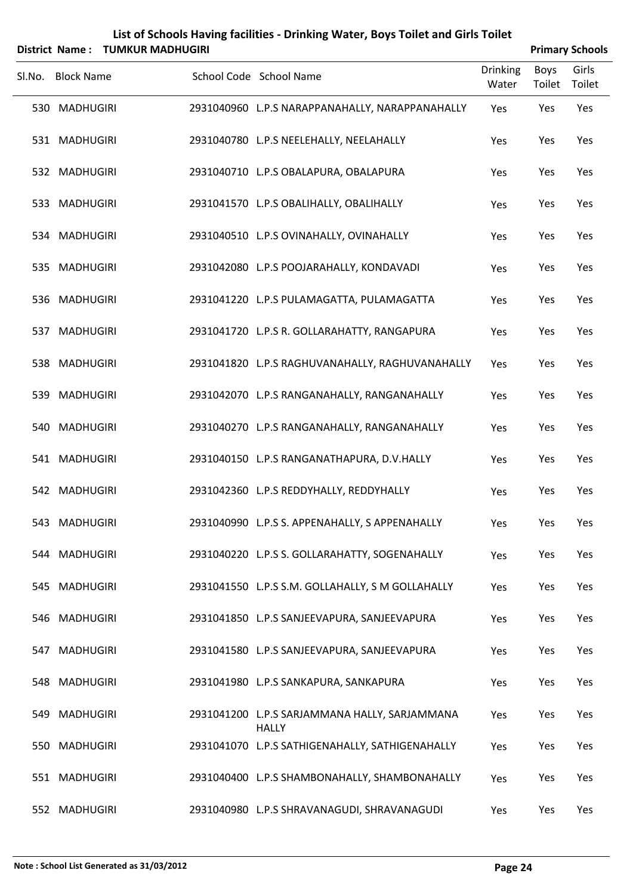|        | District Name:    | <b>TUMKUR MADHUGIRI</b> | List of Schools Having facilities - Drinking Water, Boys Toilet and Girls Toilet |                          |                       | <b>Primary Schools</b> |
|--------|-------------------|-------------------------|----------------------------------------------------------------------------------|--------------------------|-----------------------|------------------------|
| Sl.No. | <b>Block Name</b> |                         | School Code School Name                                                          | <b>Drinking</b><br>Water | <b>Boys</b><br>Toilet | Girls<br>Toilet        |
|        | 530 MADHUGIRI     |                         | 2931040960 L.P.S NARAPPANAHALLY, NARAPPANAHALLY                                  | Yes                      | Yes                   | Yes                    |
|        | 531 MADHUGIRI     |                         | 2931040780 L.P.S NEELEHALLY, NEELAHALLY                                          | Yes                      | Yes                   | Yes                    |
|        | 532 MADHUGIRI     |                         | 2931040710 L.P.S OBALAPURA, OBALAPURA                                            | Yes                      | Yes                   | Yes                    |
|        | 533 MADHUGIRI     |                         | 2931041570 L.P.S OBALIHALLY, OBALIHALLY                                          | Yes                      | Yes                   | Yes                    |
|        | 534 MADHUGIRI     |                         | 2931040510 L.P.S OVINAHALLY, OVINAHALLY                                          | Yes                      | Yes                   | Yes                    |
|        | 535 MADHUGIRI     |                         | 2931042080 L.P.S POOJARAHALLY, KONDAVADI                                         | Yes                      | Yes                   | Yes                    |
|        | 536 MADHUGIRI     |                         | 2931041220 L.P.S PULAMAGATTA, PULAMAGATTA                                        | Yes                      | Yes                   | Yes                    |
|        | 537 MADHUGIRI     |                         | 2931041720 L.P.S R. GOLLARAHATTY, RANGAPURA                                      | Yes                      | Yes                   | Yes                    |
|        | 538 MADHUGIRI     |                         | 2931041820 L.P.S RAGHUVANAHALLY, RAGHUVANAHALLY                                  | Yes                      | Yes                   | Yes                    |
|        | 539 MADHUGIRI     |                         | 2931042070 L.P.S RANGANAHALLY, RANGANAHALLY                                      | Yes                      | Yes                   | Yes                    |
|        | 540 MADHUGIRI     |                         | 2931040270 L.P.S RANGANAHALLY, RANGANAHALLY                                      | Yes                      | Yes                   | Yes                    |
|        | 541 MADHUGIRI     |                         | 2931040150 L.P.S RANGANATHAPURA, D.V.HALLY                                       | Yes                      | Yes                   | Yes                    |
|        | 542 MADHUGIRI     |                         | 2931042360 L.P.S REDDYHALLY, REDDYHALLY                                          | Yes                      | Yes                   | Yes                    |
|        | 543 MADHUGIRI     |                         | 2931040990 L.P.S S. APPENAHALLY, S APPENAHALLY                                   | Yes                      | Yes                   | Yes                    |
|        | 544 MADHUGIRI     |                         | 2931040220 L.P.S S. GOLLARAHATTY, SOGENAHALLY                                    | Yes                      | Yes                   | Yes                    |
|        | 545 MADHUGIRI     |                         | 2931041550 L.P.S S.M. GOLLAHALLY, S M GOLLAHALLY                                 | Yes                      | Yes                   | Yes                    |
|        | 546 MADHUGIRI     |                         | 2931041850 L.P.S SANJEEVAPURA, SANJEEVAPURA                                      | Yes                      | Yes                   | Yes                    |
| 547    | <b>MADHUGIRI</b>  |                         | 2931041580 L.P.S SANJEEVAPURA, SANJEEVAPURA                                      | Yes                      | Yes                   | Yes                    |
|        | 548 MADHUGIRI     |                         | 2931041980 L.P.S SANKAPURA, SANKAPURA                                            | Yes                      | Yes                   | Yes                    |
|        | 549 MADHUGIRI     |                         | 2931041200 L.P.S SARJAMMANA HALLY, SARJAMMANA<br><b>HALLY</b>                    | Yes                      | Yes                   | Yes                    |
|        | 550 MADHUGIRI     |                         | 2931041070 L.P.S SATHIGENAHALLY, SATHIGENAHALLY                                  | Yes                      | Yes                   | Yes                    |
|        | 551 MADHUGIRI     |                         | 2931040400 L.P.S SHAMBONAHALLY, SHAMBONAHALLY                                    | Yes                      | Yes                   | Yes                    |
|        | 552 MADHUGIRI     |                         | 2931040980 L.P.S SHRAVANAGUDI, SHRAVANAGUDI                                      | Yes                      | Yes                   | Yes                    |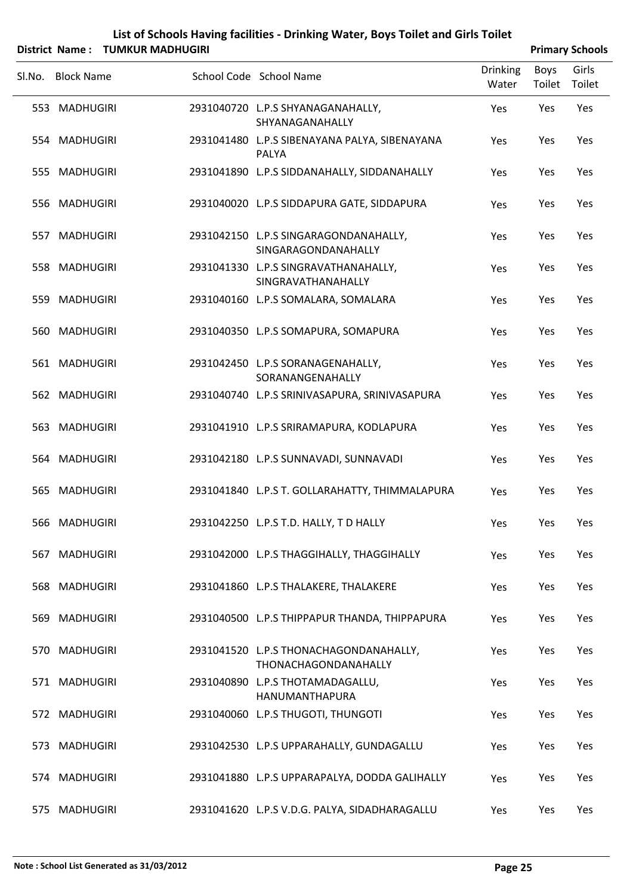|        |                   | District Name: TUMKUR MADHUGIRI |                                                                |                          |                | <b>Primary Schools</b> |
|--------|-------------------|---------------------------------|----------------------------------------------------------------|--------------------------|----------------|------------------------|
| SI.No. | <b>Block Name</b> |                                 | School Code School Name                                        | <b>Drinking</b><br>Water | Boys<br>Toilet | Girls<br>Toilet        |
|        | 553 MADHUGIRI     |                                 | 2931040720 L.P.S SHYANAGANAHALLY,<br>SHYANAGANAHALLY           | Yes                      | Yes            | Yes                    |
|        | 554 MADHUGIRI     |                                 | 2931041480 L.P.S SIBENAYANA PALYA, SIBENAYANA<br>PALYA         | Yes                      | Yes            | Yes                    |
|        | 555 MADHUGIRI     |                                 | 2931041890 L.P.S SIDDANAHALLY, SIDDANAHALLY                    | Yes                      | Yes            | Yes                    |
|        | 556 MADHUGIRI     |                                 | 2931040020 L.P.S SIDDAPURA GATE, SIDDAPURA                     | Yes                      | Yes            | Yes                    |
|        | 557 MADHUGIRI     |                                 | 2931042150 L.P.S SINGARAGONDANAHALLY,<br>SINGARAGONDANAHALLY   | Yes                      | Yes            | Yes                    |
|        | 558 MADHUGIRI     |                                 | 2931041330 L.P.S SINGRAVATHANAHALLY,<br>SINGRAVATHANAHALLY     | Yes                      | Yes            | Yes                    |
|        | 559 MADHUGIRI     |                                 | 2931040160 L.P.S SOMALARA, SOMALARA                            | Yes                      | Yes            | Yes                    |
|        | 560 MADHUGIRI     |                                 | 2931040350 L.P.S SOMAPURA, SOMAPURA                            | Yes                      | Yes            | Yes                    |
|        | 561 MADHUGIRI     |                                 | 2931042450 L.P.S SORANAGENAHALLY,<br>SORANANGENAHALLY          | Yes                      | Yes            | Yes                    |
|        | 562 MADHUGIRI     |                                 | 2931040740 L.P.S SRINIVASAPURA, SRINIVASAPURA                  | Yes                      | Yes            | Yes                    |
|        | 563 MADHUGIRI     |                                 | 2931041910 L.P.S SRIRAMAPURA, KODLAPURA                        | Yes                      | Yes            | Yes                    |
|        | 564 MADHUGIRI     |                                 | 2931042180 L.P.S SUNNAVADI, SUNNAVADI                          | Yes                      | Yes            | Yes                    |
|        | 565 MADHUGIRI     |                                 | 2931041840 L.P.S T. GOLLARAHATTY, THIMMALAPURA                 | Yes                      | Yes            | Yes                    |
|        | 566 MADHUGIRI     |                                 | 2931042250 L.P.S T.D. HALLY, T D HALLY                         | Yes                      | Yes            | Yes                    |
|        | 567 MADHUGIRI     |                                 | 2931042000 L.P.S THAGGIHALLY, THAGGIHALLY                      | Yes                      | Yes            | Yes                    |
|        | 568 MADHUGIRI     |                                 | 2931041860 L.P.S THALAKERE, THALAKERE                          | Yes                      | Yes            | Yes                    |
|        | 569 MADHUGIRI     |                                 | 2931040500 L.P.S THIPPAPUR THANDA, THIPPAPURA                  | Yes                      | Yes            | Yes                    |
|        | 570 MADHUGIRI     |                                 | 2931041520 L.P.S THONACHAGONDANAHALLY,<br>THONACHAGONDANAHALLY | Yes                      | Yes            | Yes                    |
|        | 571 MADHUGIRI     |                                 | 2931040890 L.P.S THOTAMADAGALLU,<br>HANUMANTHAPURA             | Yes                      | Yes            | Yes                    |
|        | 572 MADHUGIRI     |                                 | 2931040060 L.P.S THUGOTI, THUNGOTI                             | Yes                      | Yes            | Yes                    |
|        | 573 MADHUGIRI     |                                 | 2931042530 L.P.S UPPARAHALLY, GUNDAGALLU                       | Yes                      | Yes            | Yes                    |
|        | 574 MADHUGIRI     |                                 | 2931041880 L.P.S UPPARAPALYA, DODDA GALIHALLY                  | Yes                      | Yes            | Yes                    |
|        | 575 MADHUGIRI     |                                 | 2931041620 L.P.S V.D.G. PALYA, SIDADHARAGALLU                  | Yes                      | Yes            | Yes                    |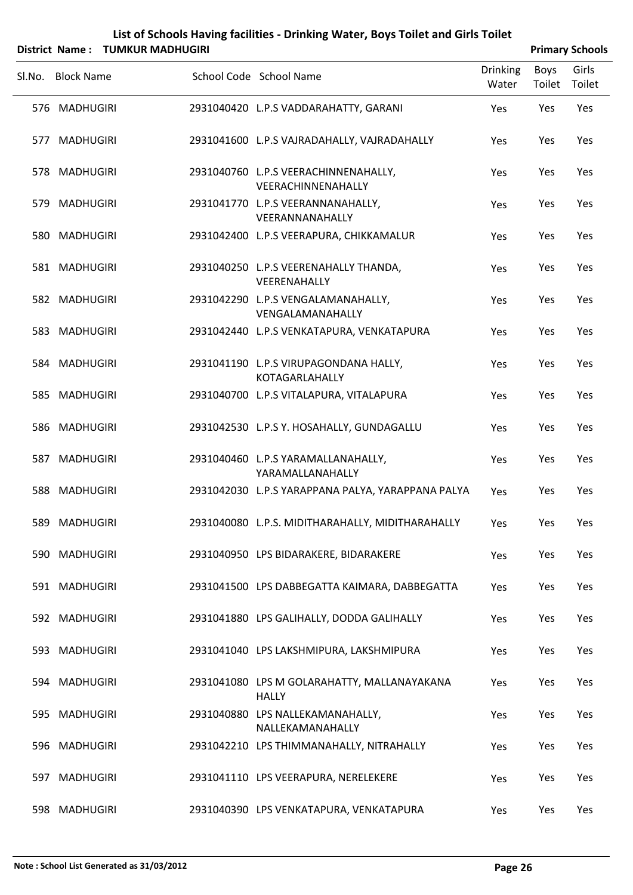| List of Schools Having facilities - Drinking Water, Boys Toilet and Girls Toilet |
|----------------------------------------------------------------------------------|
| $\mathbf{A}$ . News . THRAVIID RAA DUUCIDI                                       |

|        | District Name: TUMKUR MADHUGIRI |                                                             |                          |                | <b>Primary Schools</b> |
|--------|---------------------------------|-------------------------------------------------------------|--------------------------|----------------|------------------------|
| Sl.No. | <b>Block Name</b>               | School Code School Name                                     | <b>Drinking</b><br>Water | Boys<br>Toilet | Girls<br>Toilet        |
|        | 576 MADHUGIRI                   | 2931040420 L.P.S VADDARAHATTY, GARANI                       | Yes                      | Yes            | Yes                    |
|        | 577 MADHUGIRI                   | 2931041600 L.P.S VAJRADAHALLY, VAJRADAHALLY                 | Yes                      | Yes            | Yes                    |
|        | 578 MADHUGIRI                   | 2931040760 L.P.S VEERACHINNENAHALLY,<br>VEERACHINNENAHALLY  | Yes                      | Yes            | Yes                    |
|        | 579 MADHUGIRI                   | 2931041770 L.P.S VEERANNANAHALLY,<br>VEERANNANAHALLY        | Yes                      | Yes            | Yes                    |
|        | 580 MADHUGIRI                   | 2931042400 L.P.S VEERAPURA, CHIKKAMALUR                     | Yes                      | Yes            | Yes                    |
|        | 581 MADHUGIRI                   | 2931040250 L.P.S VEERENAHALLY THANDA,<br>VEERENAHALLY       | Yes                      | Yes            | Yes                    |
|        | 582 MADHUGIRI                   | 2931042290 L.P.S VENGALAMANAHALLY,<br>VENGALAMANAHALLY      | Yes                      | Yes            | Yes                    |
|        | 583 MADHUGIRI                   | 2931042440 L.P.S VENKATAPURA, VENKATAPURA                   | Yes                      | Yes            | Yes                    |
|        | 584 MADHUGIRI                   | 2931041190 L.P.S VIRUPAGONDANA HALLY,<br>KOTAGARLAHALLY     | Yes                      | Yes            | Yes                    |
|        | 585 MADHUGIRI                   | 2931040700 L.P.S VITALAPURA, VITALAPURA                     | Yes                      | Yes            | Yes                    |
|        | 586 MADHUGIRI                   | 2931042530 L.P.S Y. HOSAHALLY, GUNDAGALLU                   | Yes                      | Yes            | Yes                    |
|        | 587 MADHUGIRI                   | 2931040460 L.P.S YARAMALLANAHALLY,<br>YARAMALLANAHALLY      | Yes                      | Yes            | Yes                    |
|        | 588 MADHUGIRI                   | 2931042030 L.P.S YARAPPANA PALYA, YARAPPANA PALYA           | Yes                      | Yes            | Yes                    |
|        | 589 MADHUGIRI                   | 2931040080 L.P.S. MIDITHARAHALLY, MIDITHARAHALLY            | Yes                      | Yes            | Yes                    |
|        | 590 MADHUGIRI                   | 2931040950 LPS BIDARAKERE, BIDARAKERE                       | Yes                      | Yes            | Yes                    |
|        | 591 MADHUGIRI                   | 2931041500 LPS DABBEGATTA KAIMARA, DABBEGATTA               | Yes                      | Yes            | Yes                    |
|        | 592 MADHUGIRI                   | 2931041880 LPS GALIHALLY, DODDA GALIHALLY                   | Yes                      | Yes            | Yes                    |
|        | 593 MADHUGIRI                   | 2931041040 LPS LAKSHMIPURA, LAKSHMIPURA                     | Yes                      | Yes            | Yes                    |
|        | 594 MADHUGIRI                   | 2931041080 LPS M GOLARAHATTY, MALLANAYAKANA<br><b>HALLY</b> | Yes                      | Yes            | Yes                    |
|        | 595 MADHUGIRI                   | 2931040880 LPS NALLEKAMANAHALLY,<br>NALLEKAMANAHALLY        | Yes                      | Yes            | Yes                    |
|        | 596 MADHUGIRI                   | 2931042210 LPS THIMMANAHALLY, NITRAHALLY                    | Yes                      | Yes            | Yes                    |
|        | 597 MADHUGIRI                   | 2931041110 LPS VEERAPURA, NERELEKERE                        | Yes                      | Yes            | Yes                    |
|        | 598 MADHUGIRI                   | 2931040390 LPS VENKATAPURA, VENKATAPURA                     | Yes                      | Yes            | Yes                    |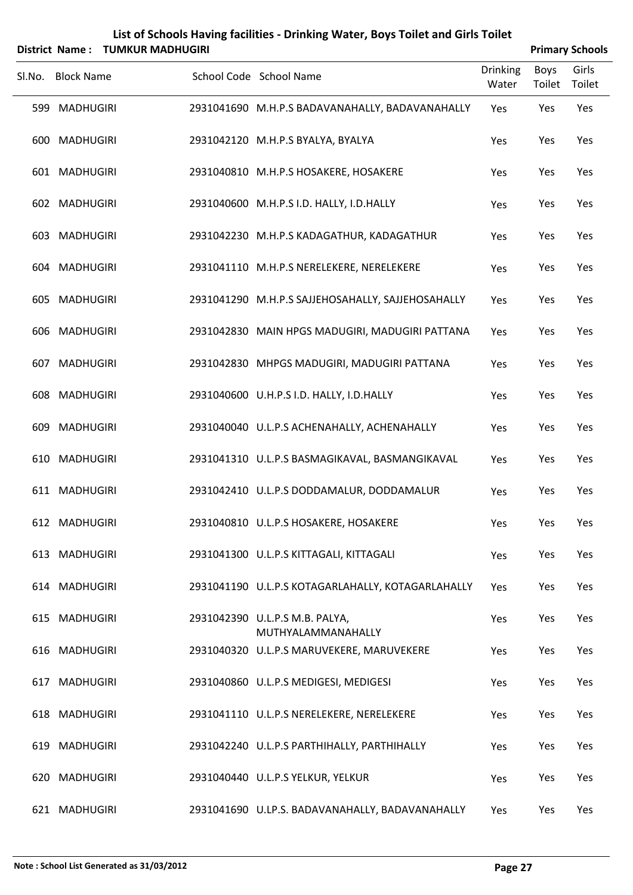|        |                   | District Name: TUMKUR MADHUGIRI |                                                      |                          | <b>Primary Schools</b> |                 |
|--------|-------------------|---------------------------------|------------------------------------------------------|--------------------------|------------------------|-----------------|
| Sl.No. | <b>Block Name</b> |                                 | School Code School Name                              | <b>Drinking</b><br>Water | Boys<br>Toilet         | Girls<br>Toilet |
|        | 599 MADHUGIRI     |                                 | 2931041690 M.H.P.S BADAVANAHALLY, BADAVANAHALLY      | Yes                      | Yes                    | Yes             |
|        | 600 MADHUGIRI     |                                 | 2931042120 M.H.P.S BYALYA, BYALYA                    | Yes                      | Yes                    | Yes             |
|        | 601 MADHUGIRI     |                                 | 2931040810 M.H.P.S HOSAKERE, HOSAKERE                | Yes                      | Yes                    | Yes             |
|        | 602 MADHUGIRI     |                                 | 2931040600 M.H.P.S I.D. HALLY, I.D.HALLY             | Yes                      | Yes                    | Yes             |
|        | 603 MADHUGIRI     |                                 | 2931042230 M.H.P.S KADAGATHUR, KADAGATHUR            | Yes                      | Yes                    | Yes             |
|        | 604 MADHUGIRI     |                                 | 2931041110 M.H.P.S NERELEKERE, NERELEKERE            | Yes                      | Yes                    | Yes             |
|        | 605 MADHUGIRI     |                                 | 2931041290 M.H.P.S SAJJEHOSAHALLY, SAJJEHOSAHALLY    | Yes                      | Yes                    | Yes             |
|        | 606 MADHUGIRI     |                                 | 2931042830 MAIN HPGS MADUGIRI, MADUGIRI PATTANA      | Yes                      | Yes                    | Yes             |
|        | 607 MADHUGIRI     |                                 | 2931042830 MHPGS MADUGIRI, MADUGIRI PATTANA          | Yes                      | Yes                    | Yes             |
|        | 608 MADHUGIRI     |                                 | 2931040600 U.H.P.S I.D. HALLY, I.D.HALLY             | Yes                      | Yes                    | Yes             |
|        | 609 MADHUGIRI     |                                 | 2931040040 U.L.P.S ACHENAHALLY, ACHENAHALLY          | Yes                      | Yes                    | Yes             |
|        | 610 MADHUGIRI     |                                 | 2931041310 U.L.P.S BASMAGIKAVAL, BASMANGIKAVAL       | Yes                      | Yes                    | Yes             |
|        | 611 MADHUGIRI     |                                 | 2931042410 U.L.P.S DODDAMALUR, DODDAMALUR            | Yes                      | Yes                    | Yes             |
|        | 612 MADHUGIRI     |                                 | 2931040810 U.L.P.S HOSAKERE, HOSAKERE                | Yes                      | Yes                    | Yes             |
|        | 613 MADHUGIRI     |                                 | 2931041300 U.L.P.S KITTAGALI, KITTAGALI              | Yes                      | Yes                    | Yes             |
|        | 614 MADHUGIRI     |                                 | 2931041190 U.L.P.S KOTAGARLAHALLY, KOTAGARLAHALLY    | Yes                      | Yes                    | Yes             |
|        | 615 MADHUGIRI     |                                 | 2931042390 U.L.P.S M.B. PALYA,<br>MUTHYALAMMANAHALLY | Yes                      | Yes                    | Yes             |
|        | 616 MADHUGIRI     |                                 | 2931040320 U.L.P.S MARUVEKERE, MARUVEKERE            | Yes                      | Yes                    | Yes             |
|        | 617 MADHUGIRI     |                                 | 2931040860 U.L.P.S MEDIGESI, MEDIGESI                | Yes                      | Yes                    | Yes             |
|        | 618 MADHUGIRI     |                                 | 2931041110 U.L.P.S NERELEKERE, NERELEKERE            | Yes                      | Yes                    | Yes             |
|        | 619 MADHUGIRI     |                                 | 2931042240 U.L.P.S PARTHIHALLY, PARTHIHALLY          | Yes                      | Yes                    | Yes             |
|        | 620 MADHUGIRI     |                                 | 2931040440 U.L.P.S YELKUR, YELKUR                    | Yes                      | Yes                    | Yes             |

MADHUGIRI 2931041690 U.LP.S. BADAVANAHALLY, BADAVANAHALLY Yes Yes Yes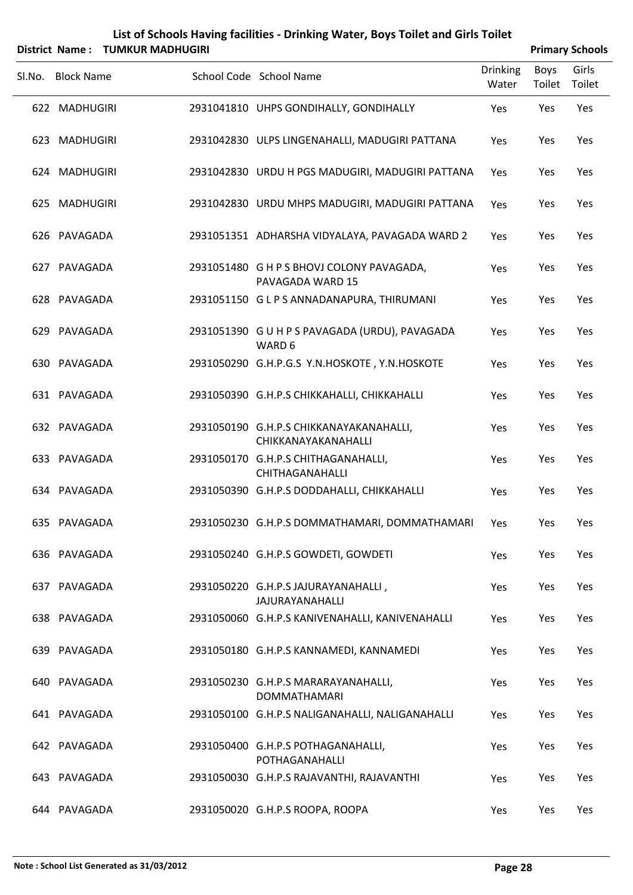| List of Schools Having facilities - Drinking Water, Boys Toilet and Girls Toilet |
|----------------------------------------------------------------------------------|
|                                                                                  |

|        | District Name: TUMKUR MADHUGIRI |                                                                |                          |                | <b>Primary Schools</b> |
|--------|---------------------------------|----------------------------------------------------------------|--------------------------|----------------|------------------------|
| Sl.No. | <b>Block Name</b>               | School Code School Name                                        | <b>Drinking</b><br>Water | Boys<br>Toilet | Girls<br>Toilet        |
|        | 622 MADHUGIRI                   | 2931041810 UHPS GONDIHALLY, GONDIHALLY                         | Yes                      | Yes            | Yes                    |
|        | 623 MADHUGIRI                   | 2931042830 ULPS LINGENAHALLI, MADUGIRI PATTANA                 | Yes                      | Yes            | Yes                    |
|        | 624 MADHUGIRI                   | 2931042830 URDU H PGS MADUGIRI, MADUGIRI PATTANA               | Yes                      | Yes            | Yes                    |
|        | 625 MADHUGIRI                   | 2931042830 URDU MHPS MADUGIRI, MADUGIRI PATTANA                | Yes                      | Yes            | Yes                    |
|        | 626 PAVAGADA                    | 2931051351 ADHARSHA VIDYALAYA, PAVAGADA WARD 2                 | Yes                      | Yes            | Yes                    |
|        | 627 PAVAGADA                    | 2931051480 G H P S BHOVJ COLONY PAVAGADA,<br>PAVAGADA WARD 15  | Yes                      | Yes            | Yes                    |
|        | 628 PAVAGADA                    | 2931051150 GLPS ANNADANAPURA, THIRUMANI                        | Yes                      | Yes            | Yes                    |
|        | 629 PAVAGADA                    | 2931051390 G U H P S PAVAGADA (URDU), PAVAGADA<br>WARD 6       | Yes                      | Yes            | Yes                    |
|        | 630 PAVAGADA                    | 2931050290 G.H.P.G.S Y.N.HOSKOTE, Y.N.HOSKOTE                  | Yes                      | Yes            | Yes                    |
|        | 631 PAVAGADA                    | 2931050390 G.H.P.S CHIKKAHALLI, CHIKKAHALLI                    | Yes                      | Yes            | Yes                    |
|        | 632 PAVAGADA                    | 2931050190 G.H.P.S CHIKKANAYAKANAHALLI,<br>CHIKKANAYAKANAHALLI | Yes                      | Yes            | Yes                    |
|        | 633 PAVAGADA                    | 2931050170 G.H.P.S CHITHAGANAHALLI,<br>CHITHAGANAHALLI         | Yes                      | Yes            | Yes                    |
|        | 634 PAVAGADA                    | 2931050390 G.H.P.S DODDAHALLI, CHIKKAHALLI                     | Yes                      | Yes            | Yes                    |
|        | 635 PAVAGADA                    | 2931050230 G.H.P.S DOMMATHAMARI, DOMMATHAMARI Yes              |                          | Yes            | Yes                    |
|        | 636 PAVAGADA                    | 2931050240 G.H.P.S GOWDETI, GOWDETI                            | Yes                      | Yes            | Yes                    |
|        | 637 PAVAGADA                    | 2931050220 G.H.P.S JAJURAYANAHALLI,<br><b>JAJURAYANAHALLI</b>  | Yes                      | Yes            | Yes                    |
|        | 638 PAVAGADA                    | 2931050060 G.H.P.S KANIVENAHALLI, KANIVENAHALLI                | Yes                      | Yes            | Yes                    |
|        | 639 PAVAGADA                    | 2931050180 G.H.P.S KANNAMEDI, KANNAMEDI                        | Yes                      | Yes            | Yes                    |
|        | 640 PAVAGADA                    | 2931050230 G.H.P.S MARARAYANAHALLI,<br><b>DOMMATHAMARI</b>     | Yes                      | Yes            | Yes                    |
|        | 641 PAVAGADA                    | 2931050100 G.H.P.S NALIGANAHALLI, NALIGANAHALLI                | Yes                      | Yes            | Yes                    |
|        | 642 PAVAGADA                    | 2931050400 G.H.P.S POTHAGANAHALLI,<br>POTHAGANAHALLI           | Yes                      | Yes            | Yes                    |
|        | 643 PAVAGADA                    | 2931050030 G.H.P.S RAJAVANTHI, RAJAVANTHI                      | Yes                      | Yes            | Yes                    |
|        | 644 PAVAGADA                    | 2931050020 G.H.P.S ROOPA, ROOPA                                | Yes                      | Yes            | Yes                    |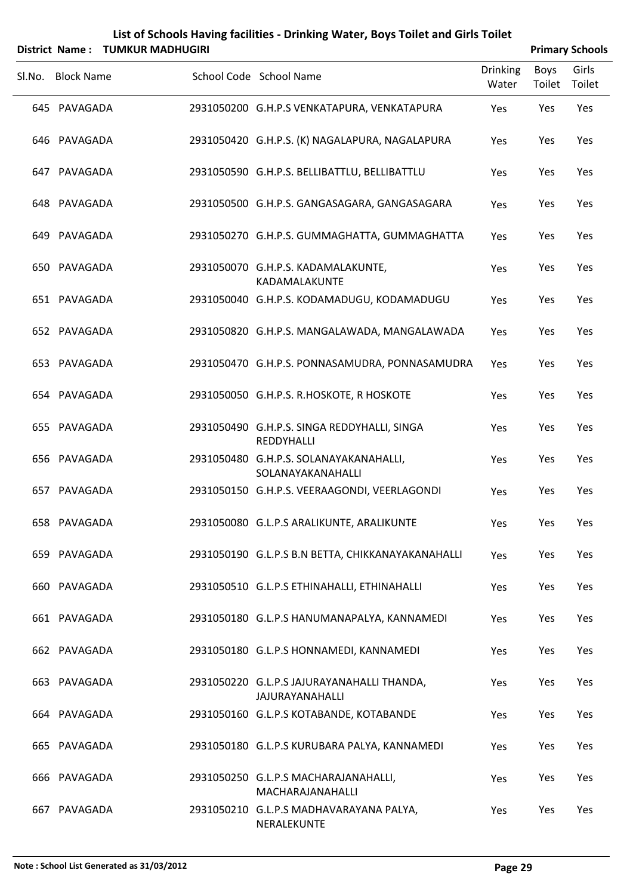|        |                   | District Name: TUMKUR MADHUGIRI |                                                                      |                          |                | <b>Primary Schools</b> |
|--------|-------------------|---------------------------------|----------------------------------------------------------------------|--------------------------|----------------|------------------------|
| SI.No. | <b>Block Name</b> |                                 | School Code School Name                                              | <b>Drinking</b><br>Water | Boys<br>Toilet | Girls<br>Toilet        |
|        | 645 PAVAGADA      |                                 | 2931050200 G.H.P.S VENKATAPURA, VENKATAPURA                          | Yes                      | Yes            | Yes                    |
|        | 646 PAVAGADA      |                                 | 2931050420 G.H.P.S. (K) NAGALAPURA, NAGALAPURA                       | Yes                      | Yes            | Yes                    |
|        | 647 PAVAGADA      |                                 | 2931050590 G.H.P.S. BELLIBATTLU, BELLIBATTLU                         | Yes                      | Yes            | Yes                    |
|        | 648 PAVAGADA      |                                 | 2931050500 G.H.P.S. GANGASAGARA, GANGASAGARA                         | Yes                      | Yes            | Yes                    |
|        | 649 PAVAGADA      |                                 | 2931050270 G.H.P.S. GUMMAGHATTA, GUMMAGHATTA                         | Yes                      | Yes            | Yes                    |
|        | 650 PAVAGADA      |                                 | 2931050070 G.H.P.S. KADAMALAKUNTE,<br>KADAMALAKUNTE                  | Yes                      | Yes            | Yes                    |
|        | 651 PAVAGADA      |                                 | 2931050040 G.H.P.S. KODAMADUGU, KODAMADUGU                           | Yes                      | Yes            | Yes                    |
|        | 652 PAVAGADA      |                                 | 2931050820 G.H.P.S. MANGALAWADA, MANGALAWADA                         | Yes                      | Yes            | Yes                    |
|        | 653 PAVAGADA      |                                 | 2931050470 G.H.P.S. PONNASAMUDRA, PONNASAMUDRA                       | Yes                      | Yes            | Yes                    |
|        | 654 PAVAGADA      |                                 | 2931050050 G.H.P.S. R.HOSKOTE, R HOSKOTE                             | Yes                      | Yes            | Yes                    |
|        | 655 PAVAGADA      |                                 | 2931050490 G.H.P.S. SINGA REDDYHALLI, SINGA<br>REDDYHALLI            | Yes                      | Yes            | Yes                    |
|        | 656 PAVAGADA      |                                 | 2931050480 G.H.P.S. SOLANAYAKANAHALLI,<br>SOLANAYAKANAHALLI          | Yes                      | Yes            | Yes                    |
|        | 657 PAVAGADA      |                                 | 2931050150 G.H.P.S. VEERAAGONDI, VEERLAGONDI                         | Yes                      | Yes            | Yes                    |
|        | 658 PAVAGADA      |                                 | 2931050080 G.L.P.S ARALIKUNTE, ARALIKUNTE                            | Yes                      | Yes            | Yes                    |
|        | 659 PAVAGADA      |                                 | 2931050190 G.L.P.S B.N BETTA, CHIKKANAYAKANAHALLI                    | Yes                      | Yes            | Yes                    |
|        | 660 PAVAGADA      |                                 | 2931050510 G.L.P.S ETHINAHALLI, ETHINAHALLI                          | Yes                      | Yes            | Yes                    |
|        | 661 PAVAGADA      |                                 | 2931050180 G.L.P.S HANUMANAPALYA, KANNAMEDI                          | Yes                      | Yes            | Yes                    |
|        | 662 PAVAGADA      |                                 | 2931050180 G.L.P.S HONNAMEDI, KANNAMEDI                              | Yes                      | Yes            | Yes                    |
|        | 663 PAVAGADA      |                                 | 2931050220 G.L.P.S JAJURAYANAHALLI THANDA,<br><b>JAJURAYANAHALLI</b> | Yes                      | Yes            | Yes                    |
|        | 664 PAVAGADA      |                                 | 2931050160 G.L.P.S KOTABANDE, KOTABANDE                              | Yes                      | Yes            | Yes                    |
|        | 665 PAVAGADA      |                                 | 2931050180 G.L.P.S KURUBARA PALYA, KANNAMEDI                         | Yes                      | Yes            | Yes                    |
|        | 666 PAVAGADA      |                                 | 2931050250 G.L.P.S MACHARAJANAHALLI,<br>MACHARAJANAHALLI             | Yes                      | Yes            | Yes                    |
| 667    | PAVAGADA          |                                 | 2931050210 G.L.P.S MADHAVARAYANA PALYA,<br>NERALEKUNTE               | Yes                      | Yes            | Yes                    |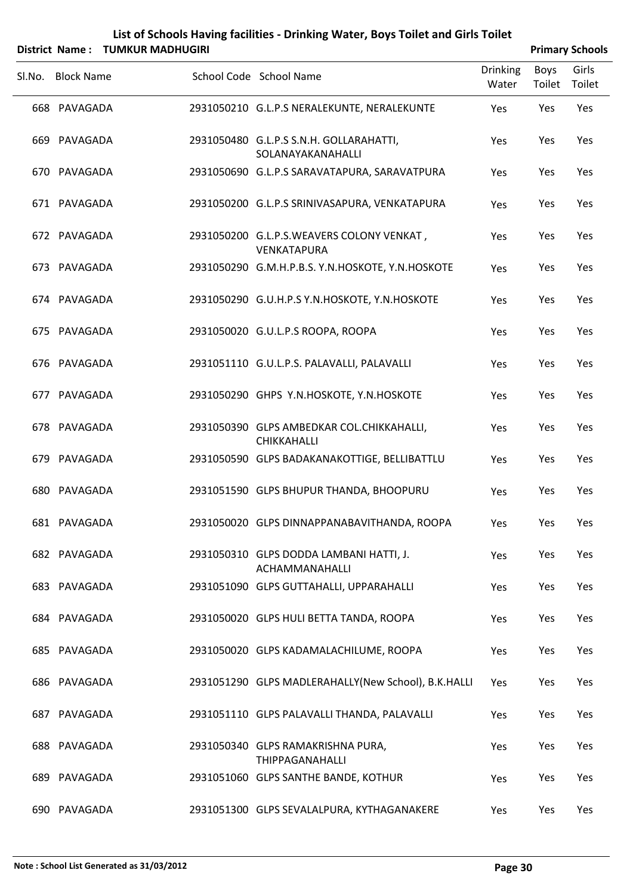| List of Schools Having facilities - Drinking Water, Boys Toilet and Girls Toilet |
|----------------------------------------------------------------------------------|
| District Name: TUMKUR MADHUGIRI                                                  |

| <b>Primary Schools</b> |
|------------------------|
|                        |

| . סוווסוי ויטוווכ | ויוויטיוושמוזיווייוטו |                                                                 |                          |                | r i illial y Juliouis |
|-------------------|-----------------------|-----------------------------------------------------------------|--------------------------|----------------|-----------------------|
| Sl.No. Block Name |                       | School Code School Name                                         | <b>Drinking</b><br>Water | Boys<br>Toilet | Girls<br>Toilet       |
| 668 PAVAGADA      |                       | 2931050210 G.L.P.S NERALEKUNTE, NERALEKUNTE                     | Yes                      | Yes            | Yes                   |
| 669 PAVAGADA      |                       | 2931050480 G.L.P.S S.N.H. GOLLARAHATTI,<br>SOLANAYAKANAHALLI    | Yes                      | Yes            | Yes                   |
| 670 PAVAGADA      |                       | 2931050690 G.L.P.S SARAVATAPURA, SARAVATPURA                    | Yes                      | Yes            | Yes                   |
| 671 PAVAGADA      |                       | 2931050200 G.L.P.S SRINIVASAPURA, VENKATAPURA                   | Yes                      | Yes            | Yes                   |
| 672 PAVAGADA      |                       | 2931050200 G.L.P.S.WEAVERS COLONY VENKAT,<br>VENKATAPURA        | Yes                      | Yes            | Yes                   |
| 673 PAVAGADA      |                       | 2931050290 G.M.H.P.B.S. Y.N.HOSKOTE, Y.N.HOSKOTE                | Yes                      | Yes            | Yes                   |
| 674 PAVAGADA      |                       | 2931050290 G.U.H.P.S Y.N.HOSKOTE, Y.N.HOSKOTE                   | Yes                      | Yes            | Yes                   |
| 675 PAVAGADA      |                       | 2931050020 G.U.L.P.S ROOPA, ROOPA                               | Yes                      | Yes            | Yes                   |
| 676 PAVAGADA      |                       | 2931051110 G.U.L.P.S. PALAVALLI, PALAVALLI                      | Yes                      | Yes            | Yes                   |
| 677 PAVAGADA      |                       | 2931050290 GHPS Y.N.HOSKOTE, Y.N.HOSKOTE                        | Yes                      | Yes            | Yes                   |
| 678 PAVAGADA      |                       | 2931050390 GLPS AMBEDKAR COL.CHIKKAHALLI,<br><b>CHIKKAHALLI</b> | Yes                      | Yes            | Yes                   |
| 679 PAVAGADA      |                       | 2931050590 GLPS BADAKANAKOTTIGE, BELLIBATTLU                    | Yes                      | Yes            | Yes                   |
| 680 PAVAGADA      |                       | 2931051590 GLPS BHUPUR THANDA, BHOOPURU                         | Yes                      | Yes            | Yes                   |
| 681 PAVAGADA      |                       | 2931050020 GLPS DINNAPPANABAVITHANDA, ROOPA                     | Yes                      | Yes            | Yes                   |
| 682 PAVAGADA      |                       | 2931050310 GLPS DODDA LAMBANI HATTI, J.<br>ACHAMMANAHALLI       | Yes                      | Yes            | Yes                   |
| 683 PAVAGADA      |                       | 2931051090 GLPS GUTTAHALLI, UPPARAHALLI                         | Yes                      | Yes            | Yes                   |
| 684 PAVAGADA      |                       | 2931050020 GLPS HULI BETTA TANDA, ROOPA                         | Yes                      | Yes            | Yes                   |
| 685 PAVAGADA      |                       | 2931050020 GLPS KADAMALACHILUME, ROOPA                          | Yes                      | Yes            | Yes                   |
| 686 PAVAGADA      |                       | 2931051290 GLPS MADLERAHALLY(New School), B.K.HALLI             | <b>Yes</b>               | Yes            | Yes                   |
| 687 PAVAGADA      |                       | 2931051110 GLPS PALAVALLI THANDA, PALAVALLI                     | Yes                      | Yes            | Yes                   |
| 688 PAVAGADA      |                       | 2931050340 GLPS RAMAKRISHNA PURA,<br><b>THIPPAGANAHALLI</b>     | Yes                      | Yes            | Yes                   |
| 689 PAVAGADA      |                       | 2931051060 GLPS SANTHE BANDE, KOTHUR                            | Yes                      | Yes            | Yes                   |
| 690 PAVAGADA      |                       | 2931051300 GLPS SEVALALPURA, KYTHAGANAKERE                      | Yes                      | Yes            | Yes                   |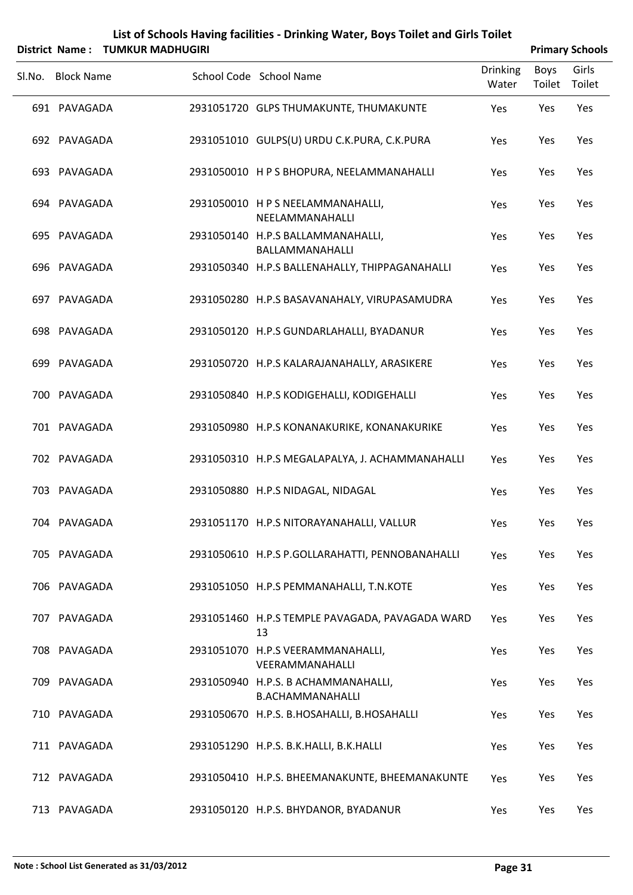|        |                   | District Name: TUMKUR MADHUGIRI |                                                                |                          |                | <b>Primary Schools</b> |
|--------|-------------------|---------------------------------|----------------------------------------------------------------|--------------------------|----------------|------------------------|
| Sl.No. | <b>Block Name</b> |                                 | School Code School Name                                        | <b>Drinking</b><br>Water | Boys<br>Toilet | Girls<br>Toilet        |
|        | 691 PAVAGADA      |                                 | 2931051720 GLPS THUMAKUNTE, THUMAKUNTE                         | Yes                      | Yes            | Yes                    |
|        | 692 PAVAGADA      |                                 | 2931051010 GULPS(U) URDU C.K.PURA, C.K.PURA                    | Yes                      | Yes            | Yes                    |
|        | 693 PAVAGADA      |                                 | 2931050010 H P S BHOPURA, NEELAMMANAHALLI                      | Yes                      | Yes            | Yes                    |
|        | 694 PAVAGADA      |                                 | 2931050010 H P S NEELAMMANAHALLI,<br>NEELAMMANAHALLI           | Yes                      | Yes            | Yes                    |
|        | 695 PAVAGADA      |                                 | 2931050140 H.P.S BALLAMMANAHALLI,<br>BALLAMMANAHALLI           | Yes                      | Yes            | Yes                    |
|        | 696 PAVAGADA      |                                 | 2931050340 H.P.S BALLENAHALLY, THIPPAGANAHALLI                 | Yes                      | Yes            | Yes                    |
|        | 697 PAVAGADA      |                                 | 2931050280 H.P.S BASAVANAHALY, VIRUPASAMUDRA                   | Yes                      | Yes            | Yes                    |
|        | 698 PAVAGADA      |                                 | 2931050120 H.P.S GUNDARLAHALLI, BYADANUR                       | Yes                      | Yes            | Yes                    |
|        | 699 PAVAGADA      |                                 | 2931050720 H.P.S KALARAJANAHALLY, ARASIKERE                    | Yes                      | Yes            | Yes                    |
|        | 700 PAVAGADA      |                                 | 2931050840 H.P.S KODIGEHALLI, KODIGEHALLI                      | Yes                      | Yes            | Yes                    |
|        | 701 PAVAGADA      |                                 | 2931050980 H.P.S KONANAKURIKE, KONANAKURIKE                    | Yes                      | Yes            | Yes                    |
|        | 702 PAVAGADA      |                                 | 2931050310 H.P.S MEGALAPALYA, J. ACHAMMANAHALLI                | Yes                      | Yes            | Yes                    |
|        | 703 PAVAGADA      |                                 | 2931050880 H.P.S NIDAGAL, NIDAGAL                              | Yes                      | Yes            | Yes                    |
|        | 704 PAVAGADA      |                                 | 2931051170 H.P.S NITORAYANAHALLI, VALLUR                       | Yes                      | Yes            | Yes                    |
|        | 705 PAVAGADA      |                                 | 2931050610 H.P.S P.GOLLARAHATTI, PENNOBANAHALLI                | Yes                      | Yes            | Yes                    |
|        | 706 PAVAGADA      |                                 | 2931051050 H.P.S PEMMANAHALLI, T.N.KOTE                        | Yes                      | Yes            | Yes                    |
|        | 707 PAVAGADA      |                                 | 2931051460 H.P.S TEMPLE PAVAGADA, PAVAGADA WARD<br>13          | Yes                      | Yes            | Yes                    |
|        | 708 PAVAGADA      |                                 | 2931051070 H.P.S VEERAMMANAHALLI,<br>VEERAMMANAHALLI           | Yes                      | Yes            | Yes                    |
|        | 709 PAVAGADA      |                                 | 2931050940 H.P.S. B ACHAMMANAHALLI,<br><b>B.ACHAMMANAHALLI</b> | Yes                      | Yes            | Yes                    |
|        | 710 PAVAGADA      |                                 | 2931050670 H.P.S. B.HOSAHALLI, B.HOSAHALLI                     | Yes                      | Yes            | Yes                    |
|        | 711 PAVAGADA      |                                 | 2931051290 H.P.S. B.K.HALLI, B.K.HALLI                         | Yes                      | Yes            | Yes                    |
|        | 712 PAVAGADA      |                                 | 2931050410 H.P.S. BHEEMANAKUNTE, BHEEMANAKUNTE                 | Yes                      | Yes            | Yes                    |
|        | 713 PAVAGADA      |                                 | 2931050120 H.P.S. BHYDANOR, BYADANUR                           | Yes                      | Yes            | Yes                    |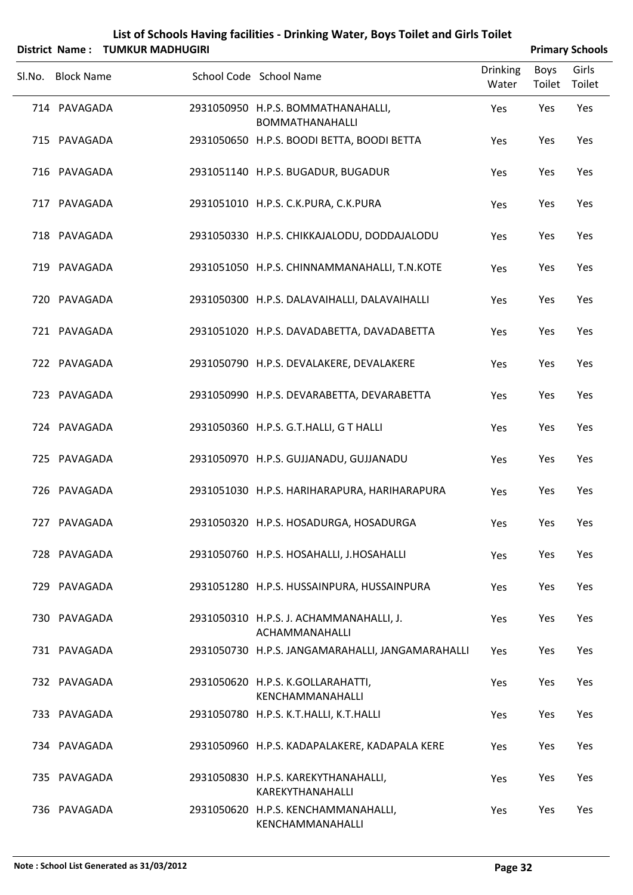|                   | District Name: TUMKUR MADHUGIRI |                                                              |                          |                       | <b>Primary Schools</b> |
|-------------------|---------------------------------|--------------------------------------------------------------|--------------------------|-----------------------|------------------------|
| Sl.No. Block Name |                                 | School Code School Name                                      | <b>Drinking</b><br>Water | <b>Boys</b><br>Toilet | Girls<br>Toilet        |
| 714 PAVAGADA      |                                 | 2931050950 H.P.S. BOMMATHANAHALLI,<br><b>BOMMATHANAHALLI</b> | Yes                      | Yes                   | Yes                    |
| 715 PAVAGADA      |                                 | 2931050650 H.P.S. BOODI BETTA, BOODI BETTA                   | Yes                      | Yes                   | Yes                    |
| 716 PAVAGADA      |                                 | 2931051140 H.P.S. BUGADUR, BUGADUR                           | Yes                      | Yes                   | Yes                    |
| 717 PAVAGADA      |                                 | 2931051010 H.P.S. C.K. PURA, C.K. PURA                       | Yes                      | Yes                   | Yes                    |
| 718 PAVAGADA      |                                 | 2931050330 H.P.S. CHIKKAJALODU, DODDAJALODU                  | Yes                      | Yes                   | Yes                    |
| 719 PAVAGADA      |                                 | 2931051050 H.P.S. CHINNAMMANAHALLI, T.N.KOTE                 | Yes                      | Yes                   | Yes                    |
| 720 PAVAGADA      |                                 | 2931050300 H.P.S. DALAVAIHALLI, DALAVAIHALLI                 | Yes                      | Yes                   | Yes                    |
| 721 PAVAGADA      |                                 | 2931051020 H.P.S. DAVADABETTA, DAVADABETTA                   | Yes                      | Yes                   | Yes                    |
| 722 PAVAGADA      |                                 | 2931050790 H.P.S. DEVALAKERE, DEVALAKERE                     | Yes                      | Yes                   | Yes                    |
| 723 PAVAGADA      |                                 | 2931050990 H.P.S. DEVARABETTA, DEVARABETTA                   | Yes                      | Yes                   | Yes                    |
| 724 PAVAGADA      |                                 | 2931050360 H.P.S. G.T.HALLI, G T HALLI                       | Yes                      | Yes                   | Yes                    |
| 725 PAVAGADA      |                                 | 2931050970 H.P.S. GUJJANADU, GUJJANADU                       | Yes                      | Yes                   | Yes                    |
| 726 PAVAGADA      |                                 | 2931051030 H.P.S. HARIHARAPURA, HARIHARAPURA                 | Yes                      | Yes                   | Yes                    |
| 727 PAVAGADA      |                                 | 2931050320 H.P.S. HOSADURGA, HOSADURGA                       | Yes                      | Yes                   | Yes                    |
| 728 PAVAGADA      |                                 | 2931050760 H.P.S. HOSAHALLI, J.HOSAHALLI                     | Yes                      | Yes                   | Yes                    |
| 729 PAVAGADA      |                                 | 2931051280 H.P.S. HUSSAINPURA, HUSSAINPURA                   | Yes                      | Yes                   | Yes                    |
| 730 PAVAGADA      |                                 | 2931050310 H.P.S. J. ACHAMMANAHALLI, J.<br>ACHAMMANAHALLI    | Yes                      | Yes                   | Yes                    |
| 731 PAVAGADA      |                                 | 2931050730 H.P.S. JANGAMARAHALLI, JANGAMARAHALLI             | Yes                      | Yes                   | Yes                    |
| 732 PAVAGADA      |                                 | 2931050620 H.P.S. K.GOLLARAHATTI,<br>KENCHAMMANAHALLI        | Yes                      | Yes                   | Yes                    |
| 733 PAVAGADA      |                                 | 2931050780 H.P.S. K.T.HALLI, K.T.HALLI                       | Yes                      | Yes                   | Yes                    |
| 734 PAVAGADA      |                                 | 2931050960 H.P.S. KADAPALAKERE, KADAPALA KERE                | Yes                      | Yes                   | Yes                    |
| 735 PAVAGADA      |                                 | 2931050830 H.P.S. KAREKYTHANAHALLI,<br>KAREKYTHANAHALLI      | Yes                      | Yes                   | Yes                    |
| 736 PAVAGADA      |                                 | 2931050620 H.P.S. KENCHAMMANAHALLI,<br>KENCHAMMANAHALLI      | Yes                      | Yes                   | Yes                    |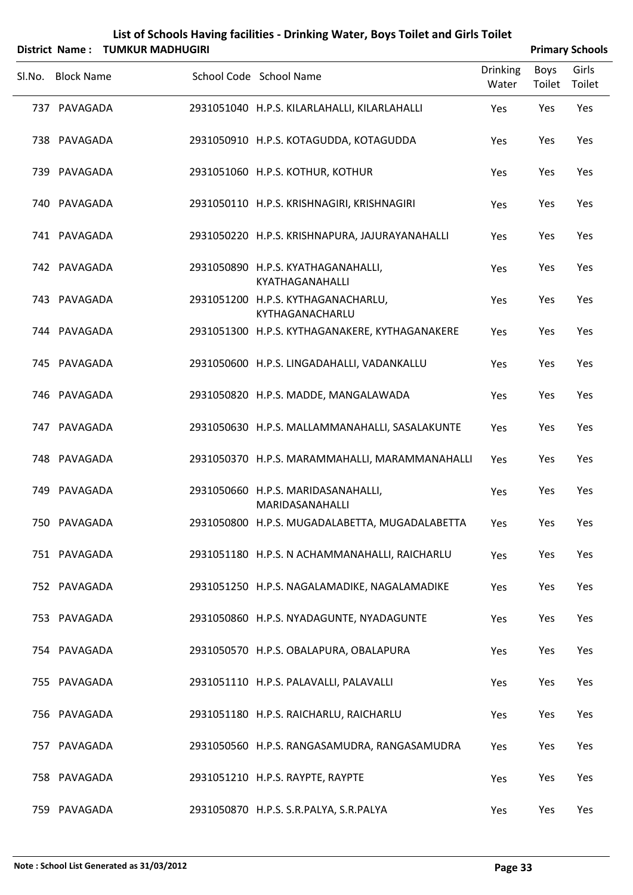|                   | District Name: TUMKUR MADHUGIRI |                                                       |                          |      | <b>Primary Schools</b> |
|-------------------|---------------------------------|-------------------------------------------------------|--------------------------|------|------------------------|
| Sl.No. Block Name |                                 | School Code School Name                               | <b>Drinking</b><br>Water | Boys | Girls<br>Toilet Toilet |
| 737 PAVAGADA      |                                 | 2931051040 H.P.S. KILARLAHALLI, KILARLAHALLI          | Yes                      | Yes  | Yes                    |
| 738 PAVAGADA      |                                 | 2931050910 H.P.S. KOTAGUDDA, KOTAGUDDA                | Yes                      | Yes  | Yes                    |
| 739 PAVAGADA      |                                 | 2931051060 H.P.S. KOTHUR, KOTHUR                      | Yes                      | Yes  | Yes                    |
| 740 PAVAGADA      |                                 | 2931050110 H.P.S. KRISHNAGIRI, KRISHNAGIRI            | Yes                      | Yes  | Yes                    |
| 741 PAVAGADA      |                                 | 2931050220 H.P.S. KRISHNAPURA, JAJURAYANAHALLI        | Yes                      | Yes  | Yes                    |
| 742 PAVAGADA      |                                 | 2931050890 H.P.S. KYATHAGANAHALLI,<br>KYATHAGANAHALLI | Yes                      | Yes  | Yes                    |
| 743 PAVAGADA      |                                 | 2931051200 H.P.S. KYTHAGANACHARLU,<br>KYTHAGANACHARLU | Yes                      | Yes  | Yes                    |
| 744 PAVAGADA      |                                 | 2931051300 H.P.S. KYTHAGANAKERE, KYTHAGANAKERE        | Yes                      | Yes  | Yes                    |
| 745 PAVAGADA      |                                 | 2931050600 H.P.S. LINGADAHALLI, VADANKALLU            | Yes                      | Yes  | Yes                    |
| 746 PAVAGADA      |                                 | 2931050820 H.P.S. MADDE, MANGALAWADA                  | Yes                      | Yes  | Yes                    |
| 747 PAVAGADA      |                                 | 2931050630 H.P.S. MALLAMMANAHALLI, SASALAKUNTE        | Yes                      | Yes  | Yes                    |
| 748 PAVAGADA      |                                 | 2931050370 H.P.S. MARAMMAHALLI, MARAMMANAHALLI        | Yes                      | Yes  | Yes                    |
| 749 PAVAGADA      |                                 | 2931050660 H.P.S. MARIDASANAHALLI,<br>MARIDASANAHALLI | Yes                      | Yes  | Yes                    |
| 750 PAVAGADA      |                                 | 2931050800 H.P.S. MUGADALABETTA, MUGADALABETTA        | Yes                      | Yes  | Yes                    |
| 751 PAVAGADA      |                                 | 2931051180 H.P.S. N ACHAMMANAHALLI, RAICHARLU         | Yes                      | Yes  | Yes                    |
| 752 PAVAGADA      |                                 | 2931051250 H.P.S. NAGALAMADIKE, NAGALAMADIKE          | Yes                      | Yes  | Yes                    |
| 753 PAVAGADA      |                                 | 2931050860 H.P.S. NYADAGUNTE, NYADAGUNTE              | Yes                      | Yes  | Yes                    |
| 754 PAVAGADA      |                                 | 2931050570 H.P.S. OBALAPURA, OBALAPURA                | Yes                      | Yes  | Yes                    |
| 755 PAVAGADA      |                                 | 2931051110 H.P.S. PALAVALLI, PALAVALLI                | Yes                      | Yes  | Yes                    |
| 756 PAVAGADA      |                                 | 2931051180 H.P.S. RAICHARLU, RAICHARLU                | Yes                      | Yes  | Yes                    |
| 757 PAVAGADA      |                                 | 2931050560 H.P.S. RANGASAMUDRA, RANGASAMUDRA          | Yes                      | Yes  | Yes                    |
| 758 PAVAGADA      |                                 | 2931051210 H.P.S. RAYPTE, RAYPTE                      | Yes                      | Yes  | Yes                    |
| 759 PAVAGADA      |                                 | 2931050870 H.P.S. S.R.PALYA, S.R.PALYA                | Yes                      | Yes  | Yes                    |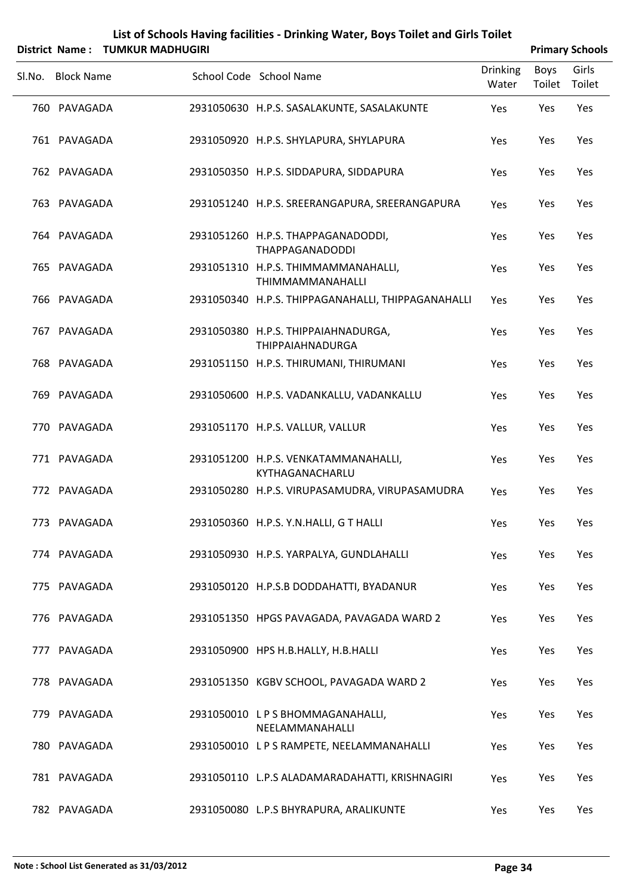| List of Schools Having facilities - Drinking Water, Boys Toilet and Girls Toilet |
|----------------------------------------------------------------------------------|
|                                                                                  |

|        |                   | District Name: TUMKUR MADHUGIRI |                                                                |                          |                | <b>Primary Schools</b> |
|--------|-------------------|---------------------------------|----------------------------------------------------------------|--------------------------|----------------|------------------------|
| SI.No. | <b>Block Name</b> |                                 | School Code School Name                                        | <b>Drinking</b><br>Water | Boys<br>Toilet | Girls<br>Toilet        |
|        | 760 PAVAGADA      |                                 | 2931050630 H.P.S. SASALAKUNTE, SASALAKUNTE                     | Yes                      | Yes            | Yes                    |
|        | 761 PAVAGADA      |                                 | 2931050920 H.P.S. SHYLAPURA, SHYLAPURA                         | Yes                      | Yes            | Yes                    |
|        | 762 PAVAGADA      |                                 | 2931050350 H.P.S. SIDDAPURA, SIDDAPURA                         | Yes                      | Yes            | Yes                    |
|        | 763 PAVAGADA      |                                 | 2931051240 H.P.S. SREERANGAPURA, SREERANGAPURA                 | Yes                      | Yes            | Yes                    |
|        | 764 PAVAGADA      |                                 | 2931051260 H.P.S. THAPPAGANADODDI,<br><b>THAPPAGANADODDI</b>   | Yes                      | Yes            | Yes                    |
|        | 765 PAVAGADA      |                                 | 2931051310 H.P.S. THIMMAMMANAHALLI,<br>THIMMAMMANAHALLI        | Yes                      | Yes            | Yes                    |
|        | 766 PAVAGADA      |                                 | 2931050340 H.P.S. THIPPAGANAHALLI, THIPPAGANAHALLI             | Yes                      | Yes            | Yes                    |
|        | 767 PAVAGADA      |                                 | 2931050380 H.P.S. THIPPAIAHNADURGA,<br><b>THIPPAIAHNADURGA</b> | Yes                      | Yes            | Yes                    |
|        | 768 PAVAGADA      |                                 | 2931051150 H.P.S. THIRUMANI, THIRUMANI                         | Yes                      | Yes            | Yes                    |
|        | 769 PAVAGADA      |                                 | 2931050600 H.P.S. VADANKALLU, VADANKALLU                       | Yes                      | Yes            | Yes                    |
|        | 770 PAVAGADA      |                                 | 2931051170 H.P.S. VALLUR, VALLUR                               | Yes                      | Yes            | Yes                    |
|        | 771 PAVAGADA      |                                 | 2931051200 H.P.S. VENKATAMMANAHALLI,<br>KYTHAGANACHARLU        | Yes                      | Yes            | Yes                    |
|        | 772 PAVAGADA      |                                 | 2931050280 H.P.S. VIRUPASAMUDRA, VIRUPASAMUDRA                 | Yes                      | Yes            | Yes                    |
|        | 773 PAVAGADA      |                                 | 2931050360 H.P.S. Y.N.HALLI, G T HALLI                         | Yes                      | Yes            | Yes                    |
|        | 774 PAVAGADA      |                                 | 2931050930 H.P.S. YARPALYA, GUNDLAHALLI                        | Yes                      | Yes            | Yes                    |
|        | 775 PAVAGADA      |                                 | 2931050120 H.P.S.B DODDAHATTI, BYADANUR                        | Yes                      | Yes            | Yes                    |
|        | 776 PAVAGADA      |                                 | 2931051350 HPGS PAVAGADA, PAVAGADA WARD 2                      | Yes                      | Yes            | Yes                    |
|        | 777 PAVAGADA      |                                 | 2931050900 HPS H.B.HALLY, H.B.HALLI                            | Yes                      | Yes            | Yes                    |
|        | 778 PAVAGADA      |                                 | 2931051350 KGBV SCHOOL, PAVAGADA WARD 2                        | Yes                      | Yes            | Yes                    |
|        | 779 PAVAGADA      |                                 | 2931050010 LPS BHOMMAGANAHALLI,<br>NEELAMMANAHALLI             | Yes                      | Yes            | Yes                    |
|        | 780 PAVAGADA      |                                 | 2931050010 L P S RAMPETE, NEELAMMANAHALLI                      | Yes                      | Yes            | Yes                    |
|        | 781 PAVAGADA      |                                 | 2931050110 L.P.S ALADAMARADAHATTI, KRISHNAGIRI                 | Yes                      | Yes            | Yes                    |
|        | 782 PAVAGADA      |                                 | 2931050080 L.P.S BHYRAPURA, ARALIKUNTE                         | Yes                      | Yes            | Yes                    |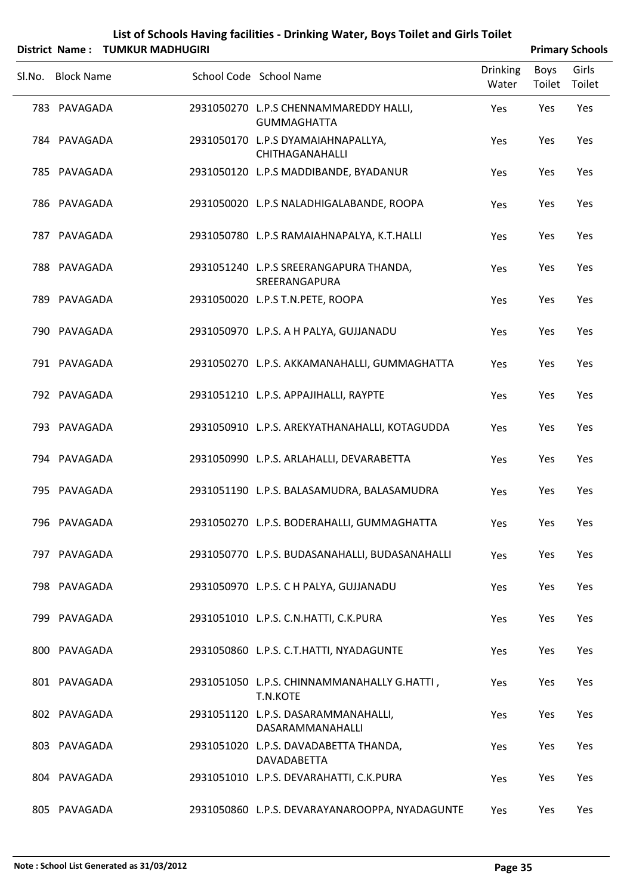| List of Schools Having facilities - Drinking Water, Boys Toilet and Girls Toilet |
|----------------------------------------------------------------------------------|
| $\ddot{a}$ Nome $\ddot{b}$ THAILID MADULCIDE                                     |

|        |                   | District Name: TUMKUR MADHUGIRI |                                                              |                          |                | <b>Primary Schools</b> |
|--------|-------------------|---------------------------------|--------------------------------------------------------------|--------------------------|----------------|------------------------|
| SI.No. | <b>Block Name</b> |                                 | School Code School Name                                      | <b>Drinking</b><br>Water | Boys<br>Toilet | Girls<br>Toilet        |
|        | 783 PAVAGADA      |                                 | 2931050270 L.P.S CHENNAMMAREDDY HALLI,<br><b>GUMMAGHATTA</b> | Yes                      | Yes            | Yes                    |
|        | 784 PAVAGADA      |                                 | 2931050170 L.P.S DYAMAIAHNAPALLYA,<br>CHITHAGANAHALLI        | Yes                      | Yes            | Yes                    |
|        | 785 PAVAGADA      |                                 | 2931050120 L.P.S MADDIBANDE, BYADANUR                        | Yes                      | Yes            | Yes                    |
|        | 786 PAVAGADA      |                                 | 2931050020 L.P.S NALADHIGALABANDE, ROOPA                     | Yes                      | Yes            | Yes                    |
|        | 787 PAVAGADA      |                                 | 2931050780 L.P.S RAMAIAHNAPALYA, K.T.HALLI                   | Yes                      | Yes            | Yes                    |
|        | 788 PAVAGADA      |                                 | 2931051240 L.P.S SREERANGAPURA THANDA,<br>SREERANGAPURA      | Yes                      | Yes            | Yes                    |
|        | 789 PAVAGADA      |                                 | 2931050020 L.P.S T.N.PETE, ROOPA                             | Yes                      | Yes            | Yes                    |
|        | 790 PAVAGADA      |                                 | 2931050970 L.P.S. A H PALYA, GUJJANADU                       | Yes                      | Yes            | Yes                    |
|        | 791 PAVAGADA      |                                 | 2931050270 L.P.S. AKKAMANAHALLI, GUMMAGHATTA                 | Yes                      | Yes            | Yes                    |
|        | 792 PAVAGADA      |                                 | 2931051210 L.P.S. APPAJIHALLI, RAYPTE                        | Yes                      | Yes            | Yes                    |
|        | 793 PAVAGADA      |                                 | 2931050910 L.P.S. AREKYATHANAHALLI, KOTAGUDDA                | Yes                      | Yes            | Yes                    |
|        | 794 PAVAGADA      |                                 | 2931050990 L.P.S. ARLAHALLI, DEVARABETTA                     | Yes                      | Yes            | Yes                    |
|        | 795 PAVAGADA      |                                 | 2931051190 L.P.S. BALASAMUDRA, BALASAMUDRA                   | Yes                      | Yes            | Yes                    |
|        | 796 PAVAGADA      |                                 | 2931050270 L.P.S. BODERAHALLI, GUMMAGHATTA                   | Yes                      | Yes            | Yes                    |
|        | 797 PAVAGADA      |                                 | 2931050770 L.P.S. BUDASANAHALLI, BUDASANAHALLI               | Yes                      | Yes            | Yes                    |
|        | 798 PAVAGADA      |                                 | 2931050970 L.P.S. C H PALYA, GUJJANADU                       | Yes                      | Yes            | Yes                    |
|        | 799 PAVAGADA      |                                 | 2931051010 L.P.S. C.N.HATTI, C.K.PURA                        | Yes                      | Yes            | Yes                    |
|        | 800 PAVAGADA      |                                 | 2931050860 L.P.S. C.T.HATTI, NYADAGUNTE                      | Yes                      | Yes            | Yes                    |
|        | 801 PAVAGADA      |                                 | 2931051050 L.P.S. CHINNAMMANAHALLY G.HATTI,<br>T.N.KOTE      | Yes                      | Yes            | Yes                    |
|        | 802 PAVAGADA      |                                 | 2931051120 L.P.S. DASARAMMANAHALLI,<br>DASARAMMANAHALLI      | Yes                      | Yes            | Yes                    |
|        | 803 PAVAGADA      |                                 | 2931051020 L.P.S. DAVADABETTA THANDA,<br>DAVADABETTA         | Yes                      | Yes            | Yes                    |
|        | 804 PAVAGADA      |                                 | 2931051010 L.P.S. DEVARAHATTI, C.K.PURA                      | Yes                      | Yes            | Yes                    |
|        | 805 PAVAGADA      |                                 | 2931050860 L.P.S. DEVARAYANAROOPPA, NYADAGUNTE               | Yes                      | Yes            | Yes                    |

Ĭ.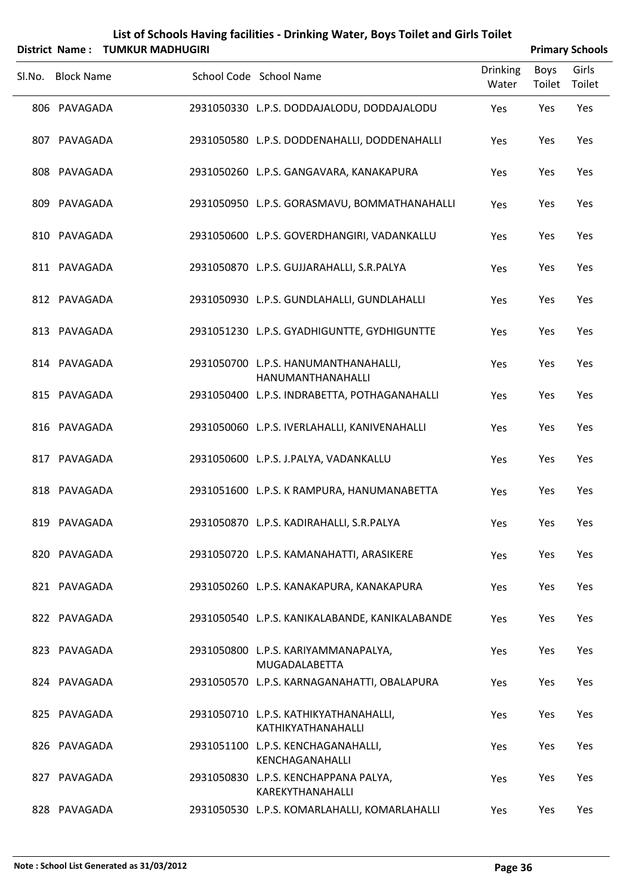|        | District Name:    | <b>TUMKUR MADHUGIRI</b> |                                                             |                          |                | <b>Primary Schools</b> |
|--------|-------------------|-------------------------|-------------------------------------------------------------|--------------------------|----------------|------------------------|
| SI.No. | <b>Block Name</b> |                         | School Code School Name                                     | <b>Drinking</b><br>Water | Boys<br>Toilet | Girls<br>Toilet        |
|        | 806 PAVAGADA      |                         | 2931050330 L.P.S. DODDAJALODU, DODDAJALODU                  | Yes                      | Yes            | Yes                    |
|        | 807 PAVAGADA      |                         | 2931050580 L.P.S. DODDENAHALLI, DODDENAHALLI                | Yes                      | Yes            | Yes                    |
|        | 808 PAVAGADA      |                         | 2931050260 L.P.S. GANGAVARA, KANAKAPURA                     | Yes                      | Yes            | Yes                    |
|        | 809 PAVAGADA      |                         | 2931050950 L.P.S. GORASMAVU, BOMMATHANAHALLI                | Yes                      | Yes            | Yes                    |
|        | 810 PAVAGADA      |                         | 2931050600 L.P.S. GOVERDHANGIRI, VADANKALLU                 | Yes                      | Yes            | Yes                    |
|        | 811 PAVAGADA      |                         | 2931050870 L.P.S. GUJJARAHALLI, S.R.PALYA                   | Yes                      | Yes            | Yes                    |
|        | 812 PAVAGADA      |                         | 2931050930 L.P.S. GUNDLAHALLI, GUNDLAHALLI                  | Yes                      | Yes            | Yes                    |
|        | 813 PAVAGADA      |                         | 2931051230 L.P.S. GYADHIGUNTTE, GYDHIGUNTTE                 | Yes                      | Yes            | Yes                    |
|        | 814 PAVAGADA      |                         | 2931050700 L.P.S. HANUMANTHANAHALLI,<br>HANUMANTHANAHALLI   | Yes                      | Yes            | Yes                    |
|        | 815 PAVAGADA      |                         | 2931050400 L.P.S. INDRABETTA, POTHAGANAHALLI                | Yes                      | Yes            | Yes                    |
|        | 816 PAVAGADA      |                         | 2931050060 L.P.S. IVERLAHALLI, KANIVENAHALLI                | Yes                      | Yes            | Yes                    |
|        | 817 PAVAGADA      |                         | 2931050600 L.P.S. J.PALYA, VADANKALLU                       | Yes                      | Yes            | Yes                    |
|        | 818 PAVAGADA      |                         | 2931051600 L.P.S. K RAMPURA, HANUMANABETTA                  | Yes                      | Yes            | Yes                    |
|        | 819 PAVAGADA      |                         | 2931050870 L.P.S. KADIRAHALLI, S.R.PALYA                    | Yes                      | Yes            | Yes                    |
|        | 820 PAVAGADA      |                         | 2931050720 L.P.S. KAMANAHATTI, ARASIKERE                    | Yes                      | Yes            | Yes                    |
|        | 821 PAVAGADA      |                         | 2931050260 L.P.S. KANAKAPURA, KANAKAPURA                    | Yes                      | Yes            | Yes                    |
|        | 822 PAVAGADA      |                         | 2931050540 L.P.S. KANIKALABANDE, KANIKALABANDE              | Yes                      | Yes            | Yes                    |
|        | 823 PAVAGADA      |                         | 2931050800 L.P.S. KARIYAMMANAPALYA,<br>MUGADALABETTA        | Yes                      | Yes            | Yes                    |
|        | 824 PAVAGADA      |                         | 2931050570 L.P.S. KARNAGANAHATTI, OBALAPURA                 | Yes                      | Yes            | Yes                    |
|        | 825 PAVAGADA      |                         | 2931050710 L.P.S. KATHIKYATHANAHALLI,<br>KATHIKYATHANAHALLI | Yes                      | Yes            | Yes                    |
|        | 826 PAVAGADA      |                         | 2931051100 L.P.S. KENCHAGANAHALLI,<br>KENCHAGANAHALLI       | Yes                      | Yes            | Yes                    |
|        | 827 PAVAGADA      |                         | 2931050830 L.P.S. KENCHAPPANA PALYA,<br>KAREKYTHANAHALLI    | Yes                      | Yes            | Yes                    |
|        | 828 PAVAGADA      |                         | 2931050530 L.P.S. KOMARLAHALLI, KOMARLAHALLI                | Yes                      | Yes            | Yes                    |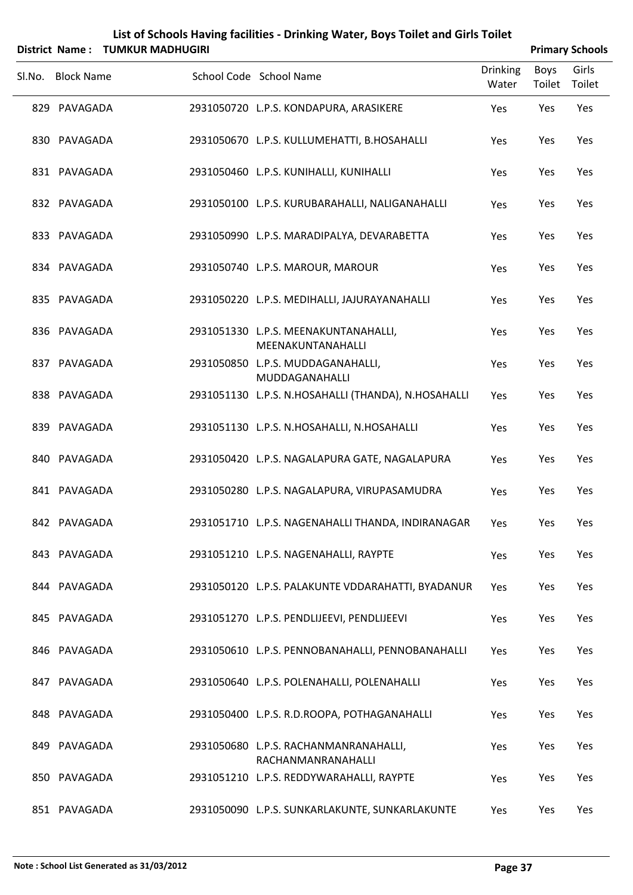|        |                   | District Name: TUMKUR MADHUGIRI |                                                             |                          |                       | <b>Primary Schools</b> |
|--------|-------------------|---------------------------------|-------------------------------------------------------------|--------------------------|-----------------------|------------------------|
| Sl.No. | <b>Block Name</b> |                                 | School Code School Name                                     | <b>Drinking</b><br>Water | <b>Boys</b><br>Toilet | Girls<br>Toilet        |
|        | 829 PAVAGADA      |                                 | 2931050720 L.P.S. KONDAPURA, ARASIKERE                      | Yes                      | Yes                   | Yes                    |
|        | 830 PAVAGADA      |                                 | 2931050670 L.P.S. KULLUMEHATTI, B.HOSAHALLI                 | Yes                      | Yes                   | Yes                    |
|        | 831 PAVAGADA      |                                 | 2931050460 L.P.S. KUNIHALLI, KUNIHALLI                      | Yes                      | Yes                   | Yes                    |
|        | 832 PAVAGADA      |                                 | 2931050100 L.P.S. KURUBARAHALLI, NALIGANAHALLI              | Yes                      | Yes                   | Yes                    |
|        | 833 PAVAGADA      |                                 | 2931050990 L.P.S. MARADIPALYA, DEVARABETTA                  | Yes                      | Yes                   | Yes                    |
|        | 834 PAVAGADA      |                                 | 2931050740 L.P.S. MAROUR, MAROUR                            | Yes                      | Yes                   | Yes                    |
|        | 835 PAVAGADA      |                                 | 2931050220 L.P.S. MEDIHALLI, JAJURAYANAHALLI                | Yes                      | Yes                   | Yes                    |
|        | 836 PAVAGADA      |                                 | 2931051330 L.P.S. MEENAKUNTANAHALLI,<br>MEENAKUNTANAHALLI   | Yes                      | Yes                   | Yes                    |
|        | 837 PAVAGADA      |                                 | 2931050850 L.P.S. MUDDAGANAHALLI,<br>MUDDAGANAHALLI         | Yes                      | Yes                   | Yes                    |
|        | 838 PAVAGADA      |                                 | 2931051130 L.P.S. N.HOSAHALLI (THANDA), N.HOSAHALLI         | Yes                      | Yes                   | Yes                    |
|        | 839 PAVAGADA      |                                 | 2931051130 L.P.S. N.HOSAHALLI, N.HOSAHALLI                  | Yes                      | Yes                   | Yes                    |
|        | 840 PAVAGADA      |                                 | 2931050420 L.P.S. NAGALAPURA GATE, NAGALAPURA               | Yes                      | Yes                   | Yes                    |
|        | 841 PAVAGADA      |                                 | 2931050280 L.P.S. NAGALAPURA, VIRUPASAMUDRA                 | Yes                      | Yes                   | Yes                    |
|        | 842 PAVAGADA      |                                 | 2931051710 L.P.S. NAGENAHALLI THANDA, INDIRANAGAR           | Yes                      | Yes                   | Yes                    |
|        | 843 PAVAGADA      |                                 | 2931051210 L.P.S. NAGENAHALLI, RAYPTE                       | Yes                      | Yes                   | Yes                    |
|        | 844 PAVAGADA      |                                 | 2931050120 L.P.S. PALAKUNTE VDDARAHATTI, BYADANUR           | Yes                      | Yes                   | Yes                    |
|        | 845 PAVAGADA      |                                 | 2931051270 L.P.S. PENDLIJEEVI, PENDLIJEEVI                  | Yes                      | Yes                   | Yes                    |
|        | 846 PAVAGADA      |                                 | 2931050610 L.P.S. PENNOBANAHALLI, PENNOBANAHALLI            | Yes                      | Yes                   | Yes                    |
|        | 847 PAVAGADA      |                                 | 2931050640 L.P.S. POLENAHALLI, POLENAHALLI                  | Yes                      | Yes                   | Yes                    |
|        | 848 PAVAGADA      |                                 | 2931050400 L.P.S. R.D.ROOPA, POTHAGANAHALLI                 | Yes                      | Yes                   | Yes                    |
|        | 849 PAVAGADA      |                                 | 2931050680 L.P.S. RACHANMANRANAHALLI,<br>RACHANMANRANAHALLI | Yes                      | Yes                   | Yes                    |
|        | 850 PAVAGADA      |                                 | 2931051210 L.P.S. REDDYWARAHALLI, RAYPTE                    | Yes                      | Yes                   | Yes                    |
|        | 851 PAVAGADA      |                                 | 2931050090 L.P.S. SUNKARLAKUNTE, SUNKARLAKUNTE              | Yes                      | Yes                   | Yes                    |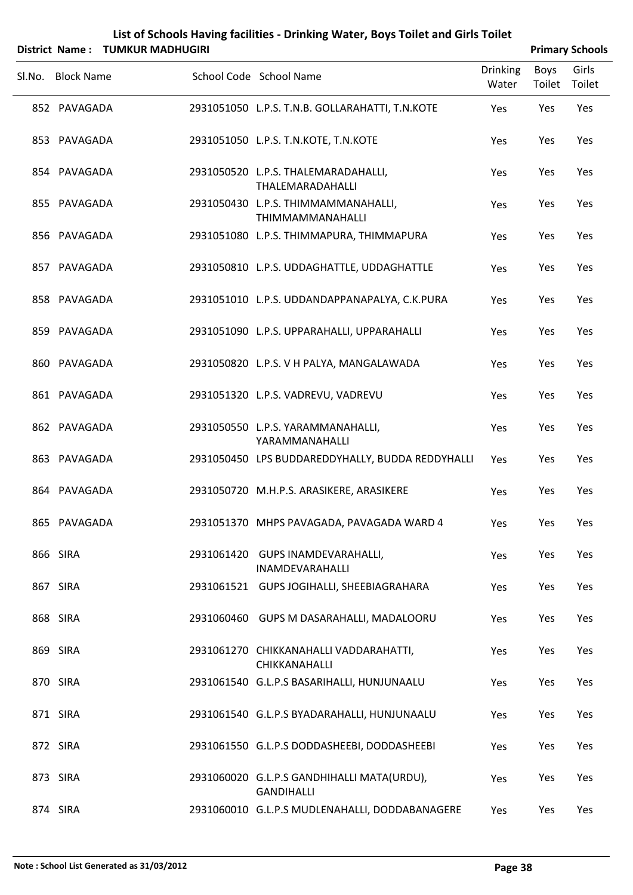|        | <b>District Name:</b> | <b>TUMKUR MADHUGIRI</b> | List of Schools Having facilities - Drinking Water, Boys Toilet and Girls Toilet |                          |                       | <b>Primary Schools</b> |
|--------|-----------------------|-------------------------|----------------------------------------------------------------------------------|--------------------------|-----------------------|------------------------|
| Sl.No. | <b>Block Name</b>     |                         | School Code School Name                                                          | <b>Drinking</b><br>Water | <b>Boys</b><br>Toilet | Girls<br>Toilet        |
|        | 852 PAVAGADA          |                         | 2931051050 L.P.S. T.N.B. GOLLARAHATTI, T.N.KOTE                                  | Yes                      | Yes                   | Yes                    |
|        | 853 PAVAGADA          |                         | 2931051050 L.P.S. T.N.KOTE, T.N.KOTE                                             | Yes                      | Yes                   | Yes                    |
|        | 854 PAVAGADA          |                         | 2931050520 L.P.S. THALEMARADAHALLI,<br>THALEMARADAHALLI                          | Yes                      | Yes                   | Yes                    |
|        | 855 PAVAGADA          |                         | 2931050430 L.P.S. THIMMAMMANAHALLI,<br>THIMMAMMANAHALLI                          | Yes                      | Yes                   | Yes                    |
|        | 856 PAVAGADA          |                         | 2931051080 L.P.S. THIMMAPURA, THIMMAPURA                                         | Yes                      | Yes                   | Yes                    |
|        | 857 PAVAGADA          |                         | 2931050810 L.P.S. UDDAGHATTLE, UDDAGHATTLE                                       | Yes                      | Yes                   | Yes                    |
|        | 858 PAVAGADA          |                         | 2931051010 L.P.S. UDDANDAPPANAPALYA, C.K.PURA                                    | Yes                      | Yes                   | Yes                    |
|        | 859 PAVAGADA          |                         | 2931051090 L.P.S. UPPARAHALLI, UPPARAHALLI                                       | Yes                      | Yes                   | Yes                    |
|        | 860 PAVAGADA          |                         | 2931050820 L.P.S. V H PALYA, MANGALAWADA                                         | Yes                      | Yes                   | Yes                    |
|        | 861 PAVAGADA          |                         | 2931051320 L.P.S. VADREVU, VADREVU                                               | Yes                      | Yes                   | Yes                    |
|        | 862 PAVAGADA          |                         | 2931050550 L.P.S. YARAMMANAHALLI,<br>YARAMMANAHALLI                              | Yes                      | Yes                   | Yes                    |
|        | 863 PAVAGADA          |                         | 2931050450 LPS BUDDAREDDYHALLY, BUDDA REDDYHALLI                                 | Yes                      | Yes                   | Yes                    |
|        | 864 PAVAGADA          |                         | 2931050720 M.H.P.S. ARASIKERE, ARASIKERE                                         | Yes                      | Yes                   | Yes                    |
|        | 865 PAVAGADA          |                         | 2931051370 MHPS PAVAGADA, PAVAGADA WARD 4                                        | Yes                      | Yes                   | Yes                    |
|        | 866 SIRA              |                         | 2931061420 GUPS INAMDEVARAHALLI,<br>INAMDEVARAHALLI                              | Yes                      | Yes                   | Yes                    |
|        | 867 SIRA              |                         | 2931061521 GUPS JOGIHALLI, SHEEBIAGRAHARA                                        | Yes                      | Yes                   | Yes                    |
|        | 868 SIRA              |                         | 2931060460 GUPS M DASARAHALLI, MADALOORU                                         | Yes                      | Yes                   | Yes                    |
|        | 869 SIRA              |                         | 2931061270 CHIKKANAHALLI VADDARAHATTI,<br>CHIKKANAHALLI                          | Yes                      | Yes                   | Yes                    |
|        | 870 SIRA              |                         | 2931061540 G.L.P.S BASARIHALLI, HUNJUNAALU                                       | Yes                      | Yes                   | Yes                    |
|        | 871 SIRA              |                         | 2931061540 G.L.P.S BYADARAHALLI, HUNJUNAALU                                      | Yes                      | Yes                   | Yes                    |
|        | 872 SIRA              |                         | 2931061550 G.L.P.S DODDASHEEBI, DODDASHEEBI                                      | Yes                      | Yes                   | Yes                    |
|        | 873 SIRA              |                         | 2931060020 G.L.P.S GANDHIHALLI MATA(URDU),<br><b>GANDIHALLI</b>                  | Yes                      | Yes                   | Yes                    |
|        | 874 SIRA              |                         | 2931060010 G.L.P.S MUDLENAHALLI, DODDABANAGERE                                   | Yes                      | Yes                   | Yes                    |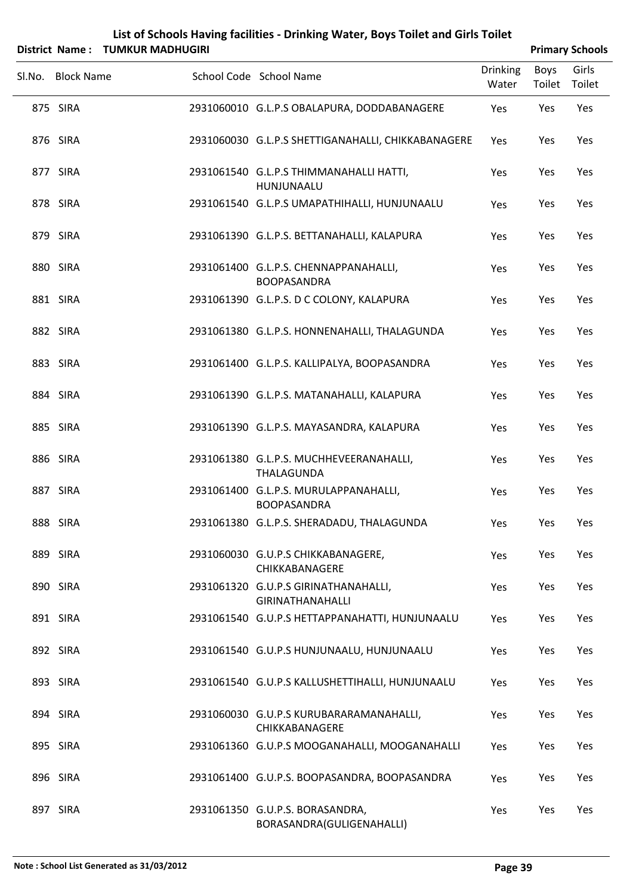| List of Schools Having facilities - Drinking Water, Boys Toilet and Girls Toilet |
|----------------------------------------------------------------------------------|
|                                                                                  |

|        |                   | District Name: TUMKUR MADHUGIRI |                                                                 |                          |                | <b>Primary Schools</b> |
|--------|-------------------|---------------------------------|-----------------------------------------------------------------|--------------------------|----------------|------------------------|
| Sl.No. | <b>Block Name</b> |                                 | School Code School Name                                         | <b>Drinking</b><br>Water | Boys<br>Toilet | Girls<br>Toilet        |
|        | 875 SIRA          |                                 | 2931060010 G.L.P.S OBALAPURA, DODDABANAGERE                     | Yes                      | Yes            | Yes                    |
|        | 876 SIRA          |                                 | 2931060030 G.L.P.S SHETTIGANAHALLI, CHIKKABANAGERE              | Yes                      | Yes            | Yes                    |
|        | 877 SIRA          |                                 | 2931061540 G.L.P.S THIMMANAHALLI HATTI,<br>HUNJUNAALU           | Yes                      | Yes            | Yes                    |
|        | 878 SIRA          |                                 | 2931061540 G.L.P.S UMAPATHIHALLI, HUNJUNAALU                    | Yes                      | Yes            | Yes                    |
|        | 879 SIRA          |                                 | 2931061390 G.L.P.S. BETTANAHALLI, KALAPURA                      | Yes                      | Yes            | Yes                    |
|        | 880 SIRA          |                                 | 2931061400 G.L.P.S. CHENNAPPANAHALLI,<br><b>BOOPASANDRA</b>     | Yes                      | Yes            | Yes                    |
|        | 881 SIRA          |                                 | 2931061390 G.L.P.S. D C COLONY, KALAPURA                        | Yes                      | Yes            | Yes                    |
|        | 882 SIRA          |                                 | 2931061380 G.L.P.S. HONNENAHALLI, THALAGUNDA                    | Yes                      | Yes            | Yes                    |
|        | 883 SIRA          |                                 | 2931061400 G.L.P.S. KALLIPALYA, BOOPASANDRA                     | Yes                      | Yes            | Yes                    |
|        | 884 SIRA          |                                 | 2931061390 G.L.P.S. MATANAHALLI, KALAPURA                       | Yes                      | Yes            | Yes                    |
|        | 885 SIRA          |                                 | 2931061390 G.L.P.S. MAYASANDRA, KALAPURA                        | Yes                      | Yes            | Yes                    |
|        | 886 SIRA          |                                 | 2931061380 G.L.P.S. MUCHHEVEERANAHALLI,<br><b>THALAGUNDA</b>    | Yes                      | Yes            | Yes                    |
|        | 887 SIRA          |                                 | 2931061400 G.L.P.S. MURULAPPANAHALLI,<br><b>BOOPASANDRA</b>     | Yes                      | Yes            | Yes                    |
|        | 888 SIRA          |                                 | 2931061380 G.L.P.S. SHERADADU, THALAGUNDA                       | Yes                      | Yes            | Yes                    |
|        | 889 SIRA          |                                 | 2931060030 G.U.P.S CHIKKABANAGERE,<br>CHIKKABANAGERE            | Yes                      | Yes            | Yes                    |
|        | 890 SIRA          |                                 | 2931061320 G.U.P.S GIRINATHANAHALLI,<br><b>GIRINATHANAHALLI</b> | Yes                      | Yes            | Yes                    |
|        | 891 SIRA          |                                 | 2931061540 G.U.P.S HETTAPPANAHATTI, HUNJUNAALU                  | Yes                      | Yes            | Yes                    |
|        | 892 SIRA          |                                 | 2931061540 G.U.P.S HUNJUNAALU, HUNJUNAALU                       | Yes                      | Yes            | Yes                    |
|        | 893 SIRA          |                                 | 2931061540 G.U.P.S KALLUSHETTIHALLI, HUNJUNAALU                 | Yes                      | Yes            | Yes                    |
|        | 894 SIRA          |                                 | 2931060030 G.U.P.S KURUBARARAMANAHALLI,<br>CHIKKABANAGERE       | Yes                      | Yes            | Yes                    |
|        | 895 SIRA          |                                 | 2931061360 G.U.P.S MOOGANAHALLI, MOOGANAHALLI                   | Yes                      | Yes            | Yes                    |
|        | 896 SIRA          |                                 | 2931061400 G.U.P.S. BOOPASANDRA, BOOPASANDRA                    | Yes                      | Yes            | Yes                    |
|        | 897 SIRA          |                                 | 2931061350 G.U.P.S. BORASANDRA,<br>BORASANDRA(GULIGENAHALLI)    | Yes                      | Yes            | Yes                    |

Ĺ,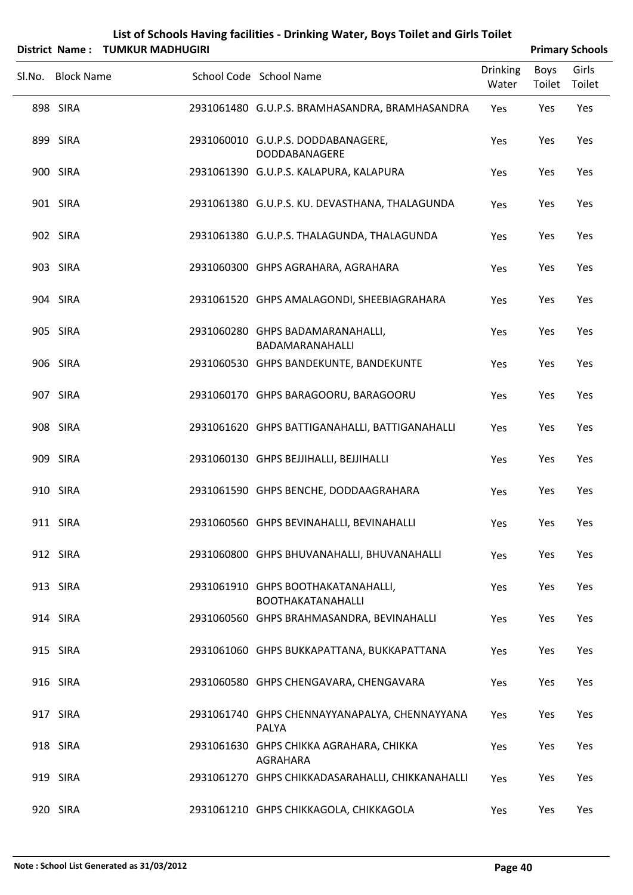| List of Schools Having facilities - Drinking Water, Boys Toilet and Girls Toilet |
|----------------------------------------------------------------------------------|
| District Name: TUMKUR MADHUGIRI                                                  |

| <b>Primary Schools</b> |
|------------------------|
|                        |

| Sl.No. Block Name | School Code School Name                                        | <b>Drinking</b><br>Water | Boys<br>Toilet | Girls<br>Toilet |
|-------------------|----------------------------------------------------------------|--------------------------|----------------|-----------------|
| 898 SIRA          | 2931061480 G.U.P.S. BRAMHASANDRA, BRAMHASANDRA                 | Yes                      | Yes            | Yes             |
| 899 SIRA          | 2931060010 G.U.P.S. DODDABANAGERE,<br>DODDABANAGERE            | Yes                      | Yes            | Yes             |
| 900 SIRA          | 2931061390 G.U.P.S. KALAPURA, KALAPURA                         | Yes                      | Yes            | Yes             |
| 901 SIRA          | 2931061380 G.U.P.S. KU. DEVASTHANA, THALAGUNDA                 | Yes                      | Yes            | Yes             |
| 902 SIRA          | 2931061380 G.U.P.S. THALAGUNDA, THALAGUNDA                     | Yes                      | Yes            | Yes             |
| 903 SIRA          | 2931060300 GHPS AGRAHARA, AGRAHARA                             | Yes                      | Yes            | Yes             |
| 904 SIRA          | 2931061520 GHPS AMALAGONDI, SHEEBIAGRAHARA                     | Yes                      | Yes            | Yes             |
| 905 SIRA          | 2931060280 GHPS BADAMARANAHALLI,<br>BADAMARANAHALLI            | Yes                      | Yes            | Yes             |
| 906 SIRA          | 2931060530 GHPS BANDEKUNTE, BANDEKUNTE                         | Yes                      | Yes            | Yes             |
| 907 SIRA          | 2931060170 GHPS BARAGOORU, BARAGOORU                           | Yes                      | Yes            | Yes             |
| 908 SIRA          | 2931061620 GHPS BATTIGANAHALLI, BATTIGANAHALLI                 | Yes                      | Yes            | Yes             |
| 909 SIRA          | 2931060130 GHPS BEJJIHALLI, BEJJIHALLI                         | Yes                      | Yes            | Yes             |
| 910 SIRA          | 2931061590 GHPS BENCHE, DODDAAGRAHARA                          | Yes                      | Yes            | Yes             |
| 911 SIRA          | 2931060560 GHPS BEVINAHALLI, BEVINAHALLI                       | Yes                      | Yes            | Yes             |
| 912 SIRA          | 2931060800 GHPS BHUVANAHALLI, BHUVANAHALLI                     | Yes                      | Yes            | Yes             |
| 913 SIRA          | 2931061910 GHPS BOOTHAKATANAHALLI,<br><b>BOOTHAKATANAHALLI</b> | Yes                      | Yes            | Yes             |
| 914 SIRA          | 2931060560 GHPS BRAHMASANDRA, BEVINAHALLI                      | Yes                      | Yes            | Yes             |
| 915 SIRA          | 2931061060 GHPS BUKKAPATTANA, BUKKAPATTANA                     | Yes                      | Yes            | Yes             |
| 916 SIRA          | 2931060580 GHPS CHENGAVARA, CHENGAVARA                         | Yes                      | Yes            | Yes             |
| 917 SIRA          | 2931061740 GHPS CHENNAYYANAPALYA, CHENNAYYANA<br>PALYA         | Yes                      | Yes            | Yes             |
| 918 SIRA          | 2931061630 GHPS CHIKKA AGRAHARA, CHIKKA<br>AGRAHARA            | Yes                      | Yes            | Yes             |
| 919 SIRA          | 2931061270 GHPS CHIKKADASARAHALLI, CHIKKANAHALLI               | Yes                      | Yes            | Yes             |
| 920 SIRA          | 2931061210 GHPS CHIKKAGOLA, CHIKKAGOLA                         | Yes                      | Yes            | Yes             |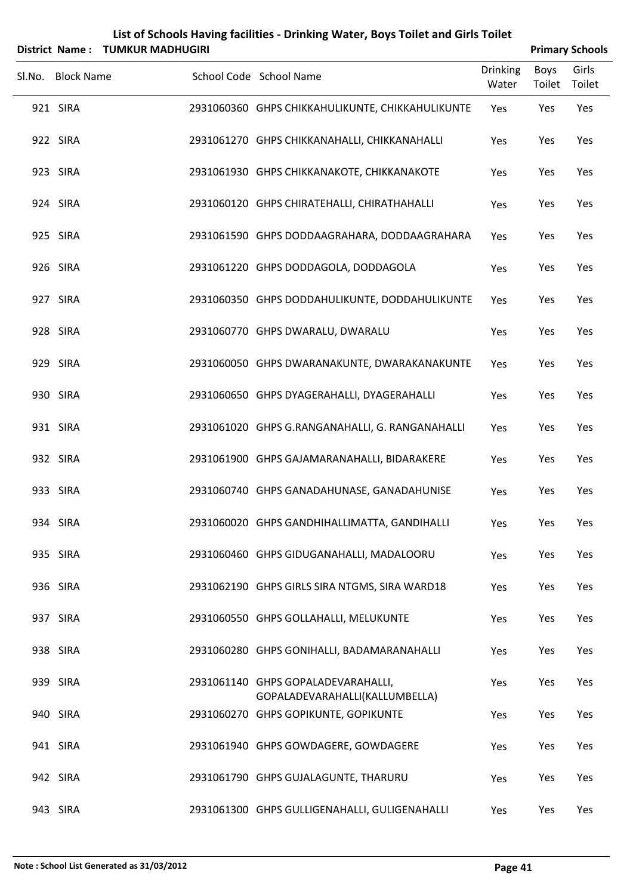|        |                   | District Name: TUMKUR MADHUGIRI |                                                                      |                          |                | <b>Primary Schools</b> |
|--------|-------------------|---------------------------------|----------------------------------------------------------------------|--------------------------|----------------|------------------------|
| Sl.No. | <b>Block Name</b> |                                 | School Code School Name                                              | <b>Drinking</b><br>Water | Boys<br>Toilet | Girls<br>Toilet        |
|        | 921 SIRA          |                                 | 2931060360 GHPS CHIKKAHULIKUNTE, CHIKKAHULIKUNTE                     | Yes                      | Yes            | Yes                    |
|        | 922 SIRA          |                                 | 2931061270 GHPS CHIKKANAHALLI, CHIKKANAHALLI                         | Yes                      | Yes            | Yes                    |
|        | 923 SIRA          |                                 | 2931061930 GHPS CHIKKANAKOTE, CHIKKANAKOTE                           | Yes                      | Yes            | Yes                    |
|        | 924 SIRA          |                                 | 2931060120 GHPS CHIRATEHALLI, CHIRATHAHALLI                          | Yes                      | Yes            | Yes                    |
|        | 925 SIRA          |                                 | 2931061590 GHPS DODDAAGRAHARA, DODDAAGRAHARA                         | Yes                      | Yes            | Yes                    |
|        | 926 SIRA          |                                 | 2931061220 GHPS DODDAGOLA, DODDAGOLA                                 | Yes                      | Yes            | Yes                    |
|        | 927 SIRA          |                                 | 2931060350 GHPS DODDAHULIKUNTE, DODDAHULIKUNTE                       | Yes                      | Yes            | Yes                    |
|        | 928 SIRA          |                                 | 2931060770 GHPS DWARALU, DWARALU                                     | Yes                      | Yes            | Yes                    |
|        | 929 SIRA          |                                 | 2931060050 GHPS DWARANAKUNTE, DWARAKANAKUNTE                         | Yes                      | Yes            | Yes                    |
|        | 930 SIRA          |                                 | 2931060650 GHPS DYAGERAHALLI, DYAGERAHALLI                           | Yes                      | Yes            | Yes                    |
|        | 931 SIRA          |                                 | 2931061020 GHPS G.RANGANAHALLI, G. RANGANAHALLI                      | Yes                      | Yes            | Yes                    |
|        | 932 SIRA          |                                 | 2931061900 GHPS GAJAMARANAHALLI, BIDARAKERE                          | Yes                      | Yes            | Yes                    |
|        | 933 SIRA          |                                 | 2931060740 GHPS GANADAHUNASE, GANADAHUNISE                           | Yes                      | Yes            | Yes                    |
|        | 934 SIRA          |                                 | 2931060020 GHPS GANDHIHALLIMATTA, GANDIHALLI                         | Yes                      | Yes            | Yes                    |
|        | 935 SIRA          |                                 | 2931060460 GHPS GIDUGANAHALLI, MADALOORU                             | Yes                      | Yes            | Yes                    |
|        | 936 SIRA          |                                 | 2931062190 GHPS GIRLS SIRA NTGMS, SIRA WARD18                        | Yes                      | Yes            | Yes                    |
|        | 937 SIRA          |                                 | 2931060550 GHPS GOLLAHALLI, MELUKUNTE                                | Yes                      | Yes            | Yes                    |
|        | 938 SIRA          |                                 | 2931060280 GHPS GONIHALLI, BADAMARANAHALLI                           | Yes                      | Yes            | Yes                    |
|        | 939 SIRA          |                                 | 2931061140 GHPS GOPALADEVARAHALLI,<br>GOPALADEVARAHALLI(KALLUMBELLA) | Yes                      | Yes            | Yes                    |
|        | 940 SIRA          |                                 | 2931060270 GHPS GOPIKUNTE, GOPIKUNTE                                 | Yes                      | Yes            | Yes                    |
|        | 941 SIRA          |                                 | 2931061940 GHPS GOWDAGERE, GOWDAGERE                                 | Yes                      | Yes            | Yes                    |
|        | 942 SIRA          |                                 | 2931061790 GHPS GUJALAGUNTE, THARURU                                 | Yes                      | Yes            | Yes                    |
|        | 943 SIRA          |                                 | 2931061300 GHPS GULLIGENAHALLI, GULIGENAHALLI                        | Yes                      | Yes            | Yes                    |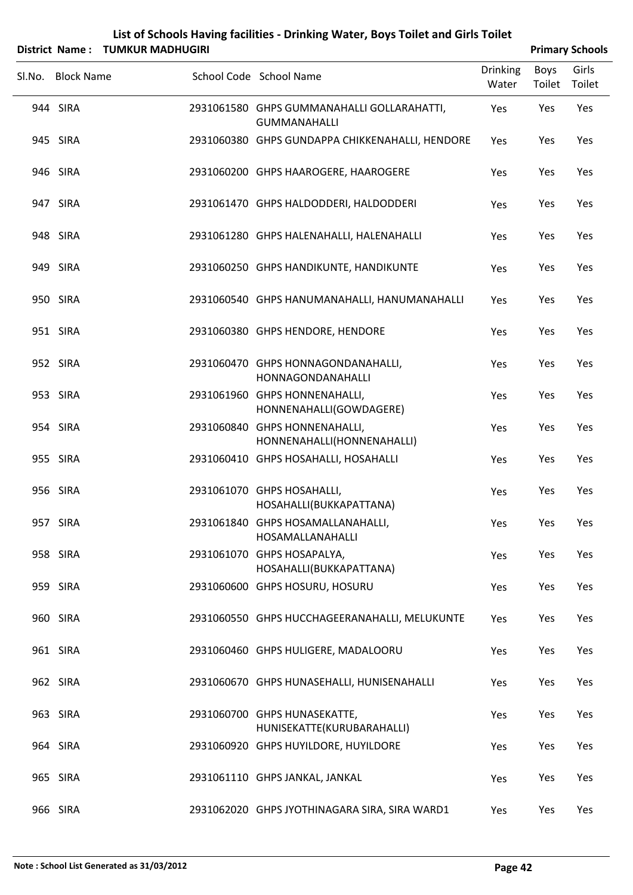| List of Schools Having facilities - Drinking Water, Boys Toilet and Girls Toilet |                        |
|----------------------------------------------------------------------------------|------------------------|
| District Name: TUMKUR MADHUGIRI                                                  | <b>Primary Schools</b> |

| Sl.No. Block Name | School Code School Name                                           | <b>Drinking</b><br>Water | Boys<br>Toilet | Girls<br>Toilet |
|-------------------|-------------------------------------------------------------------|--------------------------|----------------|-----------------|
| 944 SIRA          | 2931061580 GHPS GUMMANAHALLI GOLLARAHATTI,<br><b>GUMMANAHALLI</b> | Yes                      | Yes            | Yes             |
| 945 SIRA          | 2931060380 GHPS GUNDAPPA CHIKKENAHALLI, HENDORE                   | Yes                      | Yes            | Yes             |
| 946 SIRA          | 2931060200 GHPS HAAROGERE, HAAROGERE                              | Yes                      | Yes            | Yes             |
| 947 SIRA          | 2931061470 GHPS HALDODDERI, HALDODDERI                            | Yes                      | Yes            | Yes             |
| 948 SIRA          | 2931061280 GHPS HALENAHALLI, HALENAHALLI                          | Yes                      | Yes            | Yes             |
| 949 SIRA          | 2931060250 GHPS HANDIKUNTE, HANDIKUNTE                            | Yes                      | Yes            | Yes             |
| 950 SIRA          | 2931060540 GHPS HANUMANAHALLI, HANUMANAHALLI                      | Yes                      | Yes            | Yes             |
| 951 SIRA          | 2931060380 GHPS HENDORE, HENDORE                                  | Yes                      | Yes            | Yes             |
| 952 SIRA          | 2931060470 GHPS HONNAGONDANAHALLI,<br>HONNAGONDANAHALLI           | Yes                      | Yes            | Yes             |
| 953 SIRA          | 2931061960 GHPS HONNENAHALLI,<br>HONNENAHALLI(GOWDAGERE)          | Yes                      | Yes            | Yes             |
| 954 SIRA          | 2931060840 GHPS HONNENAHALLI,<br>HONNENAHALLI(HONNENAHALLI)       | Yes                      | Yes            | Yes             |
| 955 SIRA          | 2931060410 GHPS HOSAHALLI, HOSAHALLI                              | Yes                      | Yes            | Yes             |
| 956 SIRA          | 2931061070 GHPS HOSAHALLI,<br>HOSAHALLI(BUKKAPATTANA)             | Yes                      | Yes            | Yes             |
| 957 SIRA          | 2931061840 GHPS HOSAMALLANAHALLI,<br>HOSAMALLANAHALLI             | Yes                      | Yes            | Yes             |
| 958 SIRA          | 2931061070 GHPS HOSAPALYA,<br>HOSAHALLI(BUKKAPATTANA)             | Yes                      | Yes            | Yes             |
| 959 SIRA          | 2931060600 GHPS HOSURU, HOSURU                                    | Yes                      | Yes            | Yes             |
| 960 SIRA          | 2931060550 GHPS HUCCHAGEERANAHALLI, MELUKUNTE                     | Yes                      | Yes            | Yes             |
| 961 SIRA          | 2931060460 GHPS HULIGERE, MADALOORU                               | Yes                      | Yes            | Yes             |
| 962 SIRA          | 2931060670 GHPS HUNASEHALLI, HUNISENAHALLI                        | Yes                      | Yes            | Yes             |
| 963 SIRA          | 2931060700 GHPS HUNASEKATTE,<br>HUNISEKATTE(KURUBARAHALLI)        | Yes                      | Yes            | Yes             |
| 964 SIRA          | 2931060920 GHPS HUYILDORE, HUYILDORE                              | Yes                      | Yes            | Yes             |
| 965 SIRA          | 2931061110 GHPS JANKAL, JANKAL                                    | Yes                      | Yes            | Yes             |
| 966 SIRA          | 2931062020 GHPS JYOTHINAGARA SIRA, SIRA WARD1                     | Yes                      | Yes            | Yes             |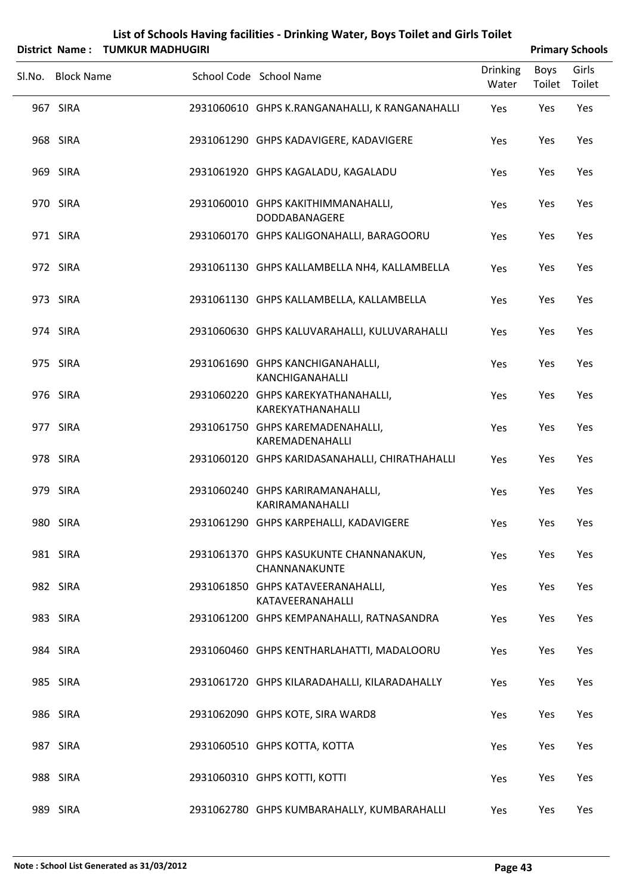|        |                   | District Name: TUMKUR MADHUGIRI |                                                            |                          |                       | <b>Primary Schools</b> |
|--------|-------------------|---------------------------------|------------------------------------------------------------|--------------------------|-----------------------|------------------------|
| Sl.No. | <b>Block Name</b> |                                 | School Code School Name                                    | <b>Drinking</b><br>Water | <b>Boys</b><br>Toilet | Girls<br>Toilet        |
|        | 967 SIRA          |                                 | 2931060610 GHPS K.RANGANAHALLI, K RANGANAHALLI             | Yes                      | Yes                   | Yes                    |
|        | 968 SIRA          |                                 | 2931061290 GHPS KADAVIGERE, KADAVIGERE                     | Yes                      | Yes                   | Yes                    |
|        | 969 SIRA          |                                 | 2931061920 GHPS KAGALADU, KAGALADU                         | Yes                      | Yes                   | Yes                    |
|        | 970 SIRA          |                                 | 2931060010 GHPS KAKITHIMMANAHALLI,<br>DODDABANAGERE        | Yes                      | Yes                   | Yes                    |
|        | 971 SIRA          |                                 | 2931060170 GHPS KALIGONAHALLI, BARAGOORU                   | Yes                      | Yes                   | Yes                    |
|        | 972 SIRA          |                                 | 2931061130 GHPS KALLAMBELLA NH4, KALLAMBELLA               | Yes                      | Yes                   | Yes                    |
|        | 973 SIRA          |                                 | 2931061130 GHPS KALLAMBELLA, KALLAMBELLA                   | Yes                      | Yes                   | Yes                    |
|        | 974 SIRA          |                                 | 2931060630 GHPS KALUVARAHALLI, KULUVARAHALLI               | Yes                      | Yes                   | Yes                    |
|        | 975 SIRA          |                                 | 2931061690 GHPS KANCHIGANAHALLI,<br>KANCHIGANAHALLI        | Yes                      | Yes                   | Yes                    |
|        | 976 SIRA          |                                 | 2931060220 GHPS KAREKYATHANAHALLI,<br>KAREKYATHANAHALLI    | Yes                      | Yes                   | Yes                    |
|        | 977 SIRA          |                                 | 2931061750 GHPS KAREMADENAHALLI,<br>KAREMADENAHALLI        | Yes                      | Yes                   | Yes                    |
|        | 978 SIRA          |                                 | 2931060120 GHPS KARIDASANAHALLI, CHIRATHAHALLI             | Yes                      | Yes                   | Yes                    |
|        | 979 SIRA          |                                 | 2931060240 GHPS KARIRAMANAHALLI,<br><b>KARIRAMANAHALLI</b> | Yes                      | Yes                   | Yes                    |
|        | 980 SIRA          |                                 | 2931061290 GHPS KARPEHALLI, KADAVIGERE                     | Yes                      | Yes                   | Yes                    |
|        | 981 SIRA          |                                 | 2931061370 GHPS KASUKUNTE CHANNANAKUN,<br>CHANNANAKUNTE    | Yes                      | Yes                   | Yes                    |
|        | 982 SIRA          |                                 | 2931061850 GHPS KATAVEERANAHALLI,<br>KATAVEERANAHALLI      | Yes                      | Yes                   | Yes                    |
|        | 983 SIRA          |                                 | 2931061200 GHPS KEMPANAHALLI, RATNASANDRA                  | Yes                      | Yes                   | Yes                    |
|        | 984 SIRA          |                                 | 2931060460 GHPS KENTHARLAHATTI, MADALOORU                  | Yes                      | Yes                   | Yes                    |
|        | 985 SIRA          |                                 | 2931061720 GHPS KILARADAHALLI, KILARADAHALLY               | Yes                      | Yes                   | Yes                    |
|        | 986 SIRA          |                                 | 2931062090 GHPS KOTE, SIRA WARD8                           | Yes                      | Yes                   | Yes                    |
|        | 987 SIRA          |                                 | 2931060510 GHPS KOTTA, KOTTA                               | Yes                      | Yes                   | Yes                    |
|        | 988 SIRA          |                                 | 2931060310 GHPS KOTTI, KOTTI                               | Yes                      | Yes                   | Yes                    |
|        | 989 SIRA          |                                 | 2931062780 GHPS KUMBARAHALLY, KUMBARAHALLI                 | Yes                      | Yes                   | Yes                    |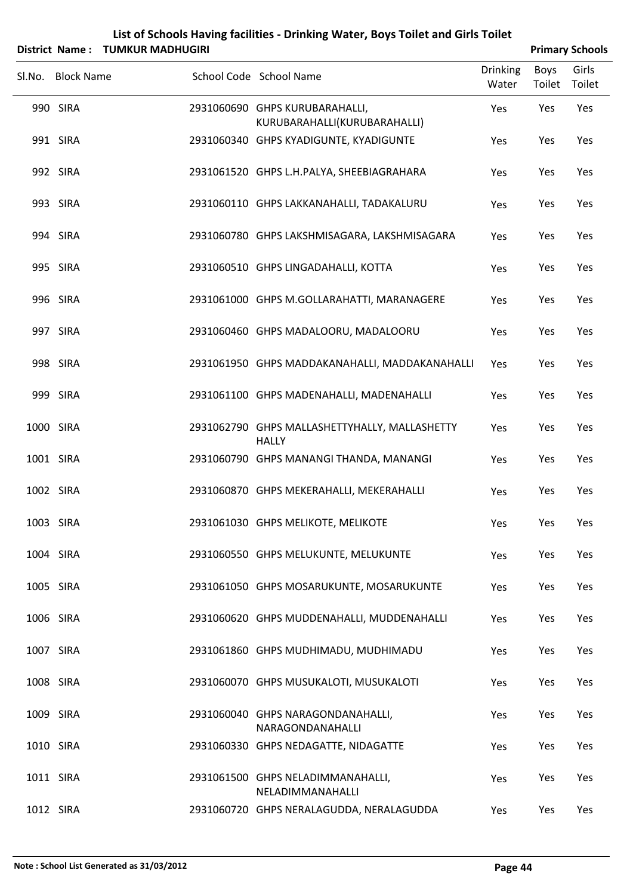| List of Schools Having facilities - Drinking Water, Boys Toilet and Girls Toilet |
|----------------------------------------------------------------------------------|
| District_Name ·   TUMKUR MADHUGIRL                                               |

|           |                   | District Name: TUMKUR MADHUGIRI |                                                                |                          |                | <b>Primary Schools</b> |
|-----------|-------------------|---------------------------------|----------------------------------------------------------------|--------------------------|----------------|------------------------|
|           | Sl.No. Block Name |                                 | School Code School Name                                        | <b>Drinking</b><br>Water | Boys<br>Toilet | Girls<br>Toilet        |
|           | 990 SIRA          |                                 | 2931060690 GHPS KURUBARAHALLI,<br>KURUBARAHALLI(KURUBARAHALLI) | Yes                      | Yes            | Yes                    |
|           | 991 SIRA          |                                 | 2931060340 GHPS KYADIGUNTE, KYADIGUNTE                         | Yes                      | Yes            | Yes                    |
|           | 992 SIRA          |                                 | 2931061520 GHPS L.H.PALYA, SHEEBIAGRAHARA                      | Yes                      | Yes            | Yes                    |
|           | 993 SIRA          |                                 | 2931060110 GHPS LAKKANAHALLI, TADAKALURU                       | Yes                      | Yes            | Yes                    |
|           | 994 SIRA          |                                 | 2931060780 GHPS LAKSHMISAGARA, LAKSHMISAGARA                   | Yes                      | Yes            | Yes                    |
|           | 995 SIRA          |                                 | 2931060510 GHPS LINGADAHALLI, KOTTA                            | Yes                      | Yes            | Yes                    |
|           | 996 SIRA          |                                 | 2931061000 GHPS M.GOLLARAHATTI, MARANAGERE                     | Yes                      | Yes            | Yes                    |
|           | 997 SIRA          |                                 | 2931060460 GHPS MADALOORU, MADALOORU                           | Yes                      | Yes            | Yes                    |
|           | 998 SIRA          |                                 | 2931061950 GHPS MADDAKANAHALLI, MADDAKANAHALLI                 | Yes                      | Yes            | Yes                    |
|           | 999 SIRA          |                                 | 2931061100 GHPS MADENAHALLI, MADENAHALLI                       | Yes                      | Yes            | Yes                    |
| 1000 SIRA |                   |                                 | 2931062790 GHPS MALLASHETTYHALLY, MALLASHETTY<br><b>HALLY</b>  | Yes                      | Yes            | Yes                    |
| 1001 SIRA |                   |                                 | 2931060790 GHPS MANANGI THANDA, MANANGI                        | Yes                      | Yes            | Yes                    |
| 1002 SIRA |                   |                                 | 2931060870 GHPS MEKERAHALLI, MEKERAHALLI                       | Yes                      | Yes            | Yes                    |
| 1003 SIRA |                   |                                 | 2931061030 GHPS MELIKOTE, MELIKOTE                             | Yes                      | Yes            | Yes                    |
| 1004 SIRA |                   |                                 | 2931060550 GHPS MELUKUNTE, MELUKUNTE                           | Yes                      | Yes            | Yes                    |
| 1005 SIRA |                   |                                 | 2931061050 GHPS MOSARUKUNTE, MOSARUKUNTE                       | Yes                      | Yes            | Yes                    |
| 1006 SIRA |                   |                                 | 2931060620 GHPS MUDDENAHALLI, MUDDENAHALLI                     | Yes                      | Yes            | Yes                    |
| 1007 SIRA |                   |                                 | 2931061860 GHPS MUDHIMADU, MUDHIMADU                           | Yes                      | Yes            | Yes                    |
| 1008 SIRA |                   |                                 | 2931060070 GHPS MUSUKALOTI, MUSUKALOTI                         | Yes                      | Yes            | Yes                    |
| 1009 SIRA |                   |                                 | 2931060040 GHPS NARAGONDANAHALLI,<br>NARAGONDANAHALLI          | Yes                      | Yes            | Yes                    |
| 1010 SIRA |                   |                                 | 2931060330 GHPS NEDAGATTE, NIDAGATTE                           | Yes                      | Yes            | Yes                    |
| 1011 SIRA |                   |                                 | 2931061500 GHPS NELADIMMANAHALLI,<br>NELADIMMANAHALLI          | Yes                      | Yes            | Yes                    |
| 1012 SIRA |                   |                                 | 2931060720 GHPS NERALAGUDDA, NERALAGUDDA                       | Yes                      | Yes            | Yes                    |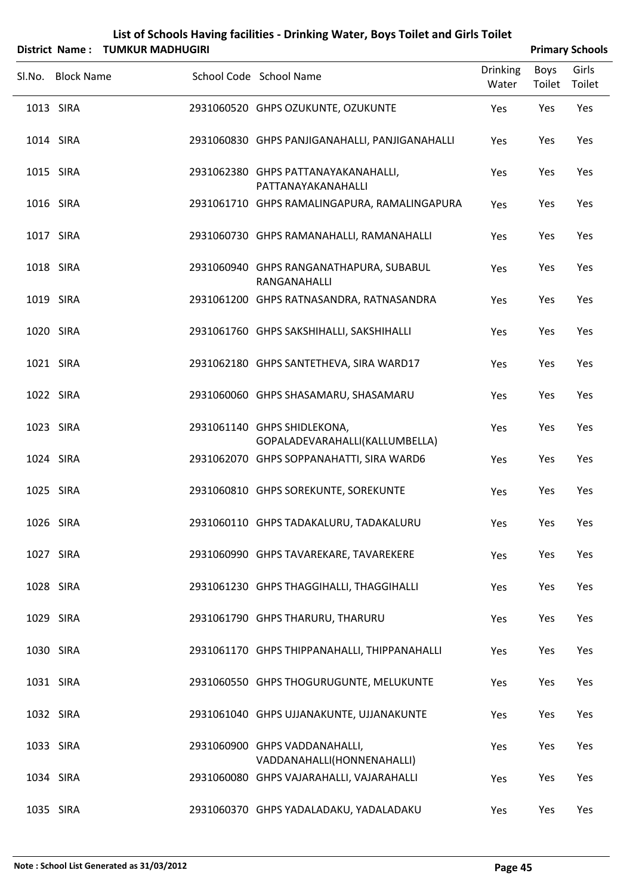| List of Schools Having facilities - Drinking Water, Boys Toilet and Girls Toilet |  |
|----------------------------------------------------------------------------------|--|
| $\mathbf{f}$ . The side of the second second state of $\mathbf{f}$               |  |

|           | District Name: TUMKUR MADHUGIRI |                                                               |                          |                | <b>Primary Schools</b> |
|-----------|---------------------------------|---------------------------------------------------------------|--------------------------|----------------|------------------------|
|           | Sl.No. Block Name               | School Code School Name                                       | <b>Drinking</b><br>Water | Boys<br>Toilet | Girls<br>Toilet        |
| 1013 SIRA |                                 | 2931060520 GHPS OZUKUNTE, OZUKUNTE                            | Yes                      | Yes            | Yes                    |
| 1014 SIRA |                                 | 2931060830 GHPS PANJIGANAHALLI, PANJIGANAHALLI                | Yes                      | Yes            | Yes                    |
| 1015 SIRA |                                 | 2931062380 GHPS PATTANAYAKANAHALLI,<br>PATTANAYAKANAHALLI     | Yes                      | Yes            | Yes                    |
| 1016 SIRA |                                 | 2931061710 GHPS RAMALINGAPURA, RAMALINGAPURA                  | Yes                      | Yes            | Yes                    |
| 1017 SIRA |                                 | 2931060730 GHPS RAMANAHALLI, RAMANAHALLI                      | Yes                      | Yes            | Yes                    |
| 1018 SIRA |                                 | 2931060940 GHPS RANGANATHAPURA, SUBABUL<br>RANGANAHALLI       | Yes                      | Yes            | Yes                    |
| 1019 SIRA |                                 | 2931061200 GHPS RATNASANDRA, RATNASANDRA                      | Yes                      | Yes            | Yes                    |
| 1020 SIRA |                                 | 2931061760 GHPS SAKSHIHALLI, SAKSHIHALLI                      | Yes                      | Yes            | Yes                    |
| 1021 SIRA |                                 | 2931062180 GHPS SANTETHEVA, SIRA WARD17                       | Yes                      | Yes            | Yes                    |
| 1022 SIRA |                                 | 2931060060 GHPS SHASAMARU, SHASAMARU                          | Yes                      | Yes            | Yes                    |
| 1023 SIRA |                                 | 2931061140 GHPS SHIDLEKONA,<br>GOPALADEVARAHALLI(KALLUMBELLA) | Yes                      | Yes            | Yes                    |
| 1024 SIRA |                                 | 2931062070 GHPS SOPPANAHATTI, SIRA WARD6                      | Yes                      | Yes            | Yes                    |
| 1025 SIRA |                                 | 2931060810 GHPS SOREKUNTE, SOREKUNTE                          | Yes                      | Yes            | Yes                    |
| 1026 SIRA |                                 | 2931060110 GHPS TADAKALURU, TADAKALURU                        | Yes                      | Yes            | Yes                    |
| 1027 SIRA |                                 | 2931060990 GHPS TAVAREKARE, TAVAREKERE                        | Yes                      | Yes            | Yes                    |
|           | 1028 SIRA                       | 2931061230 GHPS THAGGIHALLI, THAGGIHALLI                      | Yes                      | Yes            | Yes                    |
| 1029 SIRA |                                 | 2931061790 GHPS THARURU, THARURU                              | Yes                      | Yes            | Yes                    |
|           | 1030 SIRA                       | 2931061170 GHPS THIPPANAHALLI, THIPPANAHALLI                  | Yes                      | Yes            | Yes                    |
| 1031 SIRA |                                 | 2931060550 GHPS THOGURUGUNTE, MELUKUNTE                       | Yes                      | Yes            | Yes                    |
|           | 1032 SIRA                       | 2931061040 GHPS UJJANAKUNTE, UJJANAKUNTE                      | Yes                      | Yes            | Yes                    |
| 1033 SIRA |                                 | 2931060900 GHPS VADDANAHALLI,<br>VADDANAHALLI(HONNENAHALLI)   | Yes                      | Yes            | Yes                    |
| 1034 SIRA |                                 | 2931060080 GHPS VAJARAHALLI, VAJARAHALLI                      | Yes                      | Yes            | Yes                    |
|           | 1035 SIRA                       | 2931060370 GHPS YADALADAKU, YADALADAKU                        | Yes                      | Yes            | Yes                    |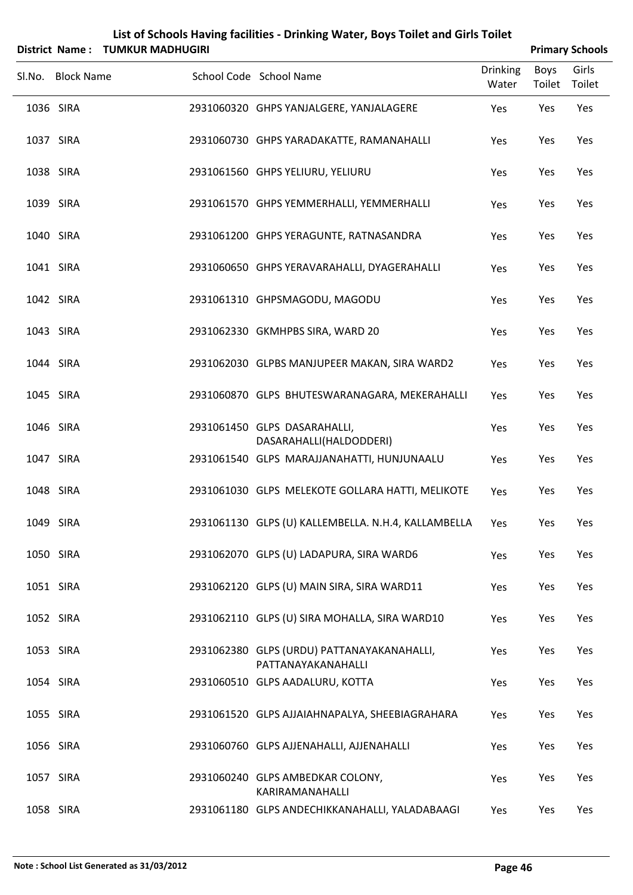|                       |                         | List of Schools Having facilities - Drinking Water, Boys Toilet and Girls Toilet |                          |                       |                        |
|-----------------------|-------------------------|----------------------------------------------------------------------------------|--------------------------|-----------------------|------------------------|
| <b>District Name:</b> | <b>TUMKUR MADHUGIRI</b> |                                                                                  |                          |                       | <b>Primary Schools</b> |
| Sl.No. Block Name     |                         | School Code School Name                                                          | <b>Drinking</b><br>Water | <b>Boys</b><br>Toilet | Girls<br>Toilet        |
| 1036 SIRA             |                         | 2931060320 GHPS YANJALGERE, YANJALAGERE                                          | Yes                      | Yes                   | Yes                    |
| 1037 SIRA             |                         | 2931060730 GHPS YARADAKATTE, RAMANAHALLI                                         | Yes                      | Yes                   | Yes                    |
| 1038 SIRA             |                         | 2931061560 GHPS YELIURU, YELIURU                                                 | Yes                      | Yes                   | Yes                    |
| 1039 SIRA             |                         | 2931061570 GHPS YEMMERHALLI, YEMMERHALLI                                         | Yes                      | Yes                   | Yes                    |
| 1040 SIRA             |                         | 2931061200 GHPS YERAGUNTE, RATNASANDRA                                           | Yes                      | Yes                   | Yes                    |
| 1041 SIRA             |                         | 2931060650 GHPS YERAVARAHALLI, DYAGERAHALLI                                      | Yes                      | Yes                   | Yes                    |
| 1042 SIRA             |                         | 2931061310 GHPSMAGODU, MAGODU                                                    | Yes                      | Yes                   | Yes                    |
| 1043 SIRA             |                         | 2931062330 GKMHPBS SIRA, WARD 20                                                 | Yes                      | Yes                   | Yes                    |
| 1044 SIRA             |                         | 2931062030 GLPBS MANJUPEER MAKAN, SIRA WARD2                                     | Yes                      | Yes                   | Yes                    |
| 1045 SIRA             |                         | 2931060870 GLPS BHUTESWARANAGARA, MEKERAHALLI                                    | Yes                      | Yes                   | Yes                    |
| 1046 SIRA             |                         | 2931061450 GLPS DASARAHALLI,<br>DASARAHALLI(HALDODDERI)                          | Yes                      | Yes                   | Yes                    |
| 1047 SIRA             |                         | 2931061540 GLPS MARAJJANAHATTI, HUNJUNAALU                                       | Yes                      | Yes                   | Yes                    |
| 1048 SIRA             |                         | 2931061030 GLPS MELEKOTE GOLLARA HATTI, MELIKOTE                                 | Yes                      | Yes                   | Yes                    |
| 1049 SIRA             |                         | 2931061130 GLPS (U) KALLEMBELLA. N.H.4, KALLAMBELLA                              | Yes                      | Yes                   | Yes                    |
| 1050 SIRA             |                         | 2931062070 GLPS (U) LADAPURA, SIRA WARD6                                         | Yes                      | Yes                   | Yes                    |
| 1051 SIRA             |                         | 2931062120 GLPS (U) MAIN SIRA, SIRA WARD11                                       | Yes                      | Yes                   | Yes                    |
| 1052 SIRA             |                         | 2931062110 GLPS (U) SIRA MOHALLA, SIRA WARD10                                    | Yes                      | Yes                   | Yes                    |
| 1053 SIRA             |                         | 2931062380 GLPS (URDU) PATTANAYAKANAHALLI,<br>PATTANAYAKANAHALLI                 | Yes                      | Yes                   | Yes                    |
| 1054 SIRA             |                         | 2931060510 GLPS AADALURU, KOTTA                                                  | Yes                      | Yes                   | Yes                    |
| 1055 SIRA             |                         | 2931061520 GLPS AJJAIAHNAPALYA, SHEEBIAGRAHARA                                   | Yes                      | Yes                   | Yes                    |
| 1056 SIRA             |                         | 2931060760 GLPS AJJENAHALLI, AJJENAHALLI                                         | Yes                      | Yes                   | Yes                    |
| 1057 SIRA             |                         | 2931060240 GLPS AMBEDKAR COLONY,<br>KARIRAMANAHALLI                              | Yes                      | Yes                   | Yes                    |
| 1058 SIRA             |                         | 2931061180 GLPS ANDECHIKKANAHALLI, YALADABAAGI                                   | Yes                      | Yes                   | Yes                    |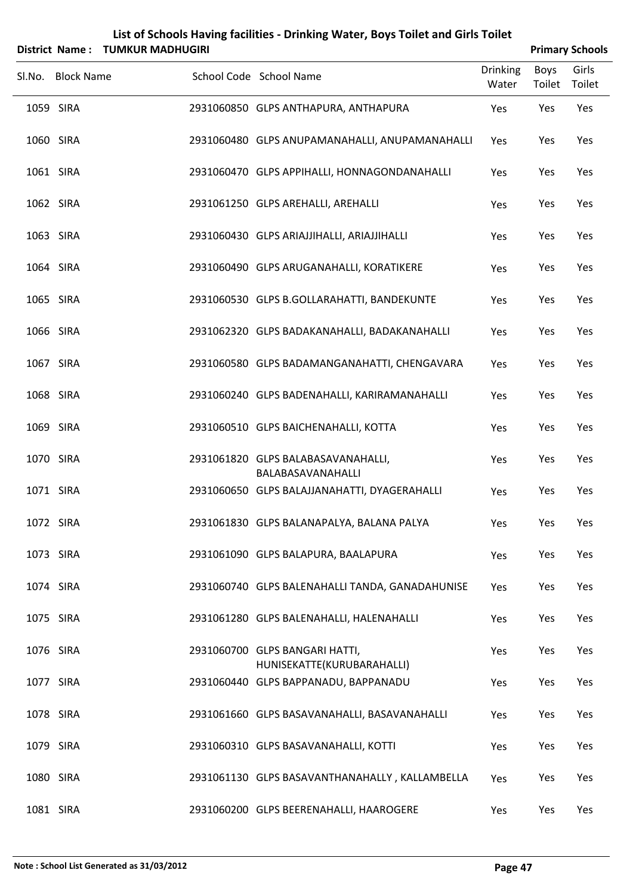| District Name: TUMKUR MADHUGIRI |                                                              |                          |                | <b>Primary Schools</b> |
|---------------------------------|--------------------------------------------------------------|--------------------------|----------------|------------------------|
| Sl.No. Block Name               | School Code School Name                                      | <b>Drinking</b><br>Water | Boys<br>Toilet | Girls<br>Toilet        |
| 1059 SIRA                       | 2931060850 GLPS ANTHAPURA, ANTHAPURA                         | Yes                      | Yes            | Yes                    |
| 1060 SIRA                       | 2931060480 GLPS ANUPAMANAHALLI, ANUPAMANAHALLI               | Yes                      | Yes            | Yes                    |
| 1061 SIRA                       | 2931060470 GLPS APPIHALLI, HONNAGONDANAHALLI                 | Yes                      | Yes            | Yes                    |
| 1062 SIRA                       | 2931061250 GLPS AREHALLI, AREHALLI                           | Yes                      | Yes            | Yes                    |
| 1063 SIRA                       | 2931060430 GLPS ARIAJJIHALLI, ARIAJJIHALLI                   | Yes                      | Yes            | Yes                    |
| 1064 SIRA                       | 2931060490 GLPS ARUGANAHALLI, KORATIKERE                     | Yes                      | Yes            | Yes                    |
| 1065 SIRA                       | 2931060530 GLPS B.GOLLARAHATTI, BANDEKUNTE                   | Yes                      | Yes            | Yes                    |
| 1066 SIRA                       | 2931062320 GLPS BADAKANAHALLI, BADAKANAHALLI                 | Yes                      | Yes            | Yes                    |
| 1067 SIRA                       | 2931060580 GLPS BADAMANGANAHATTI, CHENGAVARA                 | Yes                      | Yes            | Yes                    |
| 1068 SIRA                       | 2931060240 GLPS BADENAHALLI, KARIRAMANAHALLI                 | Yes                      | Yes            | Yes                    |
| 1069 SIRA                       | 2931060510 GLPS BAICHENAHALLI, KOTTA                         | Yes                      | Yes            | Yes                    |
| 1070 SIRA                       | 2931061820 GLPS BALABASAVANAHALLI,<br>BALABASAVANAHALLI      | Yes                      | Yes            | Yes                    |
| 1071 SIRA                       | 2931060650 GLPS BALAJJANAHATTI, DYAGERAHALLI                 | Yes                      | Yes            | Yes                    |
| 1072 SIRA                       | 2931061830 GLPS BALANAPALYA, BALANA PALYA                    | Yes                      | Yes            | Yes                    |
| 1073 SIRA                       | 2931061090 GLPS BALAPURA, BAALAPURA                          | Yes                      | Yes            | Yes                    |
| 1074 SIRA                       | 2931060740 GLPS BALENAHALLI TANDA, GANADAHUNISE              | Yes                      | Yes            | Yes                    |
| 1075 SIRA                       | 2931061280 GLPS BALENAHALLI, HALENAHALLI                     | Yes                      | Yes            | Yes                    |
| 1076 SIRA                       | 2931060700 GLPS BANGARI HATTI,<br>HUNISEKATTE(KURUBARAHALLI) | Yes                      | Yes            | Yes                    |
| 1077 SIRA                       | 2931060440 GLPS BAPPANADU, BAPPANADU                         | Yes                      | Yes            | Yes                    |
| 1078 SIRA                       | 2931061660 GLPS BASAVANAHALLI, BASAVANAHALLI                 | Yes                      | Yes            | Yes                    |
| 1079 SIRA                       | 2931060310 GLPS BASAVANAHALLI, KOTTI                         | Yes                      | Yes            | Yes                    |
| 1080 SIRA                       | 2931061130 GLPS BASAVANTHANAHALLY, KALLAMBELLA               | Yes                      | Yes            | Yes                    |
| 1081 SIRA                       | 2931060200 GLPS BEERENAHALLI, HAAROGERE                      | Yes                      | Yes            | Yes                    |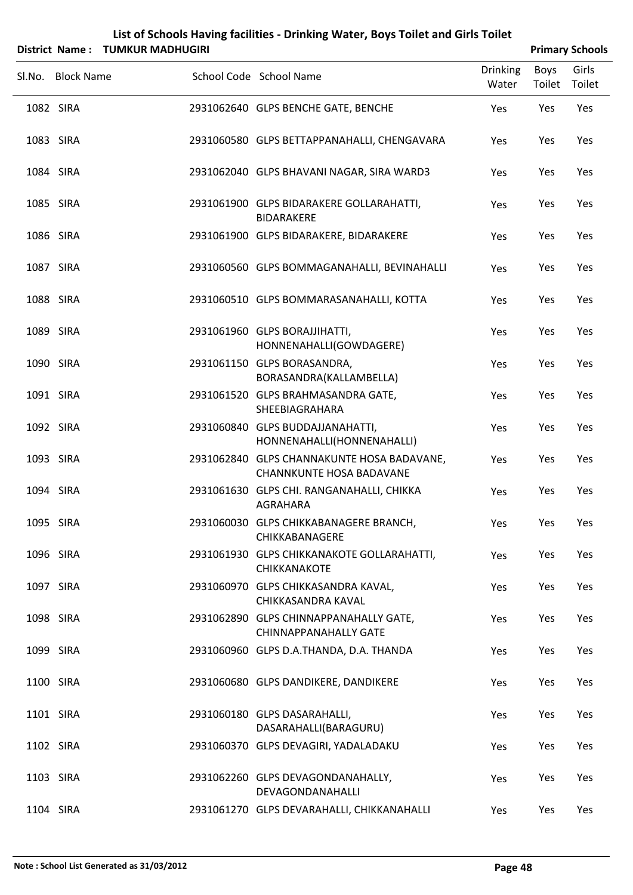| List of Schools Having facilities - Drinking Water, Boys Toilet and Girls Toilet |  |  |
|----------------------------------------------------------------------------------|--|--|
| $\mathbf{H}$ . The side of a set $\mathbf{H}$                                    |  |  |

|           | District Name: TUMKUR MADHUGIRI |                                                                               |                          |                | <b>Primary Schools</b> |
|-----------|---------------------------------|-------------------------------------------------------------------------------|--------------------------|----------------|------------------------|
| Sl.No.    | <b>Block Name</b>               | School Code School Name                                                       | <b>Drinking</b><br>Water | Boys<br>Toilet | Girls<br>Toilet        |
| 1082 SIRA |                                 | 2931062640 GLPS BENCHE GATE, BENCHE                                           | Yes                      | Yes            | Yes                    |
| 1083 SIRA |                                 | 2931060580 GLPS BETTAPPANAHALLI, CHENGAVARA                                   | Yes                      | Yes            | Yes                    |
| 1084 SIRA |                                 | 2931062040 GLPS BHAVANI NAGAR, SIRA WARD3                                     | Yes                      | Yes            | Yes                    |
| 1085 SIRA |                                 | 2931061900 GLPS BIDARAKERE GOLLARAHATTI,<br><b>BIDARAKERE</b>                 | Yes                      | Yes            | Yes                    |
| 1086 SIRA |                                 | 2931061900 GLPS BIDARAKERE, BIDARAKERE                                        | Yes                      | Yes            | Yes                    |
| 1087 SIRA |                                 | 2931060560 GLPS BOMMAGANAHALLI, BEVINAHALLI                                   | Yes                      | Yes            | Yes                    |
| 1088 SIRA |                                 | 2931060510 GLPS BOMMARASANAHALLI, KOTTA                                       | Yes                      | Yes            | Yes                    |
| 1089 SIRA |                                 | 2931061960 GLPS BORAJJIHATTI,<br>HONNENAHALLI(GOWDAGERE)                      | Yes                      | Yes            | Yes                    |
| 1090 SIRA |                                 | 2931061150 GLPS BORASANDRA,<br>BORASANDRA(KALLAMBELLA)                        | Yes                      | Yes            | Yes                    |
| 1091 SIRA |                                 | 2931061520 GLPS BRAHMASANDRA GATE,<br>SHEEBIAGRAHARA                          | Yes                      | Yes            | Yes                    |
| 1092 SIRA |                                 | 2931060840 GLPS BUDDAJJANAHATTI,<br>HONNENAHALLI(HONNENAHALLI)                | Yes                      | Yes            | Yes                    |
| 1093 SIRA |                                 | 2931062840 GLPS CHANNAKUNTE HOSA BADAVANE,<br><b>CHANNKUNTE HOSA BADAVANE</b> | Yes                      | Yes            | Yes                    |
| 1094 SIRA |                                 | 2931061630 GLPS CHI. RANGANAHALLI, CHIKKA<br><b>AGRAHARA</b>                  | Yes                      | Yes            | Yes                    |
|           | 1095 SIRA                       | 2931060030 GLPS CHIKKABANAGERE BRANCH,<br>CHIKKABANAGERE                      | Yes                      | Yes            | Yes                    |
|           | 1096 SIRA                       | 2931061930 GLPS CHIKKANAKOTE GOLLARAHATTI,<br>CHIKKANAKOTE                    | Yes                      | Yes            | Yes                    |
|           | 1097 SIRA                       | 2931060970 GLPS CHIKKASANDRA KAVAL,<br>CHIKKASANDRA KAVAL                     | Yes                      | Yes            | Yes                    |
| 1098 SIRA |                                 | 2931062890 GLPS CHINNAPPANAHALLY GATE,<br><b>CHINNAPPANAHALLY GATE</b>        | Yes                      | Yes            | Yes                    |
|           | 1099 SIRA                       | 2931060960 GLPS D.A.THANDA, D.A. THANDA                                       | Yes                      | Yes            | Yes                    |
| 1100 SIRA |                                 | 2931060680 GLPS DANDIKERE, DANDIKERE                                          | Yes                      | Yes            | Yes                    |
|           | 1101 SIRA                       | 2931060180 GLPS DASARAHALLI,<br>DASARAHALLI(BARAGURU)                         | Yes                      | Yes            | Yes                    |
| 1102 SIRA |                                 | 2931060370 GLPS DEVAGIRI, YADALADAKU                                          | Yes                      | Yes            | Yes                    |
|           | 1103 SIRA                       | 2931062260 GLPS DEVAGONDANAHALLY,<br>DEVAGONDANAHALLI                         | Yes                      | Yes            | Yes                    |
|           | 1104 SIRA                       | 2931061270 GLPS DEVARAHALLI, CHIKKANAHALLI                                    | Yes                      | Yes            | Yes                    |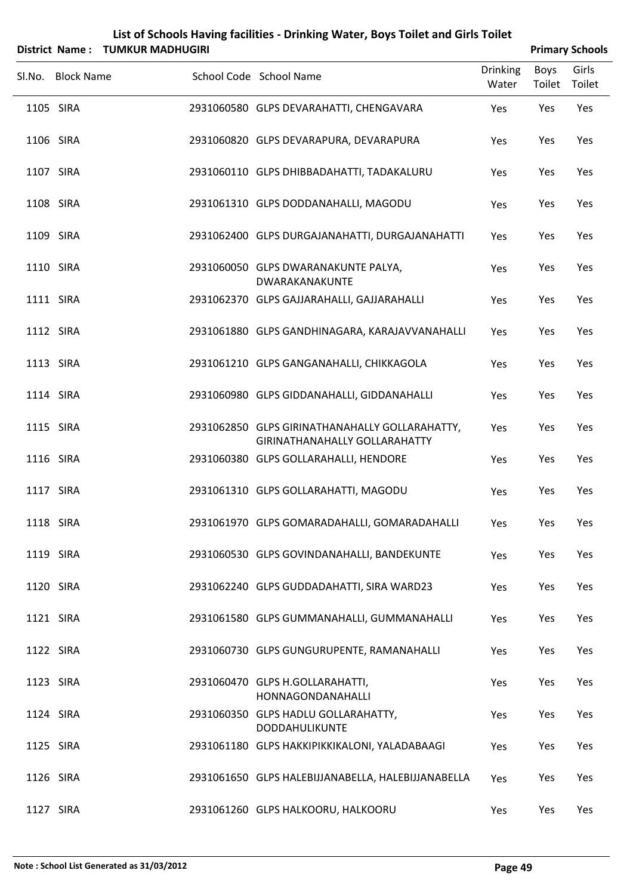| List of Schools Having facilities - Drinking Water, Boys Toilet and Girls Toilet |  |
|----------------------------------------------------------------------------------|--|
| $\mathbf{f}$ . The signal property of $\mathbf{f}$                               |  |

| District Name: TUMKUR MADHUGIRI |                                                                                        |                          |                | <b>Primary Schools</b> |
|---------------------------------|----------------------------------------------------------------------------------------|--------------------------|----------------|------------------------|
| SI.No. Block Name               | School Code School Name                                                                | <b>Drinking</b><br>Water | Boys<br>Toilet | Girls<br>Toilet        |
| 1105 SIRA                       | 2931060580 GLPS DEVARAHATTI, CHENGAVARA                                                | Yes                      | Yes            | Yes                    |
| 1106 SIRA                       | 2931060820 GLPS DEVARAPURA, DEVARAPURA                                                 | Yes                      | Yes            | Yes                    |
| 1107 SIRA                       | 2931060110 GLPS DHIBBADAHATTI, TADAKALURU                                              | Yes                      | Yes            | Yes                    |
| 1108 SIRA                       | 2931061310 GLPS DODDANAHALLI, MAGODU                                                   | Yes                      | Yes            | Yes                    |
| 1109 SIRA                       | 2931062400 GLPS DURGAJANAHATTI, DURGAJANAHATTI                                         | Yes                      | Yes            | Yes                    |
| 1110 SIRA                       | 2931060050 GLPS DWARANAKUNTE PALYA,<br>DWARAKANAKUNTE                                  | Yes                      | Yes            | Yes                    |
| 1111 SIRA                       | 2931062370 GLPS GAJJARAHALLI, GAJJARAHALLI                                             | Yes                      | Yes            | Yes                    |
| 1112 SIRA                       | 2931061880 GLPS GANDHINAGARA, KARAJAVVANAHALLI                                         | Yes                      | Yes            | Yes                    |
| 1113 SIRA                       | 2931061210 GLPS GANGANAHALLI, CHIKKAGOLA                                               | Yes                      | Yes            | Yes                    |
| 1114 SIRA                       | 2931060980 GLPS GIDDANAHALLI, GIDDANAHALLI                                             | Yes                      | Yes            | Yes                    |
| 1115 SIRA                       | 2931062850 GLPS GIRINATHANAHALLY GOLLARAHATTY,<br><b>GIRINATHANAHALLY GOLLARAHATTY</b> | Yes                      | Yes            | Yes                    |
| 1116 SIRA                       | 2931060380 GLPS GOLLARAHALLI, HENDORE                                                  | Yes                      | Yes            | Yes                    |
| 1117 SIRA                       | 2931061310 GLPS GOLLARAHATTI, MAGODU                                                   | Yes                      | Yes            | Yes                    |
| 1118 SIRA                       | 2931061970 GLPS GOMARADAHALLI, GOMARADAHALLI                                           | Yes                      | Yes            | Yes                    |
| 1119 SIRA                       | 2931060530 GLPS GOVINDANAHALLI, BANDEKUNTE                                             | Yes                      | Yes            | Yes                    |
| 1120 SIRA                       | 2931062240 GLPS GUDDADAHATTI, SIRA WARD23                                              | Yes                      | Yes            | Yes                    |
| 1121 SIRA                       | 2931061580 GLPS GUMMANAHALLI, GUMMANAHALLI                                             | Yes                      | Yes            | Yes                    |
| 1122 SIRA                       | 2931060730 GLPS GUNGURUPENTE, RAMANAHALLI                                              | Yes                      | Yes            | Yes                    |
| 1123 SIRA                       | 2931060470 GLPS H.GOLLARAHATTI,<br>HONNAGONDANAHALLI                                   | Yes                      | Yes            | Yes                    |
| 1124 SIRA                       | 2931060350 GLPS HADLU GOLLARAHATTY,<br>DODDAHULIKUNTE                                  | Yes                      | Yes            | Yes                    |
| 1125 SIRA                       | 2931061180 GLPS HAKKIPIKKIKALONI, YALADABAAGI                                          | Yes                      | Yes            | Yes                    |
| 1126 SIRA                       | 2931061650 GLPS HALEBIJJANABELLA, HALEBIJJANABELLA                                     | Yes                      | Yes            | Yes                    |
| 1127 SIRA                       | 2931061260 GLPS HALKOORU, HALKOORU                                                     | Yes                      | Yes            | Yes                    |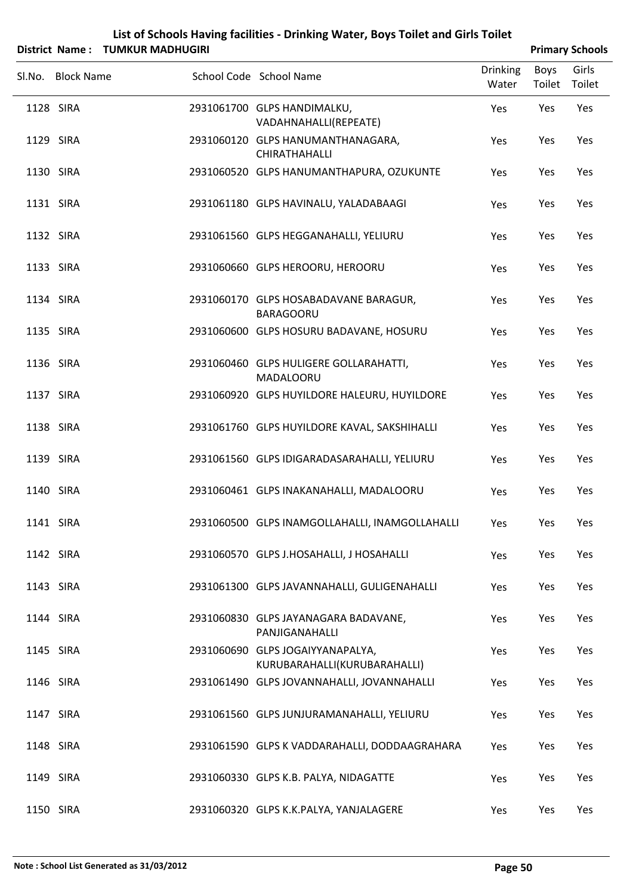| List of Schools Having facilities - Drinking Water, Boys Toilet and Girls Toilet |                        |
|----------------------------------------------------------------------------------|------------------------|
| District Name: TUMKUR MADHUGIRI                                                  | <b>Primary Schools</b> |

| Sl.No. Block Name | School Code School Name                                          | <b>Drinking</b><br>Water | Boys | Girls<br>Toilet Toilet |
|-------------------|------------------------------------------------------------------|--------------------------|------|------------------------|
| 1128 SIRA         | 2931061700 GLPS HANDIMALKU,<br>VADAHNAHALLI(REPEATE)             | Yes                      | Yes  | Yes                    |
| 1129 SIRA         | 2931060120 GLPS HANUMANTHANAGARA,<br>CHIRATHAHALLI               | Yes                      | Yes  | Yes                    |
| 1130 SIRA         | 2931060520 GLPS HANUMANTHAPURA, OZUKUNTE                         | Yes                      | Yes  | Yes                    |
| 1131 SIRA         | 2931061180 GLPS HAVINALU, YALADABAAGI                            | Yes                      | Yes  | Yes                    |
| 1132 SIRA         | 2931061560 GLPS HEGGANAHALLI, YELIURU                            | Yes                      | Yes  | Yes                    |
| 1133 SIRA         | 2931060660 GLPS HEROORU, HEROORU                                 | Yes                      | Yes  | Yes                    |
| 1134 SIRA         | 2931060170 GLPS HOSABADAVANE BARAGUR,<br><b>BARAGOORU</b>        | Yes                      | Yes  | Yes                    |
| 1135 SIRA         | 2931060600 GLPS HOSURU BADAVANE, HOSURU                          | Yes                      | Yes  | Yes                    |
| 1136 SIRA         | 2931060460 GLPS HULIGERE GOLLARAHATTI,<br>MADALOORU              | Yes                      | Yes  | Yes                    |
| 1137 SIRA         | 2931060920 GLPS HUYILDORE HALEURU, HUYILDORE                     | Yes                      | Yes  | Yes                    |
| 1138 SIRA         | 2931061760 GLPS HUYILDORE KAVAL, SAKSHIHALLI                     | Yes                      | Yes  | Yes                    |
| 1139 SIRA         | 2931061560 GLPS IDIGARADASARAHALLI, YELIURU                      | Yes                      | Yes  | Yes                    |
| 1140 SIRA         | 2931060461 GLPS INAKANAHALLI, MADALOORU                          | Yes                      | Yes  | Yes                    |
| 1141 SIRA         | 2931060500 GLPS INAMGOLLAHALLI, INAMGOLLAHALLI                   | Yes                      | Yes  | Yes                    |
| 1142 SIRA         | 2931060570 GLPS J.HOSAHALLI, J HOSAHALLI                         | Yes                      | Yes  | Yes                    |
| 1143 SIRA         | 2931061300 GLPS JAVANNAHALLI, GULIGENAHALLI                      | Yes                      | Yes  | Yes                    |
| 1144 SIRA         | 2931060830 GLPS JAYANAGARA BADAVANE,<br>PANJIGANAHALLI           | Yes                      | Yes  | Yes                    |
| 1145 SIRA         | 2931060690 GLPS JOGAIYYANAPALYA,<br>KURUBARAHALLI(KURUBARAHALLI) | Yes                      | Yes  | Yes                    |
| 1146 SIRA         | 2931061490 GLPS JOVANNAHALLI, JOVANNAHALLI                       | Yes                      | Yes  | Yes                    |
| 1147 SIRA         | 2931061560 GLPS JUNJURAMANAHALLI, YELIURU                        | Yes                      | Yes  | Yes                    |
| 1148 SIRA         | 2931061590 GLPS K VADDARAHALLI, DODDAAGRAHARA                    | Yes                      | Yes  | Yes                    |
| 1149 SIRA         | 2931060330 GLPS K.B. PALYA, NIDAGATTE                            | Yes                      | Yes  | Yes                    |
| 1150 SIRA         | 2931060320 GLPS K.K.PALYA, YANJALAGERE                           | Yes                      | Yes  | Yes                    |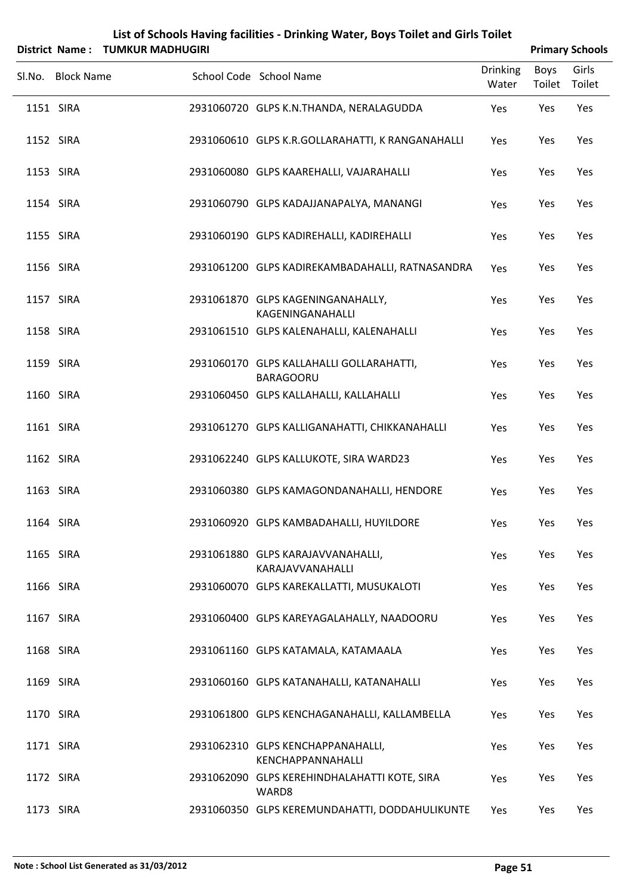| List of Schools Having facilities - Drinking Water, Boys Toilet and Girls Toilet |
|----------------------------------------------------------------------------------|
| $\mathcal{L}$ . The side of the state of $\mathcal{L}$                           |

|           | District Name: TUMKUR MADHUGIRI |                                                              |                          |                | <b>Primary Schools</b> |
|-----------|---------------------------------|--------------------------------------------------------------|--------------------------|----------------|------------------------|
|           | Sl.No. Block Name               | School Code School Name                                      | <b>Drinking</b><br>Water | Boys<br>Toilet | Girls<br>Toilet        |
|           | 1151 SIRA                       | 2931060720 GLPS K.N.THANDA, NERALAGUDDA                      | Yes                      | Yes            | Yes                    |
|           | 1152 SIRA                       | 2931060610 GLPS K.R.GOLLARAHATTI, K RANGANAHALLI             | Yes                      | Yes            | Yes                    |
|           | 1153 SIRA                       | 2931060080 GLPS KAAREHALLI, VAJARAHALLI                      | Yes                      | Yes            | Yes                    |
|           | 1154 SIRA                       | 2931060790 GLPS KADAJJANAPALYA, MANANGI                      | Yes                      | Yes            | Yes                    |
|           | 1155 SIRA                       | 2931060190 GLPS KADIREHALLI, KADIREHALLI                     | Yes                      | Yes            | Yes                    |
|           | 1156 SIRA                       | 2931061200 GLPS KADIREKAMBADAHALLI, RATNASANDRA              | Yes                      | Yes            | Yes                    |
|           | 1157 SIRA                       | 2931061870 GLPS KAGENINGANAHALLY,<br>KAGENINGANAHALLI        | Yes                      | Yes            | Yes                    |
|           | 1158 SIRA                       | 2931061510 GLPS KALENAHALLI, KALENAHALLI                     | Yes                      | Yes            | Yes                    |
|           | 1159 SIRA                       | 2931060170 GLPS KALLAHALLI GOLLARAHATTI,<br><b>BARAGOORU</b> | Yes                      | Yes            | Yes                    |
|           | 1160 SIRA                       | 2931060450 GLPS KALLAHALLI, KALLAHALLI                       | Yes                      | Yes            | Yes                    |
|           | 1161 SIRA                       | 2931061270 GLPS KALLIGANAHATTI, CHIKKANAHALLI                | Yes                      | Yes            | Yes                    |
|           | 1162 SIRA                       | 2931062240 GLPS KALLUKOTE, SIRA WARD23                       | Yes                      | Yes            | Yes                    |
|           | 1163 SIRA                       | 2931060380 GLPS KAMAGONDANAHALLI, HENDORE                    | Yes                      | Yes            | Yes                    |
| 1164 SIRA |                                 | 2931060920 GLPS KAMBADAHALLI, HUYILDORE                      | Yes                      | Yes            | Yes                    |
|           | 1165 SIRA                       | 2931061880 GLPS KARAJAVVANAHALLI,<br>KARAJAVVANAHALLI        | Yes                      | Yes            | Yes                    |
|           | 1166 SIRA                       | 2931060070 GLPS KAREKALLATTI, MUSUKALOTI                     | Yes                      | Yes            | Yes                    |
|           | 1167 SIRA                       | 2931060400 GLPS KAREYAGALAHALLY, NAADOORU                    | Yes                      | Yes            | Yes                    |
|           | 1168 SIRA                       | 2931061160 GLPS KATAMALA, KATAMAALA                          | Yes                      | Yes            | Yes                    |
|           | 1169 SIRA                       | 2931060160 GLPS KATANAHALLI, KATANAHALLI                     | Yes                      | Yes            | Yes                    |
|           | 1170 SIRA                       | 2931061800 GLPS KENCHAGANAHALLI, KALLAMBELLA                 | Yes                      | Yes            | Yes                    |
|           | 1171 SIRA                       | 2931062310 GLPS KENCHAPPANAHALLI,<br>KENCHAPPANNAHALLI       | Yes                      | Yes            | Yes                    |
|           | 1172 SIRA                       | 2931062090 GLPS KEREHINDHALAHATTI KOTE, SIRA<br>WARD8        | Yes                      | Yes            | Yes                    |
|           | 1173 SIRA                       | 2931060350 GLPS KEREMUNDAHATTI, DODDAHULIKUNTE               | Yes                      | Yes            | Yes                    |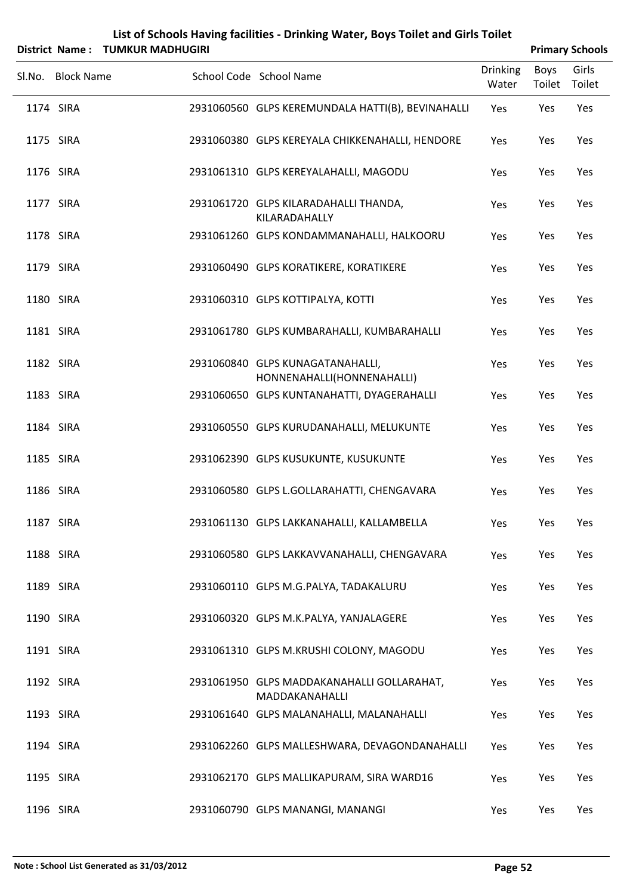|           |                   | District Name: TUMKUR MADHUGIRI |                                                                |                          |                | <b>Primary Schools</b> |
|-----------|-------------------|---------------------------------|----------------------------------------------------------------|--------------------------|----------------|------------------------|
| Sl.No.    | <b>Block Name</b> |                                 | School Code School Name                                        | <b>Drinking</b><br>Water | Boys<br>Toilet | Girls<br>Toilet        |
| 1174 SIRA |                   |                                 | 2931060560 GLPS KEREMUNDALA HATTI(B), BEVINAHALLI              | Yes                      | Yes            | Yes                    |
| 1175 SIRA |                   |                                 | 2931060380 GLPS KEREYALA CHIKKENAHALLI, HENDORE                | Yes                      | Yes            | Yes                    |
| 1176 SIRA |                   |                                 | 2931061310 GLPS KEREYALAHALLI, MAGODU                          | Yes                      | Yes            | Yes                    |
| 1177 SIRA |                   |                                 | 2931061720 GLPS KILARADAHALLI THANDA,<br>KILARADAHALLY         | Yes                      | Yes            | Yes                    |
| 1178 SIRA |                   |                                 | 2931061260 GLPS KONDAMMANAHALLI, HALKOORU                      | Yes                      | Yes            | Yes                    |
| 1179 SIRA |                   |                                 | 2931060490 GLPS KORATIKERE, KORATIKERE                         | Yes                      | Yes            | Yes                    |
| 1180 SIRA |                   |                                 | 2931060310 GLPS KOTTIPALYA, KOTTI                              | Yes                      | Yes            | Yes                    |
| 1181 SIRA |                   |                                 | 2931061780 GLPS KUMBARAHALLI, KUMBARAHALLI                     | Yes                      | Yes            | Yes                    |
| 1182 SIRA |                   |                                 | 2931060840 GLPS KUNAGATANAHALLI,<br>HONNENAHALLI(HONNENAHALLI) | Yes                      | Yes            | Yes                    |
| 1183 SIRA |                   |                                 | 2931060650 GLPS KUNTANAHATTI, DYAGERAHALLI                     | Yes                      | Yes            | Yes                    |
| 1184 SIRA |                   |                                 | 2931060550 GLPS KURUDANAHALLI, MELUKUNTE                       | Yes                      | Yes            | Yes                    |
| 1185 SIRA |                   |                                 | 2931062390 GLPS KUSUKUNTE, KUSUKUNTE                           | Yes                      | Yes            | Yes                    |
| 1186 SIRA |                   |                                 | 2931060580 GLPS L.GOLLARAHATTI, CHENGAVARA                     | Yes                      | Yes            | Yes                    |
| 1187 SIRA |                   |                                 | 2931061130 GLPS LAKKANAHALLI, KALLAMBELLA                      | Yes                      | Yes            | Yes                    |
| 1188 SIRA |                   |                                 | 2931060580 GLPS LAKKAVVANAHALLI, CHENGAVARA                    | Yes                      | Yes            | Yes                    |
| 1189 SIRA |                   |                                 | 2931060110 GLPS M.G.PALYA, TADAKALURU                          | Yes                      | Yes            | Yes                    |
| 1190 SIRA |                   |                                 | 2931060320 GLPS M.K.PALYA, YANJALAGERE                         | Yes                      | Yes            | Yes                    |
| 1191 SIRA |                   |                                 | 2931061310 GLPS M.KRUSHI COLONY, MAGODU                        | Yes                      | Yes            | Yes                    |
| 1192 SIRA |                   |                                 | 2931061950 GLPS MADDAKANAHALLI GOLLARAHAT,<br>MADDAKANAHALLI   | Yes                      | Yes            | Yes                    |
| 1193 SIRA |                   |                                 | 2931061640 GLPS MALANAHALLI, MALANAHALLI                       | Yes                      | Yes            | Yes                    |
| 1194 SIRA |                   |                                 | 2931062260 GLPS MALLESHWARA, DEVAGONDANAHALLI                  | Yes                      | Yes            | Yes                    |
| 1195 SIRA |                   |                                 | 2931062170 GLPS MALLIKAPURAM, SIRA WARD16                      | Yes                      | Yes            | Yes                    |
| 1196 SIRA |                   |                                 | 2931060790 GLPS MANANGI, MANANGI                               | Yes                      | Yes            | Yes                    |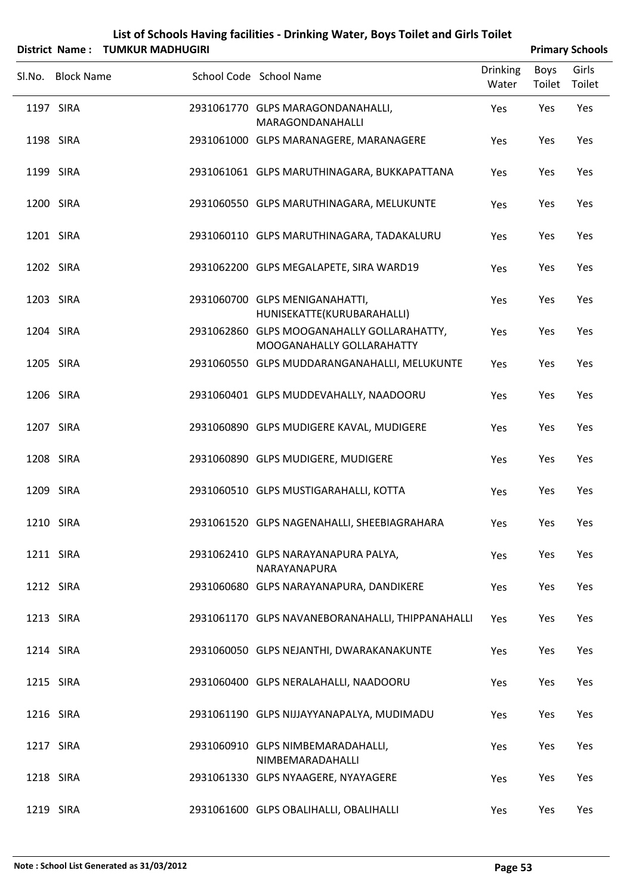| List of Schools Having facilities - Drinking Water, Boys Toilet and Girls Toilet |                        |
|----------------------------------------------------------------------------------|------------------------|
| District Name: TUMKUR MADHUGIRI                                                  | <b>Primary Schools</b> |

| יו טושטושוע       |                                                                         |                          |                       | L LIIHAI Y JUHUUD |
|-------------------|-------------------------------------------------------------------------|--------------------------|-----------------------|-------------------|
| Sl.No. Block Name | School Code School Name                                                 | <b>Drinking</b><br>Water | <b>Boys</b><br>Toilet | Girls<br>Toilet   |
| 1197 SIRA         | 2931061770 GLPS MARAGONDANAHALLI,<br>MARAGONDANAHALLI                   | Yes                      | Yes                   | Yes               |
| 1198 SIRA         | 2931061000 GLPS MARANAGERE, MARANAGERE                                  | Yes                      | Yes                   | Yes               |
| 1199 SIRA         | 2931061061 GLPS MARUTHINAGARA, BUKKAPATTANA                             | Yes                      | Yes                   | Yes               |
| 1200 SIRA         | 2931060550 GLPS MARUTHINAGARA, MELUKUNTE                                | Yes                      | Yes                   | Yes               |
| 1201 SIRA         | 2931060110 GLPS MARUTHINAGARA, TADAKALURU                               | Yes                      | Yes                   | Yes               |
| 1202 SIRA         | 2931062200 GLPS MEGALAPETE, SIRA WARD19                                 | Yes                      | Yes                   | Yes               |
| 1203 SIRA         | 2931060700 GLPS MENIGANAHATTI,<br>HUNISEKATTE(KURUBARAHALLI)            | Yes                      | Yes                   | Yes               |
| 1204 SIRA         | 2931062860 GLPS MOOGANAHALLY GOLLARAHATTY,<br>MOOGANAHALLY GOLLARAHATTY | Yes                      | Yes                   | Yes               |
| 1205 SIRA         | 2931060550 GLPS MUDDARANGANAHALLI, MELUKUNTE                            | Yes                      | Yes                   | Yes               |
| 1206 SIRA         | 2931060401 GLPS MUDDEVAHALLY, NAADOORU                                  | Yes                      | Yes                   | Yes               |
| 1207 SIRA         | 2931060890 GLPS MUDIGERE KAVAL, MUDIGERE                                | Yes                      | Yes                   | Yes               |
| 1208 SIRA         | 2931060890 GLPS MUDIGERE, MUDIGERE                                      | Yes                      | Yes                   | Yes               |
| 1209 SIRA         | 2931060510 GLPS MUSTIGARAHALLI, KOTTA                                   | Yes                      | Yes                   | Yes               |
| 1210 SIRA         | 2931061520 GLPS NAGENAHALLI, SHEEBIAGRAHARA                             | Yes                      | Yes                   | Yes               |
| 1211 SIRA         | 2931062410 GLPS NARAYANAPURA PALYA,<br>NARAYANAPURA                     | Yes                      | Yes                   | Yes               |
| 1212 SIRA         | 2931060680 GLPS NARAYANAPURA, DANDIKERE                                 | Yes                      | Yes                   | Yes               |
| 1213 SIRA         | 2931061170 GLPS NAVANEBORANAHALLI, THIPPANAHALLI                        | Yes                      | Yes                   | Yes               |
| 1214 SIRA         | 2931060050 GLPS NEJANTHI, DWARAKANAKUNTE                                | Yes                      | Yes                   | Yes               |
| 1215 SIRA         | 2931060400 GLPS NERALAHALLI, NAADOORU                                   | Yes                      | Yes                   | Yes               |
| 1216 SIRA         | 2931061190 GLPS NIJJAYYANAPALYA, MUDIMADU                               | Yes                      | Yes                   | Yes               |
| 1217 SIRA         | 2931060910 GLPS NIMBEMARADAHALLI,<br>NIMBEMARADAHALLI                   | Yes                      | Yes                   | Yes               |
| 1218 SIRA         | 2931061330 GLPS NYAAGERE, NYAYAGERE                                     | Yes                      | Yes                   | Yes               |
| 1219 SIRA         | 2931061600 GLPS OBALIHALLI, OBALIHALLI                                  | Yes                      | Yes                   | Yes               |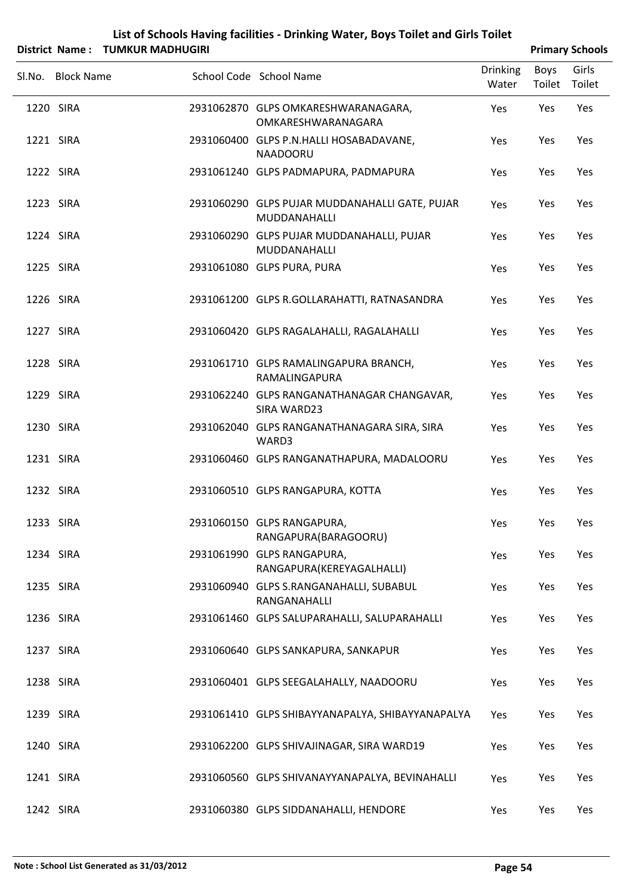|        | District Name: TUMKUR MADHUGIRI |                                                                | <b>Primary Schools</b>   |                |                 |  |
|--------|---------------------------------|----------------------------------------------------------------|--------------------------|----------------|-----------------|--|
| Sl.No. | <b>Block Name</b>               | School Code School Name                                        | <b>Drinking</b><br>Water | Boys<br>Toilet | Girls<br>Toilet |  |
|        | 1220 SIRA                       | 2931062870 GLPS OMKARESHWARANAGARA,<br>OMKARESHWARANAGARA      | Yes                      | Yes            | Yes             |  |
|        | 1221 SIRA                       | 2931060400 GLPS P.N.HALLI HOSABADAVANE,<br>NAADOORU            | Yes                      | Yes            | Yes             |  |
|        | 1222 SIRA                       | 2931061240 GLPS PADMAPURA, PADMAPURA                           | Yes                      | Yes            | Yes             |  |
|        | 1223 SIRA                       | 2931060290 GLPS PUJAR MUDDANAHALLI GATE, PUJAR<br>MUDDANAHALLI | Yes                      | Yes            | Yes             |  |
|        | 1224 SIRA                       | 2931060290 GLPS PUJAR MUDDANAHALLI, PUJAR<br>MUDDANAHALLI      | Yes                      | Yes            | Yes             |  |
|        | 1225 SIRA                       | 2931061080 GLPS PURA, PURA                                     | Yes                      | Yes            | Yes             |  |
|        | 1226 SIRA                       | 2931061200 GLPS R.GOLLARAHATTI, RATNASANDRA                    | Yes                      | Yes            | Yes             |  |
|        | 1227 SIRA                       | 2931060420 GLPS RAGALAHALLI, RAGALAHALLI                       | Yes                      | Yes            | Yes             |  |
|        | 1228 SIRA                       | 2931061710 GLPS RAMALINGAPURA BRANCH,<br>RAMALINGAPURA         | Yes                      | Yes            | Yes             |  |
|        | 1229 SIRA                       | 2931062240 GLPS RANGANATHANAGAR CHANGAVAR,<br>SIRA WARD23      | Yes                      | Yes            | Yes             |  |
|        | 1230 SIRA                       | 2931062040 GLPS RANGANATHANAGARA SIRA, SIRA<br>WARD3           | Yes                      | Yes            | Yes             |  |
|        | 1231 SIRA                       | 2931060460 GLPS RANGANATHAPURA, MADALOORU                      | Yes                      | Yes            | Yes             |  |
|        | 1232 SIRA                       | 2931060510 GLPS RANGAPURA, KOTTA                               | Yes                      | Yes            | Yes             |  |
|        | 1233 SIRA                       | 2931060150 GLPS RANGAPURA,<br>RANGAPURA(BARAGOORU)             | Yes                      | Yes            | Yes             |  |
|        | 1234 SIRA                       | 2931061990 GLPS RANGAPURA,<br>RANGAPURA(KEREYAGALHALLI)        | Yes                      | Yes            | Yes             |  |
|        | 1235 SIRA                       | 2931060940 GLPS S.RANGANAHALLI, SUBABUL<br>RANGANAHALLI        | Yes                      | Yes            | Yes             |  |
|        | 1236 SIRA                       | 2931061460 GLPS SALUPARAHALLI, SALUPARAHALLI                   | Yes                      | Yes            | Yes             |  |
|        | 1237 SIRA                       | 2931060640 GLPS SANKAPURA, SANKAPUR                            | Yes                      | Yes            | Yes             |  |
|        | 1238 SIRA                       | 2931060401 GLPS SEEGALAHALLY, NAADOORU                         | Yes                      | Yes            | Yes             |  |
|        | 1239 SIRA                       | 2931061410 GLPS SHIBAYYANAPALYA, SHIBAYYANAPALYA               | Yes                      | Yes            | Yes             |  |
|        | 1240 SIRA                       | 2931062200 GLPS SHIVAJINAGAR, SIRA WARD19                      | Yes                      | Yes            | Yes             |  |
|        | 1241 SIRA                       | 2931060560 GLPS SHIVANAYYANAPALYA, BEVINAHALLI                 | Yes                      | Yes            | Yes             |  |
|        | 1242 SIRA                       | 2931060380 GLPS SIDDANAHALLI, HENDORE                          | Yes                      | Yes            | Yes             |  |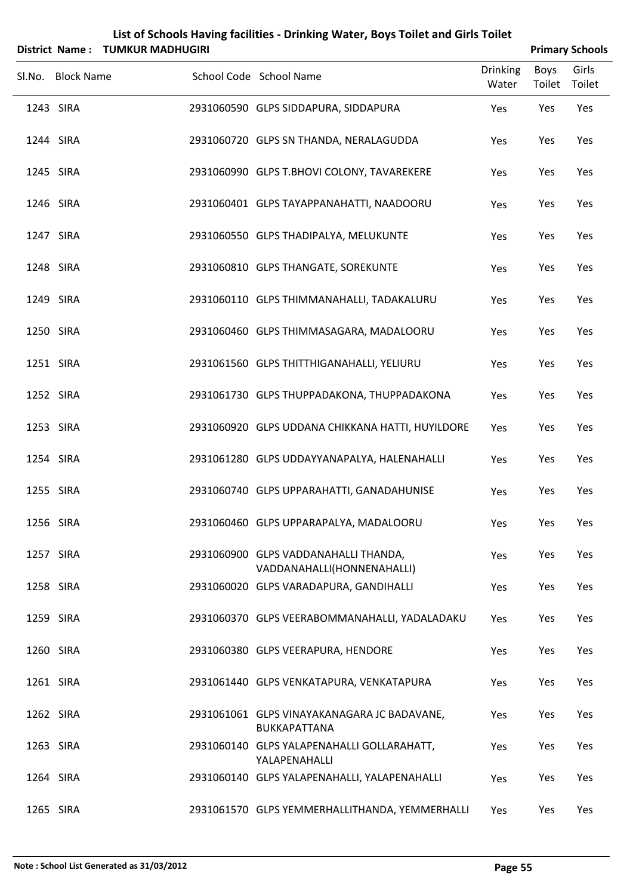|        | <b>District Name:</b> | <b>TUMKUR MADHUGIRI</b> |                                                                    |                          |                | <b>Primary Schools</b> |
|--------|-----------------------|-------------------------|--------------------------------------------------------------------|--------------------------|----------------|------------------------|
| Sl.No. | <b>Block Name</b>     |                         | School Code School Name                                            | <b>Drinking</b><br>Water | Boys<br>Toilet | Girls<br>Toilet        |
|        | 1243 SIRA             |                         | 2931060590 GLPS SIDDAPURA, SIDDAPURA                               | Yes                      | Yes            | Yes                    |
|        | 1244 SIRA             |                         | 2931060720 GLPS SN THANDA, NERALAGUDDA                             | Yes                      | Yes            | Yes                    |
|        | 1245 SIRA             |                         | 2931060990 GLPS T.BHOVI COLONY, TAVAREKERE                         | Yes                      | Yes            | Yes                    |
|        | 1246 SIRA             |                         | 2931060401 GLPS TAYAPPANAHATTI, NAADOORU                           | Yes                      | Yes            | Yes                    |
|        | 1247 SIRA             |                         | 2931060550 GLPS THADIPALYA, MELUKUNTE                              | Yes                      | Yes            | Yes                    |
|        | 1248 SIRA             |                         | 2931060810 GLPS THANGATE, SOREKUNTE                                | Yes                      | Yes            | Yes                    |
|        | 1249 SIRA             |                         | 2931060110 GLPS THIMMANAHALLI, TADAKALURU                          | Yes                      | Yes            | Yes                    |
|        | 1250 SIRA             |                         | 2931060460 GLPS THIMMASAGARA, MADALOORU                            | Yes                      | Yes            | Yes                    |
|        | 1251 SIRA             |                         | 2931061560 GLPS THITTHIGANAHALLI, YELIURU                          | Yes                      | Yes            | Yes                    |
|        | 1252 SIRA             |                         | 2931061730 GLPS THUPPADAKONA, THUPPADAKONA                         | Yes                      | Yes            | Yes                    |
|        | 1253 SIRA             |                         | 2931060920 GLPS UDDANA CHIKKANA HATTI, HUYILDORE                   | Yes                      | Yes            | Yes                    |
|        | 1254 SIRA             |                         | 2931061280 GLPS UDDAYYANAPALYA, HALENAHALLI                        | Yes                      | Yes            | Yes                    |
|        | 1255 SIRA             |                         | 2931060740 GLPS UPPARAHATTI, GANADAHUNISE                          | Yes                      | Yes            | Yes                    |
|        | 1256 SIRA             |                         | 2931060460 GLPS UPPARAPALYA, MADALOORU                             | Yes                      | Yes            | Yes                    |
|        | 1257 SIRA             |                         | 2931060900 GLPS VADDANAHALLI THANDA,<br>VADDANAHALLI(HONNENAHALLI) | Yes                      | Yes            | Yes                    |
|        | 1258 SIRA             |                         | 2931060020 GLPS VARADAPURA, GANDIHALLI                             | Yes                      | Yes            | Yes                    |
|        | 1259 SIRA             |                         | 2931060370 GLPS VEERABOMMANAHALLI, YADALADAKU                      | Yes                      | Yes            | Yes                    |
|        | 1260 SIRA             |                         | 2931060380 GLPS VEERAPURA, HENDORE                                 | Yes                      | Yes            | Yes                    |
|        | 1261 SIRA             |                         | 2931061440 GLPS VENKATAPURA, VENKATAPURA                           | Yes                      | Yes            | Yes                    |
|        | 1262 SIRA             |                         | 2931061061 GLPS VINAYAKANAGARA JC BADAVANE,<br>BUKKAPATTANA        | Yes                      | Yes            | Yes                    |
|        | 1263 SIRA             |                         | 2931060140 GLPS YALAPENAHALLI GOLLARAHATT,<br>YALAPENAHALLI        | Yes                      | Yes            | Yes                    |
|        | 1264 SIRA             |                         | 2931060140 GLPS YALAPENAHALLI, YALAPENAHALLI                       | Yes                      | Yes            | Yes                    |
|        | 1265 SIRA             |                         | 2931061570 GLPS YEMMERHALLITHANDA, YEMMERHALLI                     | Yes                      | Yes            | Yes                    |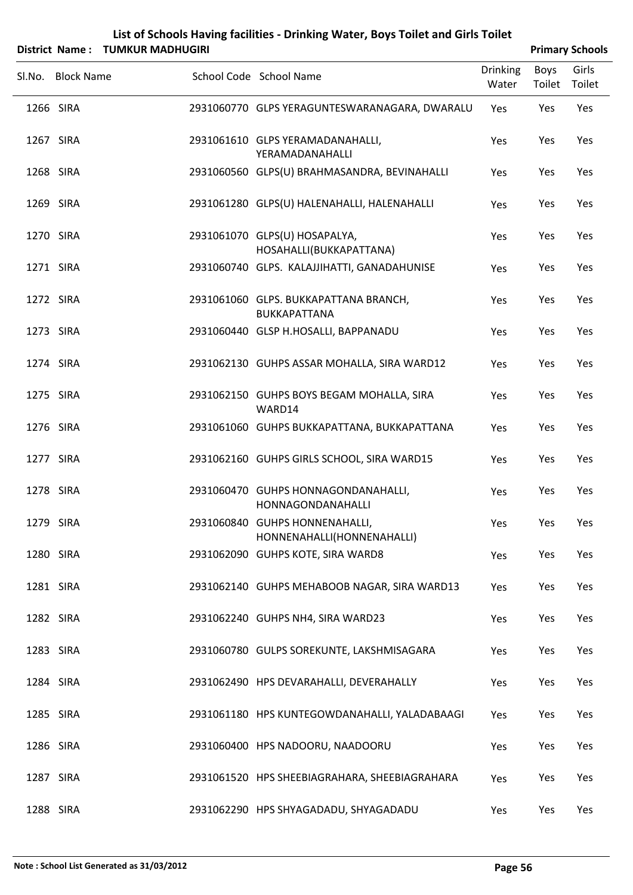|               | List of Schools Having facilities - Drinking Water, Boys Toilet and Girls Toilet |                        |
|---------------|----------------------------------------------------------------------------------|------------------------|
| District Name | THMKHR MADHHGIRI                                                                 | <b>Drimary Schools</b> |

|        |                   | District Name: TOMKOR MADHOGIRI |                                                              |                          |                       | <b>Primary Schools</b> |
|--------|-------------------|---------------------------------|--------------------------------------------------------------|--------------------------|-----------------------|------------------------|
| Sl.No. | <b>Block Name</b> |                                 | School Code School Name                                      | <b>Drinking</b><br>Water | <b>Boys</b><br>Toilet | Girls<br>Toilet        |
|        | 1266 SIRA         |                                 | 2931060770 GLPS YERAGUNTESWARANAGARA, DWARALU                | Yes                      | Yes                   | Yes                    |
|        | 1267 SIRA         |                                 | 2931061610 GLPS YERAMADANAHALLI,<br>YERAMADANAHALLI          | Yes                      | Yes                   | Yes                    |
|        | 1268 SIRA         |                                 | 2931060560 GLPS(U) BRAHMASANDRA, BEVINAHALLI                 | Yes                      | Yes                   | Yes                    |
|        | 1269 SIRA         |                                 | 2931061280 GLPS(U) HALENAHALLI, HALENAHALLI                  | Yes                      | Yes                   | Yes                    |
|        | 1270 SIRA         |                                 | 2931061070 GLPS(U) HOSAPALYA,<br>HOSAHALLI(BUKKAPATTANA)     | Yes                      | Yes                   | Yes                    |
|        | 1271 SIRA         |                                 | 2931060740 GLPS. KALAJJIHATTI, GANADAHUNISE                  | Yes                      | Yes                   | Yes                    |
|        | 1272 SIRA         |                                 | 2931061060 GLPS. BUKKAPATTANA BRANCH,<br><b>BUKKAPATTANA</b> | Yes                      | Yes                   | Yes                    |
|        | 1273 SIRA         |                                 | 2931060440 GLSP H.HOSALLI, BAPPANADU                         | Yes                      | Yes                   | Yes                    |
|        | 1274 SIRA         |                                 | 2931062130 GUHPS ASSAR MOHALLA, SIRA WARD12                  | Yes                      | Yes                   | Yes                    |
|        | 1275 SIRA         |                                 | 2931062150 GUHPS BOYS BEGAM MOHALLA, SIRA<br>WARD14          | Yes                      | Yes                   | Yes                    |
|        | 1276 SIRA         |                                 | 2931061060 GUHPS BUKKAPATTANA, BUKKAPATTANA                  | Yes                      | Yes                   | Yes                    |
|        | 1277 SIRA         |                                 | 2931062160 GUHPS GIRLS SCHOOL, SIRA WARD15                   | Yes                      | Yes                   | Yes                    |
|        | 1278 SIRA         |                                 | 2931060470 GUHPS HONNAGONDANAHALLI,<br>HONNAGONDANAHALLI     | Yes                      | Yes                   | Yes                    |
|        | 1279 SIRA         |                                 | 2931060840 GUHPS HONNENAHALLI,<br>HONNENAHALLI(HONNENAHALLI) | Yes                      | Yes                   | Yes                    |
|        | 1280 SIRA         |                                 | 2931062090 GUHPS KOTE, SIRA WARD8                            | Yes                      | Yes                   | Yes                    |
|        | 1281 SIRA         |                                 | 2931062140 GUHPS MEHABOOB NAGAR, SIRA WARD13                 | Yes                      | Yes                   | Yes                    |
|        | 1282 SIRA         |                                 | 2931062240 GUHPS NH4, SIRA WARD23                            | Yes                      | Yes                   | Yes                    |
|        | 1283 SIRA         |                                 | 2931060780 GULPS SOREKUNTE, LAKSHMISAGARA                    | Yes                      | Yes                   | Yes                    |
|        | 1284 SIRA         |                                 | 2931062490 HPS DEVARAHALLI, DEVERAHALLY                      | Yes                      | Yes                   | Yes                    |
|        | 1285 SIRA         |                                 | 2931061180 HPS KUNTEGOWDANAHALLI, YALADABAAGI                | Yes                      | Yes                   | Yes                    |
|        | 1286 SIRA         |                                 | 2931060400 HPS NADOORU, NAADOORU                             | Yes                      | Yes                   | Yes                    |
|        | 1287 SIRA         |                                 | 2931061520 HPS SHEEBIAGRAHARA, SHEEBIAGRAHARA                | Yes                      | Yes                   | Yes                    |
|        | 1288 SIRA         |                                 | 2931062290 HPS SHYAGADADU, SHYAGADADU                        | Yes                      | Yes                   | Yes                    |

Ĭ.